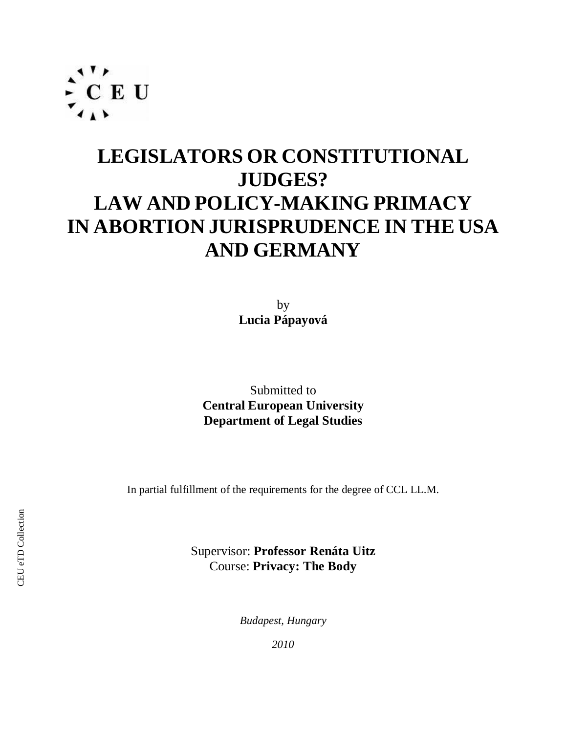

# **LEGISLATORS OR CONSTITUTIONAL JUDGES? LAW AND POLICY-MAKING PRIMACY IN ABORTION JURISPRUDENCE IN THE USA AND GERMANY**

by **Lucia Pápayová**

Submitted to **Central European University Department of Legal Studies**

In partial fulfillment of the requirements for the degree of CCL LL.M.

Supervisor: **Professor Renáta Uitz** Course: **Privacy: The Body**

*Budapest, Hungary*

*2010*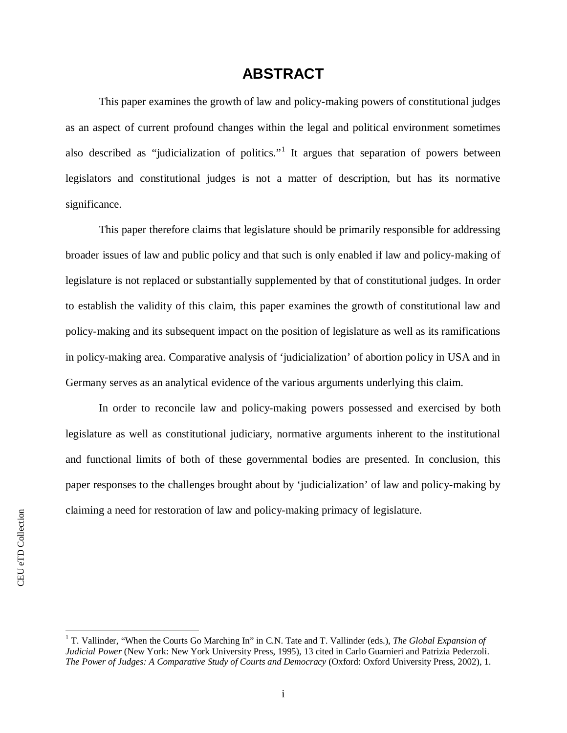## **ABSTRACT**

This paper examines the growth of law and policy-making powers of constitutional judges as an aspect of current profound changes within the legal and political environment sometimes alsodescribed as "judicialization of politics."<sup>1</sup> It argues that separation of powers between legislators and constitutional judges is not a matter of description, but has its normative significance.

This paper therefore claims that legislature should be primarily responsible for addressing broader issues of law and public policy and that such is only enabled if law and policy-making of legislature is not replaced or substantially supplemented by that of constitutional judges. In order to establish the validity of this claim, this paper examines the growth of constitutional law and policy-making and its subsequent impact on the position of legislature as well as its ramifications in policy-making area. Comparative analysis of 'judicialization' of abortion policy in USA and in Germany serves as an analytical evidence of the various arguments underlying this claim.

In order to reconcile law and policy-making powers possessed and exercised by both legislature as well as constitutional judiciary, normative arguments inherent to the institutional and functional limits of both of these governmental bodies are presented. In conclusion, this paper responses to the challenges brought about by 'judicialization' of law and policy-making by claiming a need for restoration of law and policy-making primacy of legislature.

<span id="page-1-0"></span><sup>&</sup>lt;sup>1</sup> T. Vallinder, "When the Courts Go Marching In" in C.N. Tate and T. Vallinder (eds.), *The Global Expansion of Judicial Power* (New York: New York University Press, 1995), 13 cited in Carlo Guarnieri and Patrizia Pederzoli. *The Power of Judges: A Comparative Study of Courts and Democracy* (Oxford: Oxford University Press, 2002), 1.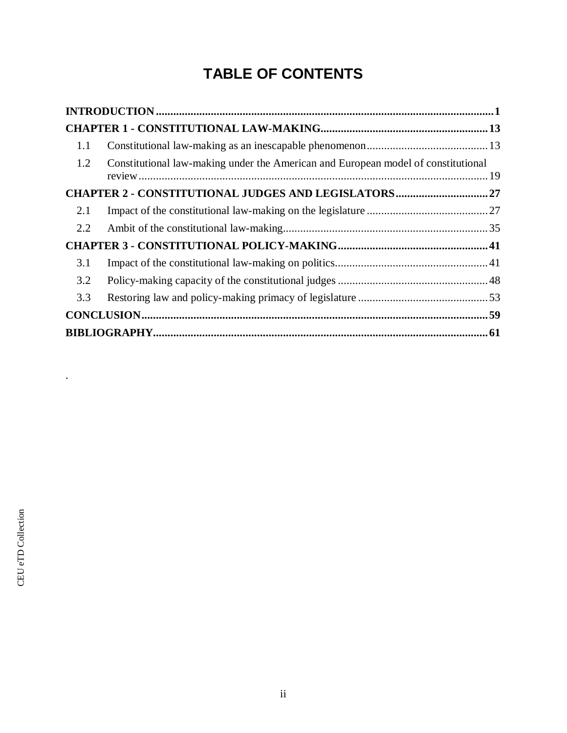# **TABLE OF CONTENTS**

|     | $\bf INTRODUCTION \, \, \ldots \, \, \ldots \, \, \ldots \, \, \ldots \, \, \ldots \, \, \ldots \, \, \ldots \, \, \ldots \, \, \ldots \, \, \ldots \, \, \ldots \, \, \ldots \, \, \ldots \, \, \ldots \, \, \ldots \, \, \ldots \, \, \ldots \, \, \ldots \, \, \ldots \, \, \ldots \, \, \ldots \, \, \ldots \, \, \ldots \, \, \ldots \, \, \ldots \, \, \ldots \, \, \ldots \, \, \ldots \, \, \ldots \, \, \ldots \, \, \ld$ |  |
|-----|------------------------------------------------------------------------------------------------------------------------------------------------------------------------------------------------------------------------------------------------------------------------------------------------------------------------------------------------------------------------------------------------------------------------------------|--|
|     |                                                                                                                                                                                                                                                                                                                                                                                                                                    |  |
| 1.1 |                                                                                                                                                                                                                                                                                                                                                                                                                                    |  |
| 1.2 | Constitutional law-making under the American and European model of constitutional                                                                                                                                                                                                                                                                                                                                                  |  |
|     |                                                                                                                                                                                                                                                                                                                                                                                                                                    |  |
| 2.1 |                                                                                                                                                                                                                                                                                                                                                                                                                                    |  |
| 2.2 |                                                                                                                                                                                                                                                                                                                                                                                                                                    |  |
|     |                                                                                                                                                                                                                                                                                                                                                                                                                                    |  |
| 3.1 |                                                                                                                                                                                                                                                                                                                                                                                                                                    |  |
| 3.2 |                                                                                                                                                                                                                                                                                                                                                                                                                                    |  |
| 3.3 |                                                                                                                                                                                                                                                                                                                                                                                                                                    |  |
|     |                                                                                                                                                                                                                                                                                                                                                                                                                                    |  |
|     |                                                                                                                                                                                                                                                                                                                                                                                                                                    |  |

.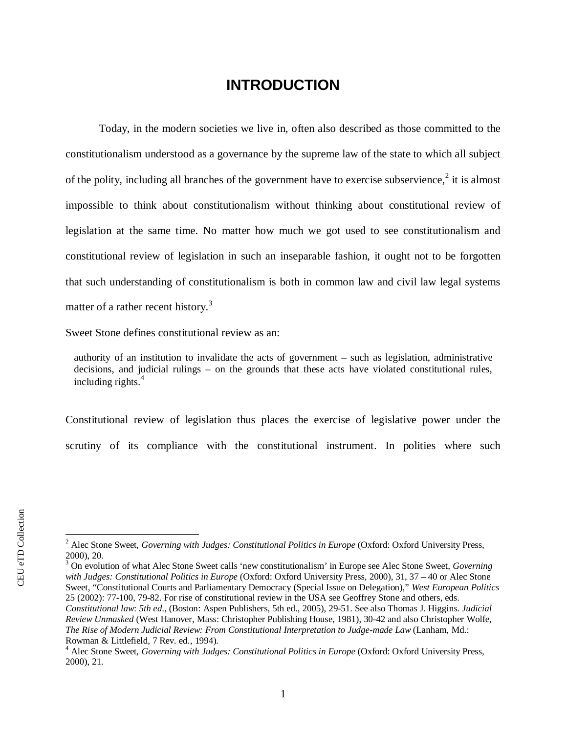# <span id="page-3-0"></span>**INTRODUCTION**

Today, in the modern societies we live in, often also described as those committed to the constitutionalism understood as a governance by the supreme law of the state to which all subject of the polity, [i](#page-3-1)ncluding all branches of the government have to exercise subservience, $2$  it is almost impossible to think about constitutionalism without thinking about constitutional review of legislation at the same time. No matter how much we got used to see constitutionalism and constitutional review of legislation in such an inseparable fashion, it ought not to be forgotten that such understanding of constitutionalism is both in common law and civil law legal systems matter of a rather recent history.<sup>[3](#page-3-2)</sup>

Sweet Stone defines constitutional review as an:

authority of an institution to invalidate the acts of government – such as legislation, administrative decisions, and judicial rulings – on the grounds that these acts have violated constitutional rules, including rights.<sup>[4](#page-3-3)</sup>

Constitutional review of legislation thus places the exercise of legislative power under the scrutiny of its compliance with the constitutional instrument. In polities where such

<span id="page-3-2"></span>3 On evolution of what Alec Stone Sweet calls 'new constitutionalism' in Europe see Alec Stone Sweet, *Governing with Judges: Constitutional Politics in Europe* (Oxford: Oxford University Press, 2000), 31, 37 – 40 or Alec Stone Sweet, "Constitutional Courts and Parliamentary Democracy (Special Issue on Delegation)," *West European Politics* 25 (2002): 77-100, 79-82. For rise of constitutional review in the USA see Geoffrey Stone and others, eds. *Constitutional law*: *5th ed*., (Boston: Aspen Publishers, 5th ed., 2005), 29-51. See also Thomas J. Higgins. *Judicial Review Unmasked* (West Hanover, Mass: Christopher Publishing House, 1981), 30-42 and also Christopher Wolfe, *The Rise of Modern Judicial Review: From Constitutional Interpretation to Judge-made Law* (Lanham, Md.: Rowman & Littlefield, 7 Rev. ed., 1994).

<span id="page-3-1"></span><sup>&</sup>lt;sup>2</sup> Alec Stone Sweet, *Governing with Judges: Constitutional Politics in Europe* (Oxford: Oxford University Press, 2000), 20.

<span id="page-3-3"></span><sup>&</sup>lt;sup>4</sup> Alec Stone Sweet, *Governing with Judges: Constitutional Politics in Europe* (Oxford: Oxford University Press, 2000), 21.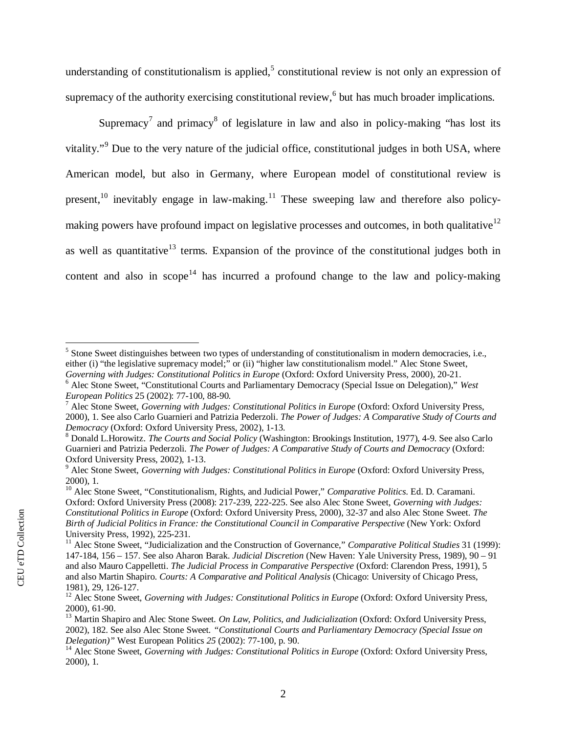understanding of [c](#page-4-0)onstitutionalism is applied,<sup>5</sup> constitutional review is not only an expression of supremacy of the authority exercising constitutional review, $6$  [b](#page-4-1)ut has much broader implications.

Supremacy<sup>7</sup> [a](#page-4-2)nd primacy<sup>8</sup> [o](#page-4-3)f legislature in law and also in policy-making "has lost its vitality."<sup>9</sup> [D](#page-4-4)ue to the very nature of the judicial office, constitutional judges in both USA, where American model, but also in Germany, where European model of constitutional review is present,<sup>10</sup>inevitably engage in law-making.<sup>11</sup> These sweeping law and therefore also policymaking pow[e](#page-4-7)rs have profound impact on legislative processes and outcomes, in both qualitative<sup>12</sup> aswell as quantitative<sup>13</sup> terms. Expansion of the province of the constitutional judges both in content and also in scope<sup>14</sup> has incurred a profound change to the law and policy-making

<span id="page-4-0"></span> $<sup>5</sup>$  Stone Sweet distinguishes between two types of understanding of constitutionalism in modern democracies, i.e.,</sup> either (i) "the legislative supremacy model;" or (ii) "higher law constitutionalism model." Alec Stone Sweet, *Governing with Judges: Constitutional Politics in Europe* (Oxford: Oxford University Press, 2000), 20-21.

<span id="page-4-1"></span><sup>6</sup> Alec Stone Sweet, "Constitutional Courts and Parliamentary Democracy (Special Issue on Delegation)," *West European Politics* 25 (2002): 77-100, 88-90.

<span id="page-4-2"></span><sup>7</sup> Alec Stone Sweet, *Governing with Judges: Constitutional Politics in Europe* (Oxford: Oxford University Press, 2000), 1. See also Carlo Guarnieri and Patrizia Pederzoli. *The Power of Judges: A Comparative Study of Courts and Democracy* (Oxford: Oxford University Press, 2002), 1-13.

<span id="page-4-3"></span><sup>8</sup> Donald L.Horowitz. *The Courts and Social Policy* (Washington: Brookings Institution, 1977), 4-9. See also Carlo Guarnieri and Patrizia Pederzoli. *The Power of Judges: A Comparative Study of Courts and Democracy* (Oxford: Oxford University Press, 2002), 1-13.

<span id="page-4-4"></span><sup>&</sup>lt;sup>9</sup> Alec Stone Sweet, *Governing with Judges: Constitutional Politics in Europe* (Oxford: Oxford University Press, 2000), 1.

<span id="page-4-5"></span><sup>10</sup> Alec Stone Sweet, "Constitutionalism, Rights, and Judicial Power," *Comparative Politics*. Ed. D. Caramani. Oxford: Oxford University Press (2008): 217-239, 222-225. See also Alec Stone Sweet, *Governing with Judges: Constitutional Politics in Europe* (Oxford: Oxford University Press, 2000), 32-37 and also Alec Stone Sweet. *The Birth of Judicial Politics in France: the Constitutional Council in Comparative Perspective* (New York: Oxford University Press, 1992), 225-231.

<span id="page-4-6"></span><sup>11</sup> Alec Stone Sweet, "Judicialization and the Construction of Governance," *Comparative Political Studies* 31 (1999): 147-184, 156 – 157. See also Aharon Barak. *Judicial Discretion* (New Haven: Yale University Press, 1989), 90 – 91 and also Mauro Cappelletti. *The Judicial Process in Comparative Perspective* (Oxford: Clarendon Press, 1991), 5 and also Martin Shapiro. *Courts: A Comparative and Political Analysis* (Chicago: University of Chicago Press, 1981), 29, 126-127.

<span id="page-4-7"></span><sup>&</sup>lt;sup>12</sup> Alec Stone Sweet, *Governing with Judges: Constitutional Politics in Europe* (Oxford: Oxford University Press, 2000), 61-90.

<span id="page-4-8"></span><sup>13</sup> Martin Shapiro and Alec Stone Sweet. *On Law, Politics, and Judicialization* (Oxford: Oxford University Press, 2002), 182. See also Alec Stone Sweet. *"Constitutional Courts and Parliamentary Democracy (Special Issue on Delegation)"* West European Politics *25* (2002): 77-100, p. 90.

<sup>&</sup>lt;sup>14</sup> Alec Stone Sweet, *Governing with Judges: Constitutional Politics in Europe* (Oxford: Oxford University Press, 2000), 1.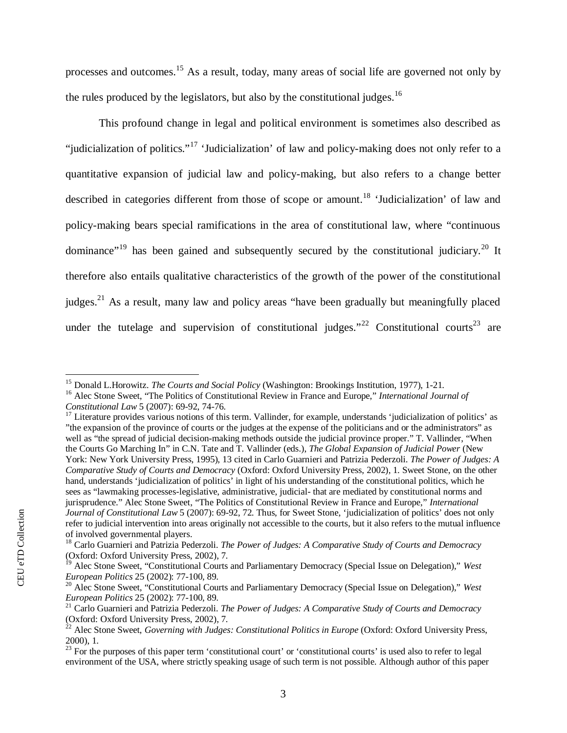processesand outcomes.<sup>15</sup> As a result, today, many areas of social life are governed not only by the rules produced by the legislators, but also by the constitutional judges.<sup>[16](#page-5-1)</sup>

This profound change in legal and political environment is sometimes also described as "judicialization of politics."<sup>17</sup>'Judicialization' of law and policy-making does not only refer to a quantitative expansion of judicial law and policy-making, but also refers to a change better describedin categories different from those of scope or amount.<sup>18</sup> 'Judicialization' of law and policy-making bears special ramifications in the area of constitutional law, where "continuous dominance"<sup>19</sup>has been gained and subsequently secured by the constitutional judiciary.<sup>20</sup> It therefore also entails qualitative characteristics of the growth of the power of the constitutional judges.<sup>21</sup>As a result, many law and policy areas "have been gradually but meaningfully placed under the tutelage and supervision of constitutional judges."<sup>22</sup> Constitutional courts<sup>23</sup> are

<span id="page-5-0"></span><sup>15</sup> Donald L.Horowitz. *The Courts and Social Policy* (Washington: Brookings Institution, 1977), 1-21.

<span id="page-5-1"></span><sup>16</sup> Alec Stone Sweet, "The Politics of Constitutional Review in France and Europe," *International Journal of Constitutional Law* 5 (2007): 69-92, 74-76.

<span id="page-5-2"></span><sup>&</sup>lt;sup>17</sup> Literature provides various notions of this term. Vallinder, for example, understands 'judicialization of politics' as "the expansion of the province of courts or the judges at the expense of the politicians and or the administrators" as well as "the spread of judicial decision-making methods outside the judicial province proper." T. Vallinder, "When the Courts Go Marching In" in C.N. Tate and T. Vallinder (eds.), *The Global Expansion of Judicial Power* (New York: New York University Press, 1995), 13 cited in Carlo Guarnieri and Patrizia Pederzoli. *The Power of Judges: A Comparative Study of Courts and Democracy* (Oxford: Oxford University Press, 2002), 1. Sweet Stone, on the other hand, understands 'judicialization of politics' in light of his understanding of the constitutional politics, which he sees as "lawmaking processes-legislative, administrative, judicial- that are mediated by constitutional norms and jurisprudence." Alec Stone Sweet, "The Politics of Constitutional Review in France and Europe," *International Journal of Constitutional Law* 5 (2007): 69-92, 72. Thus, for Sweet Stone, 'judicialization of politics' does not only refer to judicial intervention into areas originally not accessible to the courts, but it also refers to the mutual influence of involved governmental players.

<span id="page-5-3"></span><sup>18</sup> Carlo Guarnieri and Patrizia Pederzoli. *The Power of Judges: A Comparative Study of Courts and Democracy* (Oxford: Oxford University Press, 2002), 7.

<span id="page-5-4"></span><sup>19</sup> Alec Stone Sweet, "Constitutional Courts and Parliamentary Democracy (Special Issue on Delegation)," *West European Politics* 25 (2002): 77-100, 89.

<span id="page-5-5"></span><sup>20</sup> Alec Stone Sweet, "Constitutional Courts and Parliamentary Democracy (Special Issue on Delegation)," *West European Politics* 25 (2002): 77-100, 89.

<span id="page-5-6"></span><sup>21</sup> Carlo Guarnieri and Patrizia Pederzoli. *The Power of Judges: A Comparative Study of Courts and Democracy* (Oxford: Oxford University Press, 2002), 7.

<sup>&</sup>lt;sup>22</sup> Alec Stone Sweet, *Governing with Judges: Constitutional Politics in Europe* (Oxford: Oxford University Press, 2000), 1.

 $^{23}$  For the purposes of this paper term 'constitutional court' or 'constitutional courts' is used also to refer to legal environment of the USA, where strictly speaking usage of such term is not possible. Although author of this paper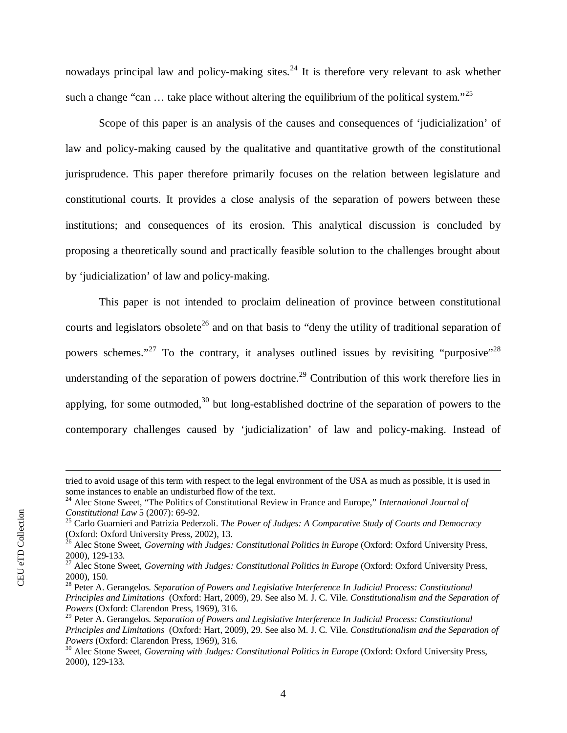nowadaysprincipal law and policy-making sites.<sup>24</sup> It is therefore very relevant to ask whether such a change "can  $\ldots$  take place without altering the equilibrium of the political system."<sup>[25](#page-6-1)</sup>

Scope of this paper is an analysis of the causes and consequences of 'judicialization' of law and policy-making caused by the qualitative and quantitative growth of the constitutional jurisprudence. This paper therefore primarily focuses on the relation between legislature and constitutional courts. It provides a close analysis of the separation of powers between these institutions; and consequences of its erosion. This analytical discussion is concluded by proposing a theoretically sound and practically feasible solution to the challenges brought about by 'judicialization' of law and policy-making.

This paper is not intended to proclaim delineation of province between constitutional courtsand legislators obsolete<sup>26</sup> and on that basis to "deny the utility of traditional separation of powersschemes.["](#page-6-4)<sup>27</sup> To the contrary, it analyses outlined issues by revisiting "purposive"<sup>28</sup> understandingof the separation of powers doctrine.<sup>29</sup> Contribution of this work therefore lies in applying,for some outmoded,<sup>30</sup> but long-established doctrine of the separation of powers to the contemporary challenges caused by 'judicialization' of law and policy-making. Instead of

tried to avoid usage of this term with respect to the legal environment of the USA as much as possible, it is used in some instances to enable an undisturbed flow of the text.

<span id="page-6-0"></span><sup>24</sup> Alec Stone Sweet, "The Politics of Constitutional Review in France and Europe," *International Journal of Constitutional Law* 5 (2007): 69-92.

<span id="page-6-1"></span><sup>25</sup> Carlo Guarnieri and Patrizia Pederzoli. *The Power of Judges: A Comparative Study of Courts and Democracy* (Oxford: Oxford University Press, 2002), 13.

<span id="page-6-2"></span><sup>&</sup>lt;sup>26</sup> Alec Stone Sweet, *Governing with Judges: Constitutional Politics in Europe* (Oxford: Oxford University Press, 2000), 129-133.

<span id="page-6-3"></span><sup>&</sup>lt;sup>27</sup> Alec Stone Sweet, *Governing with Judges: Constitutional Politics in Europe* (Oxford: Oxford University Press, 2000), 150.

<span id="page-6-4"></span><sup>28</sup> Peter A. Gerangelos. *Separation of Powers and Legislative Interference In Judicial Process: Constitutional Principles and Limitations* (Oxford: Hart, 2009), 29. See also M. J. C. Vile. *Constitutionalism and the Separation of Powers* (Oxford: Clarendon Press, 1969), 316.

<span id="page-6-5"></span><sup>29</sup> Peter A. Gerangelos. *Separation of Powers and Legislative Interference In Judicial Process: Constitutional Principles and Limitations* (Oxford: Hart, 2009), 29. See also M. J. C. Vile. *Constitutionalism and the Separation of Powers* (Oxford: Clarendon Press, 1969), 316.

<span id="page-6-6"></span><sup>&</sup>lt;sup>30</sup> Alec Stone Sweet, *Governing with Judges: Constitutional Politics in Europe* (Oxford: Oxford University Press, 2000), 129-133.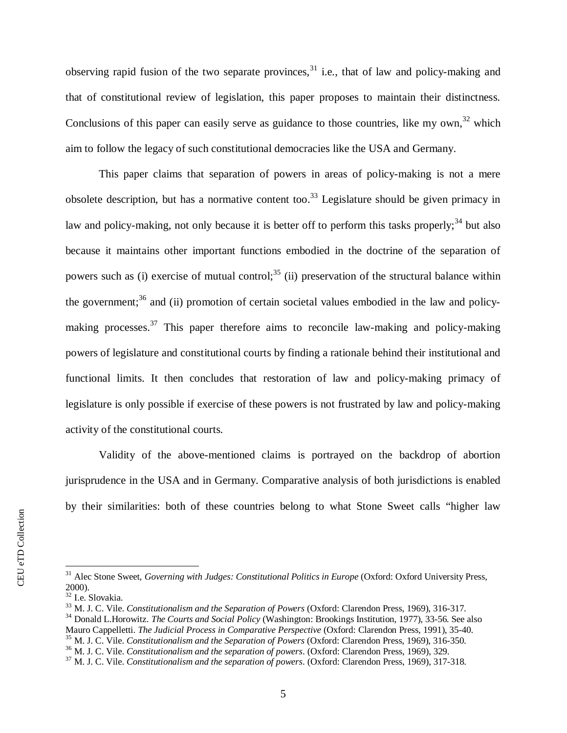observingrapid fusion of the two separate provinces,  $31$  i.e., that of law and policy-making and that of constitutional review of legislation, this paper proposes to maintain their distinctness. Conclusionsof this paper can easily serve as guidance to those countries, like my own.<sup>32</sup> which aim to follow the legacy of such constitutional democracies like the USA and Germany.

This paper claims that separation of powers in areas of policy-making is not a mere obsoletedescription, but has a normative content too.<sup>33</sup> Legislature should be given primacy in lawand policy-making, not only because it is better off to perform this tasks properly;  $34$  but also because it maintains other important functions embodied in the doctrine of the separation of powerssuch as (i) exercise of mutual control;<sup>35</sup> (ii) preservation of the structural balance within thegovernment;<sup>36</sup> and (ii) promotion of certain societal values embodied in the law and policymakingprocesses.<sup>37</sup> This paper therefore aims to reconcile law-making and policy-making powers of legislature and constitutional courts by finding a rationale behind their institutional and functional limits. It then concludes that restoration of law and policy-making primacy of legislature is only possible if exercise of these powers is not frustrated by law and policy-making activity of the constitutional courts.

Validity of the above-mentioned claims is portrayed on the backdrop of abortion jurisprudence in the USA and in Germany. Comparative analysis of both jurisdictions is enabled by their similarities: both of these countries belong to what Stone Sweet calls "higher law

CEU eTD Collection CEU eTD Collection

<span id="page-7-0"></span><sup>&</sup>lt;sup>31</sup> Alec Stone Sweet, *Governing with Judges: Constitutional Politics in Europe* (Oxford: Oxford University Press, 2000).

<span id="page-7-1"></span><sup>32</sup> I.e. Slovakia.

<span id="page-7-2"></span><sup>33</sup> M. J. C. Vile. *Constitutionalism and the Separation of Powers* (Oxford: Clarendon Press, 1969), 316-317.

<span id="page-7-3"></span><sup>34</sup> Donald L.Horowitz. *The Courts and Social Policy* (Washington: Brookings Institution, 1977), 33-56. See also

Mauro Cappelletti. *The Judicial Process in Comparative Perspective* (Oxford: Clarendon Press, 1991), 35-40.

<span id="page-7-4"></span><sup>35</sup> M. J. C. Vile. *Constitutionalism and the Separation of Powers* (Oxford: Clarendon Press, 1969), 316-350.

<span id="page-7-5"></span><sup>36</sup> M. J. C. Vile. *Constitutionalism and the separation of powers*. (Oxford: Clarendon Press, 1969), 329.

<span id="page-7-6"></span><sup>37</sup> M. J. C. Vile. *Constitutionalism and the separation of powers*. (Oxford: Clarendon Press, 1969), 317-318.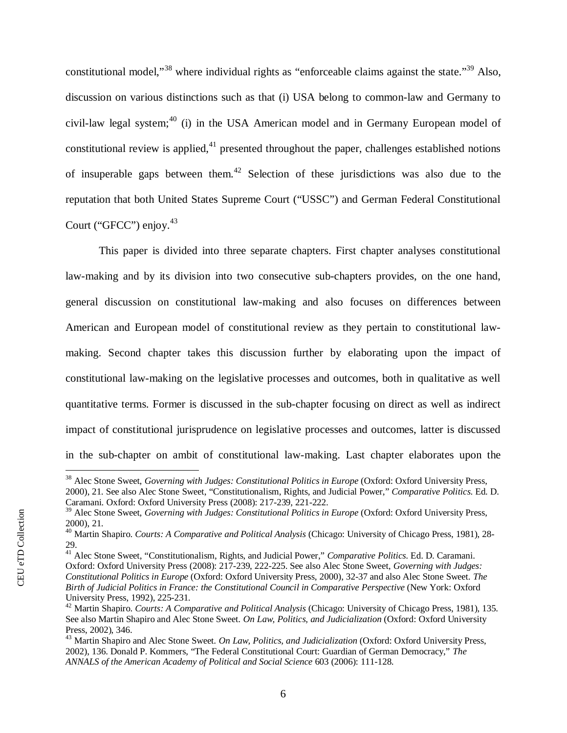constitutionalmodel,"<sup>38</sup> where individual rights as "enforceable claims against the state."<sup>39</sup> Also, discussion on various distinctions such as that (i) USA belong to common-law and Germany to civil-lawlegal system;<sup>40</sup> (i) in the USA American model and in Germany European model of constitutionalreview is applied, $4<sup>1</sup>$  presented throughout the paper, challenges established notions ofinsuperable gaps between them.<sup>42</sup> Selection of these jurisdictions was also due to the reputation that both United States Supreme Court ("USSC") and German Federal Constitutional Court ("GFCC") enjoy.<sup>[43](#page-8-5)</sup>

This paper is divided into three separate chapters. First chapter analyses constitutional law-making and by its division into two consecutive sub-chapters provides, on the one hand, general discussion on constitutional law-making and also focuses on differences between American and European model of constitutional review as they pertain to constitutional lawmaking. Second chapter takes this discussion further by elaborating upon the impact of constitutional law-making on the legislative processes and outcomes, both in qualitative as well quantitative terms. Former is discussed in the sub-chapter focusing on direct as well as indirect impact of constitutional jurisprudence on legislative processes and outcomes, latter is discussed in the sub-chapter on ambit of constitutional law-making. Last chapter elaborates upon the

<span id="page-8-0"></span><sup>&</sup>lt;sup>38</sup> Alec Stone Sweet, *Governing with Judges: Constitutional Politics in Europe* (Oxford: Oxford University Press, 2000), 21. See also Alec Stone Sweet, "Constitutionalism, Rights, and Judicial Power," *Comparative Politics*. Ed. D. Caramani. Oxford: Oxford University Press (2008): 217-239, 221-222.

<span id="page-8-1"></span><sup>&</sup>lt;sup>39</sup> Alec Stone Sweet, *Governing with Judges: Constitutional Politics in Europe* (Oxford: Oxford University Press, 2000), 21.

<span id="page-8-2"></span><sup>40</sup> Martin Shapiro. *Courts: A Comparative and Political Analysis* (Chicago: University of Chicago Press, 1981), 28- 29.

<span id="page-8-3"></span><sup>41</sup> Alec Stone Sweet, "Constitutionalism, Rights, and Judicial Power," *Comparative Politics*. Ed. D. Caramani. Oxford: Oxford University Press (2008): 217-239, 222-225. See also Alec Stone Sweet, *Governing with Judges: Constitutional Politics in Europe* (Oxford: Oxford University Press, 2000), 32-37 and also Alec Stone Sweet. *The Birth of Judicial Politics in France: the Constitutional Council in Comparative Perspective* (New York: Oxford University Press, 1992), 225-231.

<span id="page-8-4"></span><sup>42</sup> Martin Shapiro. *Courts: A Comparative and Political Analysis* (Chicago: University of Chicago Press, 1981), 135. See also Martin Shapiro and Alec Stone Sweet. *On Law, Politics, and Judicialization* (Oxford: Oxford University Press, 2002), 346.

<span id="page-8-5"></span><sup>43</sup> Martin Shapiro and Alec Stone Sweet. *On Law, Politics, and Judicialization* (Oxford: Oxford University Press, 2002), 136. Donald P. Kommers, "The Federal Constitutional Court: Guardian of German Democracy," *The ANNALS of the American Academy of Political and Social Science* 603 (2006): 111-128.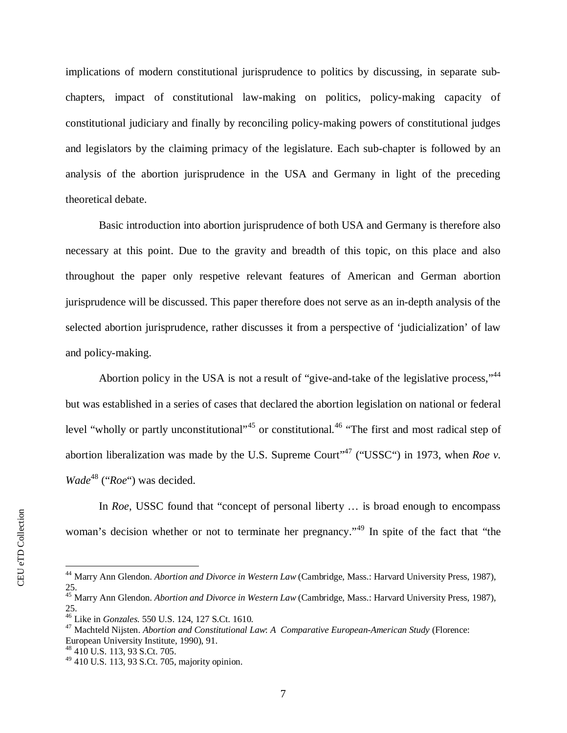implications of modern constitutional jurisprudence to politics by discussing, in separate subchapters, impact of constitutional law-making on politics, policy-making capacity of constitutional judiciary and finally by reconciling policy-making powers of constitutional judges and legislators by the claiming primacy of the legislature. Each sub-chapter is followed by an analysis of the abortion jurisprudence in the USA and Germany in light of the preceding theoretical debate.

Basic introduction into abortion jurisprudence of both USA and Germany is therefore also necessary at this point. Due to the gravity and breadth of this topic, on this place and also throughout the paper only respetive relevant features of American and German abortion jurisprudence will be discussed. This paper therefore does not serve as an in-depth analysis of the selected abortion jurisprudence, rather discusses it from a perspective of 'judicialization' of law and policy-making.

Abortion policy in the USA is not a result of "give-and-take of the legislative process,"<sup>[44](#page-9-0)</sup> but was established in a series of cases that declared the abortion legislation on national or federal level"wholly or partly unconstitutional"<sup>45</sup> or constitutional.<sup>46</sup> "The first and most radical step of abortionliberalization was made by the U.S. Supreme Court<sup> $147$ </sup> ("USSC") in 1973, when *Roe v. Wade*<sup>48</sup>("*Roe*") was decided.

In *Roe*, USSC found that "concept of personal liberty ... is broad enough to encompass woman's decision whether or not to terminate her pregnancy."<sup>49</sup> In spite of the fact that "the

<span id="page-9-0"></span><sup>44</sup> Marry Ann Glendon. *Abortion and Divorce in Western Law* (Cambridge, Mass.: Harvard University Press, 1987), 25.

<span id="page-9-1"></span><sup>45</sup> Marry Ann Glendon. *Abortion and Divorce in Western Law* (Cambridge, Mass.: Harvard University Press, 1987), 25.

<span id="page-9-2"></span><sup>46</sup> Like in *Gonzales*. 550 U.S. 124, 127 S.Ct. 1610.

<span id="page-9-3"></span><sup>47</sup> Machteld Nijsten. *Abortion and Constitutional Law*: *A Comparative European-American Study* (Florence: European University Institute, 1990), 91.

<span id="page-9-4"></span><sup>48</sup> 410 U.S. 113, 93 S.Ct. 705.

 $^{49}$  410 U.S. 113, 93 S.Ct. 705, majority opinion.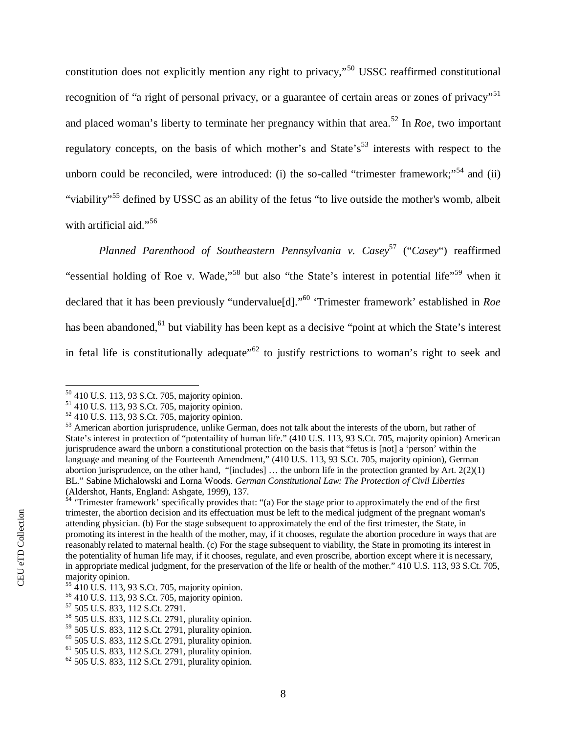constitution does not explicitly mention any right to privacy,"<sup>50</sup>USSC reaffirmed constitutional recognition of ["](#page-10-1)a right of personal privacy, or a guarantee of certain areas or zones of privacy"<sup>51</sup> andplaced woman's liberty to terminate her pregnancy within that area.<sup>52</sup> In *Roe*, two important regulatoryconcepts, on the basis of which mother's and State's<sup>53</sup> interests with respect to the unborncould be reconciled, were introduced: (i) the so-called "trimester framework;"<sup>54</sup> and (ii) "viability"<sup>55</sup>defined by USSC as an ability of the fetus "to live outside the mother's womb, albeit with artificial aid."<sup>[56](#page-10-6)</sup>

*Planned Parenthood of Southeastern Pennsylvania v. Casey*<sup>57</sup>("*Casey*") reaffirmed "essentialholding of Roe v. Wade,"<sup>58</sup> but also "the State's interest in potential life"<sup>59</sup> when it declared that it has been previously "undervalue[d]."<sup>60</sup>'Trimester framework' established in *Roe* hasbeen abandoned,<sup>61</sup> but viability has been kept as a decisive "point at which the State's interest in fetal life is constitutionally adequate<sup> $562$ </sup> to justify restrictions to woman's right to seek and

<span id="page-10-0"></span><sup>50</sup> 410 U.S. 113, 93 S.Ct. 705, majority opinion.

<span id="page-10-1"></span><sup>51</sup> 410 U.S. 113, 93 S.Ct. 705, majority opinion.

<span id="page-10-2"></span><sup>52</sup> 410 U.S. 113, 93 S.Ct. 705, majority opinion.

<span id="page-10-3"></span><sup>&</sup>lt;sup>53</sup> American abortion jurisprudence, unlike German, does not talk about the interests of the uborn, but rather of State's interest in protection of "potentaility of human life." (410 U.S. 113, 93 S.Ct. 705, majority opinion) American jurisprudence award the unborn a constitutional protection on the basis that "fetus is [not] a 'person' within the language and meaning of the Fourteenth Amendment," (410 U.S. 113, 93 S.Ct. 705, majority opinion), German abortion jurisprudence, on the other hand, "[includes] … the unborn life in the protection granted by Art. 2(2)(1) BL." Sabine Michalowski and Lorna Woods. *German Constitutional Law: The Protection of Civil Liberties* (Aldershot, Hants, England: Ashgate, 1999), 137.

<span id="page-10-4"></span> $54$  'Trimester framework' specifically provides that: "(a) For the stage prior to approximately the end of the first trimester, the abortion decision and its effectuation must be left to the medical judgment of the pregnant woman's attending physician. (b) For the stage subsequent to approximately the end of the first trimester, the State, in promoting its interest in the health of the mother, may, if it chooses, regulate the abortion procedure in ways that are reasonably related to maternal health. (c) For the stage subsequent to viability, the State in promoting its interest in the potentiality of human life may, if it chooses, regulate, and even proscribe, abortion except where it is necessary, in appropriate medical judgment, for the preservation of the life or health of the mother." 410 U.S. 113, 93 S.Ct. 705, majority opinion.

<span id="page-10-5"></span><sup>55</sup> 410 U.S. 113, 93 S.Ct. 705, majority opinion.

<span id="page-10-6"></span><sup>56</sup> 410 U.S. 113, 93 S.Ct. 705, majority opinion.

<span id="page-10-7"></span><sup>57</sup> 505 U.S. 833, 112 S.Ct. 2791.

<span id="page-10-8"></span><sup>58</sup> 505 U.S. 833, 112 S.Ct. 2791, plurality opinion.

<span id="page-10-9"></span><sup>59</sup> 505 U.S. 833, 112 S.Ct. 2791, plurality opinion.

<span id="page-10-10"></span> $60$  505 U.S. 833, 112 S.Ct. 2791, plurality opinion.

<span id="page-10-11"></span><sup>61</sup> 505 U.S. 833, 112 S.Ct. 2791, plurality opinion.

 $62$  505 U.S. 833, 112 S.Ct. 2791, plurality opinion.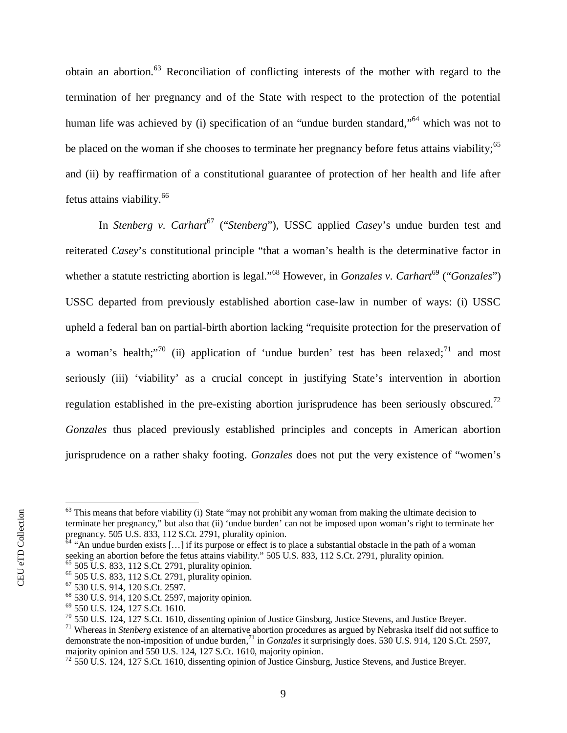obtainan abortion.<sup>63</sup> Reconciliation of conflicting interests of the mother with regard to the termination of her pregnancy and of the State with respect to the protection of the potential humanlife was achieved by (i) specification of an "undue burden standard,"<sup>64</sup> which was not to be placed on the woman if she chooses to terminate her pregnancy before fetus attains viability[;](#page-11-2)<sup>65</sup> and (ii) by reaffirmation of a constitutional guarantee of protection of her health and life after fetus attains viability.<sup>[66](#page-11-3)</sup>

In*Stenberg v. Carhart<sup>67</sup>* ("*Stenberg*"), USSC applied *Casey*'s undue burden test and reiterated *Casey*'s constitutional principle "that a woman's health is the determinative factor in whethera statute restricting abortion is legal."<sup>68</sup> However, in *Gonzales v. Carhart*<sup>69</sup> ("*Gonzales*") USSC departed from previously established abortion case-law in number of ways: (i) USSC upheld a federal ban on partial-birth abortion lacking "requisite protection for the preservation of awoman's health;"<sup>70</sup> (ii) application of 'undue burden' test has been relaxed;<sup>71</sup> and most seriously (iii) 'viability' as a crucial concept in justifying State's intervention in abortion regulation established in the pre-existing abortion jurisprudence has been seriously obscured[.](#page-11-9)<sup>72</sup> *Gonzales* thus placed previously established principles and concepts in American abortion jurisprudence on a rather shaky footing. *Gonzales* does not put the very existence of "women's

<span id="page-11-0"></span> $63$  This means that before viability (i) State "may not prohibit any woman from making the ultimate decision to terminate her pregnancy," but also that (ii) 'undue burden' can not be imposed upon woman's right to terminate her pregnancy. 505 U.S. 833, 112 S.Ct. 2791, plurality opinion.

<span id="page-11-1"></span> $64$  "An undue burden exists [...] if its purpose or effect is to place a substantial obstacle in the path of a woman seeking an abortion before the fetus attains viability." 505 U.S. 833, 112 S.Ct. 2791, plurality opinion.  $65$  505 U.S. 833, 112 S.Ct. 2791, plurality opinion.

<span id="page-11-3"></span><span id="page-11-2"></span><sup>66</sup> 505 U.S. 833, 112 S.Ct. 2791, plurality opinion.

<sup>67</sup> 530 U.S. 914, 120 S.Ct. 2597.

<span id="page-11-4"></span>

<span id="page-11-5"></span><sup>68</sup> 530 U.S. 914, 120 S.Ct. 2597, majority opinion.

<span id="page-11-6"></span><sup>69</sup> 550 U.S. 124, 127 S.Ct. 1610.

<span id="page-11-7"></span> $70\,550$  U.S. 124, 127 S.Ct. 1610, dissenting opinion of Justice Ginsburg, Justice Stevens, and Justice Breyer.

<span id="page-11-8"></span><sup>71</sup> Whereas in *Stenberg* existence of an alternative abortion procedures as argued by Nebraska itself did not suffice to demonstrate the non-imposition of undue burden,<sup>71</sup> in *Gonzales* it surprisingly does. 530 U.S. 914, 120 S.Ct. 2597, majority opinion and 550 U.S. 124, 127 S.Ct. 1610, majority opinion.

<span id="page-11-9"></span><sup>72</sup> 550 U.S. 124, 127 S.Ct. 1610, dissenting opinion of Justice Ginsburg, Justice Stevens, and Justice Breyer.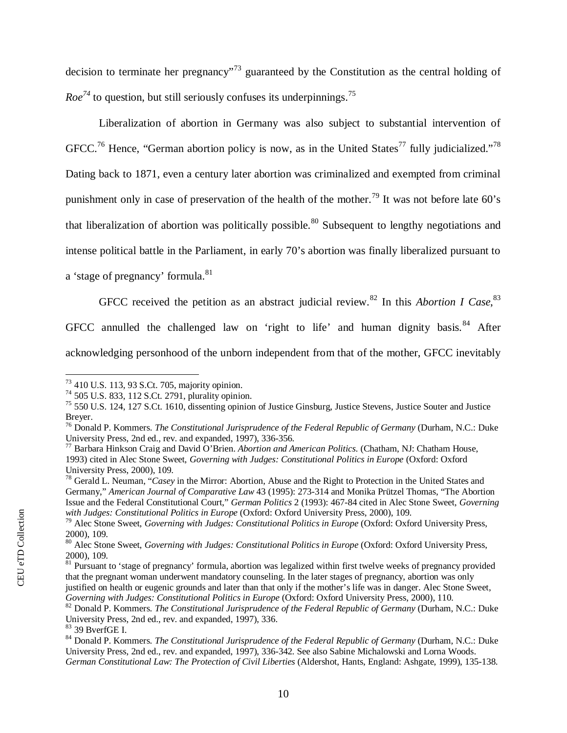decisionto terminate her pregnancy<sup> $3$ </sup> guaranteed by the Constitution as the central holding of  $Roe^{74}$ to question, but still seriously confuses its underpinnings.<sup>[75](#page-12-2)</sup>

Liberalization of abortion in Germany was also subject to substantial intervention of GFCC.<sup>76</sup>Hence, ["](#page-12-5)German abortion policy is now, as in the United States<sup>77</sup> fully judicialized."<sup>78</sup> Dating back to 1871, even a century later abortion was criminalized and exempted from criminal punishmentonly in case of preservation of the health of the mother.<sup>79</sup> It was not before late 60's thatliberalization of abortion was politically possible.<sup>80</sup> Subsequent to lengthy negotiations and intense political battle in the Parliament, in early 70's abortion was finally liberalized pursuant to

a 'stage of pregnancy' formula.<sup>[81](#page-12-8)</sup>

GFCCreceived the petition as an abstract judicial review.<sup>82</sup> In this *Abortion I Case*[,](#page-12-10)<sup>83</sup>

GFCCannulled the challenged law on 'right to life' and human dignity basis. $84$  After

acknowledging personhood of the unborn independent from that of the mother, GFCC inevitably

<span id="page-12-0"></span><sup>73</sup> 410 U.S. 113, 93 S.Ct. 705, majority opinion.

<span id="page-12-1"></span><sup>74</sup> 505 U.S. 833, 112 S.Ct. 2791, plurality opinion.

<span id="page-12-2"></span><sup>75</sup> 550 U.S. 124, 127 S.Ct. 1610, dissenting opinion of Justice Ginsburg, Justice Stevens, Justice Souter and Justice Breyer.

<span id="page-12-3"></span><sup>76</sup> Donald P. Kommers. *The Constitutional Jurisprudence of the Federal Republic of Germany* (Durham, N.C.: Duke University Press, 2nd ed., rev. and expanded, 1997), 336-356.

<span id="page-12-4"></span><sup>77</sup> Barbara Hinkson Craig and David O'Brien. *Abortion and American Politics.* (Chatham, NJ: Chatham House, 1993) cited in Alec Stone Sweet, *Governing with Judges: Constitutional Politics in Europe* (Oxford: Oxford University Press, 2000), 109.

<span id="page-12-5"></span><sup>78</sup> Gerald L. Neuman, "*Casey* in the Mirror: Abortion, Abuse and the Right to Protection in the United States and Germany," *American Journal of Comparative Law* 43 (1995): 273-314 and Monika Prützel Thomas, "The Abortion Issue and the Federal Constitutional Court," *German Politics* 2 (1993): 467-84 cited in Alec Stone Sweet, *Governing with Judges: Constitutional Politics in Europe* (Oxford: Oxford University Press, 2000), 109.

<span id="page-12-6"></span><sup>79</sup> Alec Stone Sweet, *Governing with Judges: Constitutional Politics in Europe* (Oxford: Oxford University Press, 2000), 109.

<span id="page-12-7"></span><sup>80</sup> Alec Stone Sweet, *Governing with Judges: Constitutional Politics in Europe* (Oxford: Oxford University Press, 2000), 109.

<span id="page-12-8"></span> $81$  Pursuant to 'stage of pregnancy' formula, abortion was legalized within first twelve weeks of pregnancy provided that the pregnant woman underwent mandatory counseling. In the later stages of pregnancy, abortion was only justified on health or eugenic grounds and later than that only if the mother's life was in danger. Alec Stone Sweet, *Governing with Judges: Constitutional Politics in Europe* (Oxford: Oxford University Press, 2000), 110.

<span id="page-12-9"></span><sup>82</sup> Donald P. Kommers. *The Constitutional Jurisprudence of the Federal Republic of Germany* (Durham, N.C.: Duke University Press, 2nd ed., rev. and expanded, 1997), 336.

<span id="page-12-10"></span><sup>83</sup> 39 BverfGE I.

<span id="page-12-11"></span><sup>84</sup> Donald P. Kommers. *The Constitutional Jurisprudence of the Federal Republic of Germany* (Durham, N.C.: Duke University Press, 2nd ed., rev. and expanded, 1997), 336-342. See also Sabine Michalowski and Lorna Woods. *German Constitutional Law: The Protection of Civil Liberties* (Aldershot, Hants, England: Ashgate, 1999), 135-138.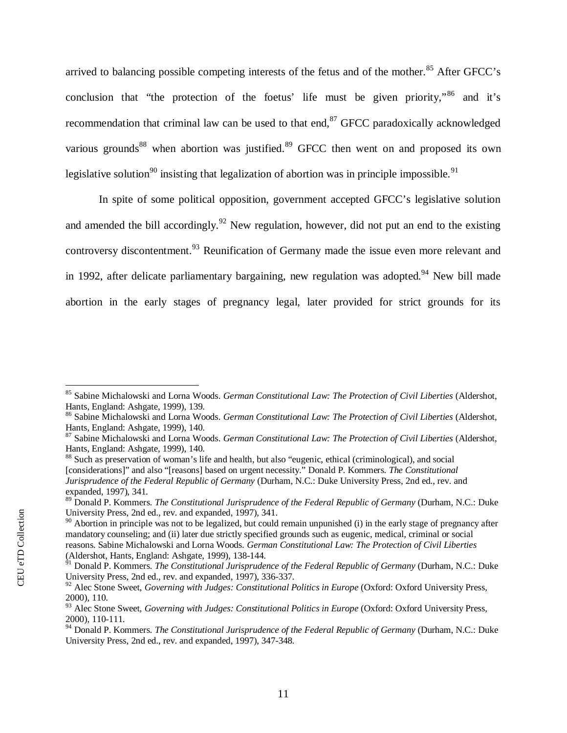arrivedto balancing possible competing interests of the fetus and of the mother.<sup>85</sup> After GFCC's conclusionthat "the protection of the foetus' life must be given priority,"<sup>86</sup> and it's recommendationthat criminal law can be used to that end, $87$  GFCC paradoxically acknowledged variousgrounds<sup>88</sup> when abortion was justified.<sup>89</sup> GFCC then went on and proposed its own legislativesolution<sup>90</sup> insisting that legalization of abortion was in principle impossible.<sup>[91](#page-13-6)</sup>

In spite of some political opposition, government accepted GFCC's legislative solution andamended the bill accordingly.<sup>92</sup> New regulation, however, did not put an end to the existing controversydiscontentment.<sup>93</sup> Reunification of Germany made the issue even more relevant and in1992, after delicate parliamentary bargaining, new regulation was adopted.<sup>94</sup> New bill made abortion in the early stages of pregnancy legal, later provided for strict grounds for its

<span id="page-13-0"></span><sup>85</sup> Sabine Michalowski and Lorna Woods. *German Constitutional Law: The Protection of Civil Liberties* (Aldershot, Hants, England: Ashgate, 1999), 139.

<span id="page-13-1"></span><sup>86</sup> Sabine Michalowski and Lorna Woods. *German Constitutional Law: The Protection of Civil Liberties* (Aldershot, Hants, England: Ashgate, 1999), 140.

<span id="page-13-2"></span><sup>87</sup> Sabine Michalowski and Lorna Woods. *German Constitutional Law: The Protection of Civil Liberties* (Aldershot, Hants, England: Ashgate, 1999), 140.

<span id="page-13-3"></span><sup>&</sup>lt;sup>88</sup> Such as preservation of woman's life and health, but also "eugenic, ethical (criminological), and social [considerations]" and also "[reasons] based on urgent necessity." Donald P. Kommers. *The Constitutional Jurisprudence of the Federal Republic of Germany* (Durham, N.C.: Duke University Press, 2nd ed., rev. and expanded, 1997), 341.

<span id="page-13-4"></span><sup>89</sup> Donald P. Kommers. *The Constitutional Jurisprudence of the Federal Republic of Germany* (Durham, N.C.: Duke University Press, 2nd ed., rev. and expanded, 1997), 341.

<span id="page-13-5"></span> $90$  Abortion in principle was not to be legalized, but could remain unpunished (i) in the early stage of pregnancy after mandatory counseling; and (ii) later due strictly specified grounds such as eugenic, medical, criminal or social reasons. Sabine Michalowski and Lorna Woods. *German Constitutional Law: The Protection of Civil Liberties* (Aldershot, Hants, England: Ashgate, 1999), 138-144.

<span id="page-13-6"></span><sup>&</sup>lt;sup>91</sup> Donald P. Kommers. *The Constitutional Jurisprudence of the Federal Republic of Germany* (Durham, N.C.: Duke University Press, 2nd ed., rev. and expanded, 1997), 336-337.

<span id="page-13-7"></span><sup>&</sup>lt;sup>92</sup> Alec Stone Sweet, *Governing with Judges: Constitutional Politics in Europe* (Oxford: Oxford University Press, 2000), 110.

<span id="page-13-8"></span><sup>&</sup>lt;sup>93</sup> Alec Stone Sweet, *Governing with Judges: Constitutional Politics in Europe* (Oxford: Oxford University Press, 2000), 110-111.

<span id="page-13-9"></span><sup>94</sup> Donald P. Kommers. *The Constitutional Jurisprudence of the Federal Republic of Germany* (Durham, N.C.: Duke University Press, 2nd ed., rev. and expanded, 1997), 347-348.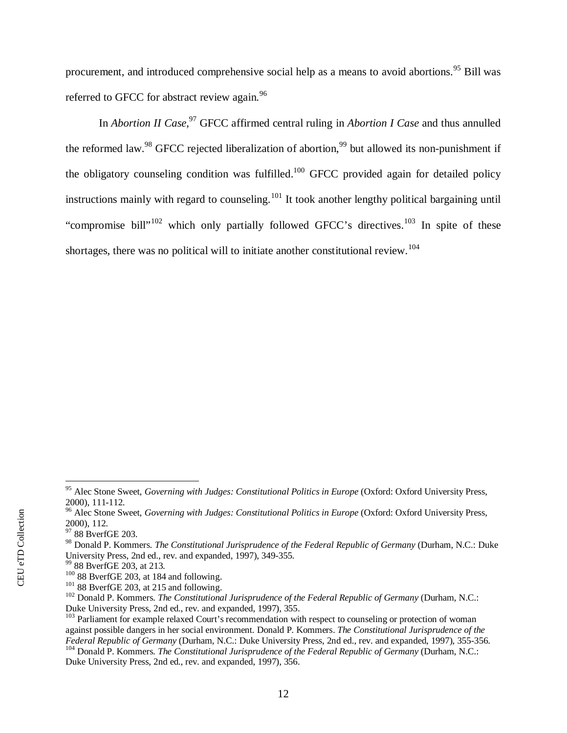procurement,and introduced comprehensive social help as a means to avoid abortions.<sup>95</sup> Bill was referred to GFCC for abstract review again.<sup>[96](#page-14-1)</sup>

In *Abortion II Case*, <sup>97</sup>GFCC affirmed central ruling in *Abortion I Case* and thus annulled thereformed law.<sup>98</sup> GFCC rejected liberalization of abortion,<sup>99</sup> but allowed its non-punishment if the obligatory counseling condition was fulfilled.<sup>[100](#page-14-5)</sup> GFCC provided again for detailed policy instructions mainly with regard to counseling.<sup>[101](#page-14-6)</sup> It took another lengthy political bargaining until "compromise bill"<sup>[102](#page-14-7)</sup> which only partially followed GFCC's directives.<sup>[103](#page-14-8)</sup> In spite of these shortages, there was no political will to initiate another constitutional review.<sup>104</sup>

<span id="page-14-0"></span><sup>&</sup>lt;sup>95</sup> Alec Stone Sweet, *Governing with Judges: Constitutional Politics in Europe* (Oxford: Oxford University Press, 2000), 111-112.

<span id="page-14-1"></span><sup>&</sup>lt;sup>96</sup> Alec Stone Sweet, *Governing with Judges: Constitutional Politics in Europe* (Oxford: Oxford University Press, 2000), 112.

<span id="page-14-2"></span><sup>&</sup>lt;sup>97</sup> 88 BverfGE 203.

<span id="page-14-3"></span><sup>98</sup> Donald P. Kommers. *The Constitutional Jurisprudence of the Federal Republic of Germany* (Durham, N.C.: Duke University Press, 2nd ed., rev. and expanded, 1997), 349-355.

<span id="page-14-4"></span><sup>99</sup> 88 BverfGE 203, at 213.

<span id="page-14-5"></span> $100$  88 BverfGE 203, at 184 and following.

<span id="page-14-6"></span> $101$  88 BverfGE 203, at 215 and following.

<span id="page-14-7"></span><sup>102</sup> Donald P. Kommers. *The Constitutional Jurisprudence of the Federal Republic of Germany* (Durham, N.C.: Duke University Press, 2nd ed., rev. and expanded, 1997), 355.

<span id="page-14-8"></span><sup>&</sup>lt;sup>103</sup> Parliament for example relaxed Court's recommendation with respect to counseling or protection of woman against possible dangers in her social environment. Donald P. Kommers. *The Constitutional Jurisprudence of the Federal Republic of Germany* (Durham, N.C.: Duke University Press, 2nd ed., rev. and expanded, 1997), 355-356. <sup>104</sup> Donald P. Kommers. *The Constitutional Jurisprudence of the Federal Republic of Germany* (Durham, N.C.:

Duke University Press, 2nd ed., rev. and expanded, 1997), 356.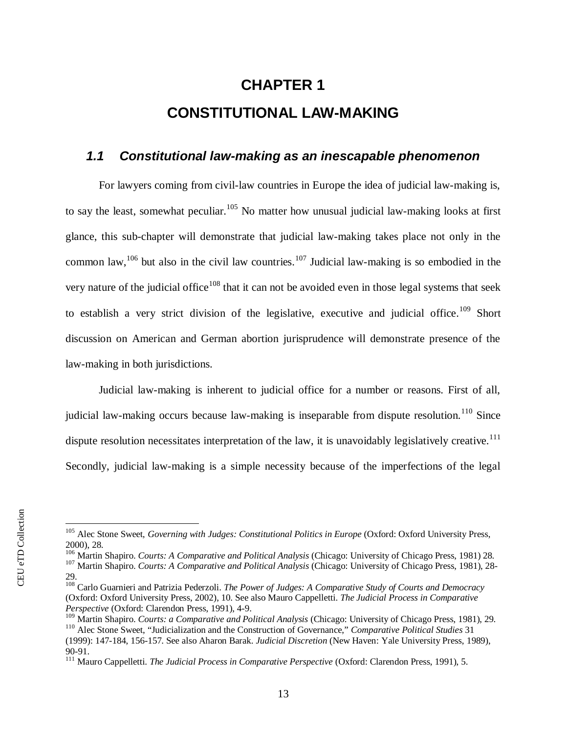# <span id="page-15-0"></span>**CHAPTER 1 CONSTITUTIONAL LAW-MAKING**

### <span id="page-15-1"></span>*1.1 Constitutional law-making as an inescapable phenomenon*

For lawyers coming from civil-law countries in Europe the idea of judicial law-making is, to say the least, somewhat peculiar.<sup>[105](#page-15-2)</sup> No matter how unusual judicial law-making looks at first glance, this sub-chapter will demonstrate that judicial law-making takes place not only in the common law,<sup>[106](#page-15-3)</sup> but also in the civil law countries.<sup>[107](#page-15-4)</sup> Judicial law-making is so embodied in the very nature of the judicial office<sup>[108](#page-15-5)</sup> that it can not be avoided even in those legal systems that seek to establish a very strict division of the legislative, executive and judicial office.<sup>[109](#page-15-6)</sup> Short discussion on American and German abortion jurisprudence will demonstrate presence of the law-making in both jurisdictions.

Judicial law-making is inherent to judicial office for a number or reasons. First of all, judicial law-making occurs because law-making is inseparable from dispute resolution.<sup>[110](#page-15-7)</sup> Since dispute resolution necessitates interpretation of the law, it is unavoidably legislatively creative.<sup>[111](#page-15-8)</sup> Secondly, judicial law-making is a simple necessity because of the imperfections of the legal

<span id="page-15-3"></span><sup>106</sup> Martin Shapiro. *Courts: A Comparative and Political Analysis* (Chicago: University of Chicago Press, 1981) 28.

<span id="page-15-2"></span><sup>&</sup>lt;sup>105</sup> Alec Stone Sweet, *Governing with Judges: Constitutional Politics in Europe* (Oxford: Oxford University Press, 2000), 28.

<span id="page-15-4"></span><sup>107</sup> Martin Shapiro. *Courts: A Comparative and Political Analysis* (Chicago: University of Chicago Press, 1981), 28- 29.

<span id="page-15-5"></span><sup>108</sup> Carlo Guarnieri and Patrizia Pederzoli. *The Power of Judges: A Comparative Study of Courts and Democracy* (Oxford: Oxford University Press, 2002), 10. See also Mauro Cappelletti. *The Judicial Process in Comparative Perspective* (Oxford: Clarendon Press, 1991), 4-9.

<span id="page-15-7"></span><span id="page-15-6"></span><sup>109</sup> Martin Shapiro. *Courts: a Comparative and Political Analysis* (Chicago: University of Chicago Press, 1981), 29. <sup>110</sup> Alec Stone Sweet, "Judicialization and the Construction of Governance," *Comparative Political Studies* 31 (1999): 147-184, 156-157. See also Aharon Barak. *Judicial Discretion* (New Haven: Yale University Press, 1989), 90-91.

<span id="page-15-8"></span><sup>111</sup> Mauro Cappelletti. *The Judicial Process in Comparative Perspective* (Oxford: Clarendon Press, 1991), 5.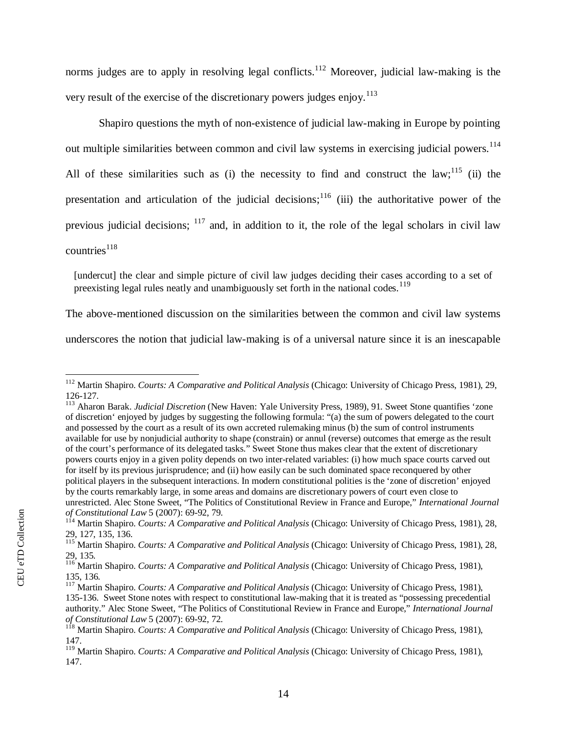norms judges are to apply in resolving legal conflicts.<sup>[112](#page-16-0)</sup> Moreover, judicial law-making is the very result of the exercise of the discretionary powers judges enjoy.<sup>[113](#page-16-1)</sup>

Shapiro questions the myth of non-existence of judicial law-making in Europe by pointing out multiple similarities between common and civil law systems in exercising judicial powers.<sup>[114](#page-16-2)</sup> All of these similarities such as (i) the necessity to find and construct the law;  $^{115}$  $^{115}$  $^{115}$  (ii) the presentation and articulation of the judicial decisions;  $116$  (iii) the authoritative power of the previous judicial decisions;  $117$  and, in addition to it, the role of the legal scholars in civil law  $countries<sup>118</sup>$  $countries<sup>118</sup>$  $countries<sup>118</sup>$ 

[undercut] the clear and simple picture of civil law judges deciding their cases according to a set of preexisting legal rules neatly and unambiguously set forth in the national codes.<sup>[119](#page-16-7)</sup>

The above-mentioned discussion on the similarities between the common and civil law systems

underscores the notion that judicial law-making is of a universal nature since it is an inescapable

<span id="page-16-1"></span><sup>113</sup> Aharon Barak. *Judicial Discretion* (New Haven: Yale University Press, 1989), 91. Sweet Stone quantifies 'zone of discretion' enjoyed by judges by suggesting the following formula: "(a) the sum of powers delegated to the court and possessed by the court as a result of its own accreted rulemaking minus (b) the sum of control instruments available for use by nonjudicial authority to shape (constrain) or annul (reverse) outcomes that emerge as the result of the court's performance of its delegated tasks." Sweet Stone thus makes clear that the extent of discretionary powers courts enjoy in a given polity depends on two inter-related variables: (i) how much space courts carved out for itself by its previous jurisprudence; and (ii) how easily can be such dominated space reconquered by other political players in the subsequent interactions. In modern constitutional polities is the 'zone of discretion' enjoyed by the courts remarkably large, in some areas and domains are discretionary powers of court even close to unrestricted. Alec Stone Sweet, "The Politics of Constitutional Review in France and Europe," *International Journal of Constitutional Law* 5 (2007): 69-92, 79.

<span id="page-16-0"></span><sup>112</sup> Martin Shapiro. *Courts: A Comparative and Political Analysis* (Chicago: University of Chicago Press, 1981), 29, 126-127.

<span id="page-16-2"></span><sup>114</sup> Martin Shapiro. *Courts: A Comparative and Political Analysis* (Chicago: University of Chicago Press, 1981), 28, 29, 127, 135, 136.

<span id="page-16-3"></span><sup>115</sup> Martin Shapiro. *Courts: A Comparative and Political Analysis* (Chicago: University of Chicago Press, 1981), 28, 29, 135.

<span id="page-16-4"></span><sup>116</sup> Martin Shapiro. *Courts: A Comparative and Political Analysis* (Chicago: University of Chicago Press, 1981), 135, 136.

<span id="page-16-5"></span><sup>117</sup> Martin Shapiro. *Courts: A Comparative and Political Analysis* (Chicago: University of Chicago Press, 1981), 135-136. Sweet Stone notes with respect to constitutional law-making that it is treated as "possessing precedential authority." Alec Stone Sweet, "The Politics of Constitutional Review in France and Europe," *International Journal of Constitutional Law* 5 (2007): 69-92, 72.

<span id="page-16-6"></span><sup>118</sup> Martin Shapiro. *Courts: A Comparative and Political Analysis* (Chicago: University of Chicago Press, 1981), 147.

<span id="page-16-7"></span><sup>119</sup> Martin Shapiro. *Courts: A Comparative and Political Analysis* (Chicago: University of Chicago Press, 1981), 147.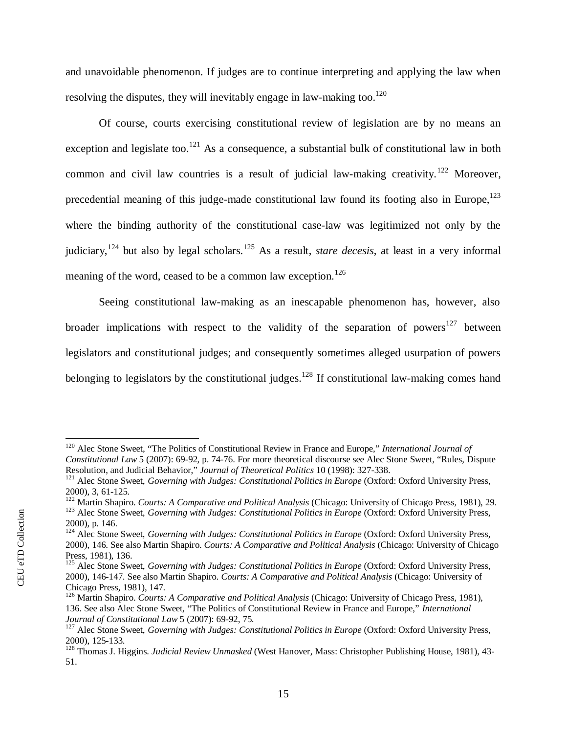and unavoidable phenomenon. If judges are to continue interpreting and applying the law when resolving the disputes, they will inevitably engage in law-making too.<sup>[120](#page-17-0)</sup>

Of course, courts exercising constitutional review of legislation are by no means an exception and legislate too.<sup>[121](#page-17-1)</sup> As a consequence, a substantial bulk of constitutional law in both common and civil law countries is a result of judicial law-making creativity.<sup>[122](#page-17-2)</sup> Moreover, precedential meaning of this judge-made constitutional law found its footing also in Europe[,](#page-17-3) $^{123}$ where the binding authority of the constitutional case-law was legitimized not only by the judiciary,<sup>[124](#page-17-4)</sup> but also by legal scholars.<sup>[125](#page-17-5)</sup> As a result, *stare decesis*, at least in a very informal meaning of the word, ceased to be a common law exception.<sup>[126](#page-17-6)</sup>

Seeing constitutional law-making as an inescapable phenomenon has, however, also broader implications with respect to the validity of the separation of powers<sup>[127](#page-17-7)</sup> between legislators and constitutional judges; and consequently sometimes alleged usurpation of powers belonging to legislators by the constitutional judges.<sup>128</sup> If constitutional law-making comes hand

<span id="page-17-0"></span><sup>120</sup> Alec Stone Sweet, "The Politics of Constitutional Review in France and Europe," *International Journal of Constitutional Law* 5 (2007): 69-92, p. 74-76. For more theoretical discourse see Alec Stone Sweet, "Rules, Dispute Resolution, and Judicial Behavior," *Journal of Theoretical Politics* 10 (1998): 327-338.

<span id="page-17-1"></span><sup>&</sup>lt;sup>121</sup> Alec Stone Sweet, *Governing with Judges: Constitutional Politics in Europe* (Oxford: Oxford University Press, 2000), 3, 61-125.

<span id="page-17-3"></span><span id="page-17-2"></span><sup>122</sup> Martin Shapiro. *Courts: A Comparative and Political Analysis* (Chicago: University of Chicago Press, 1981), 29. <sup>123</sup> Alec Stone Sweet, *Governing with Judges: Constitutional Politics in Europe* (Oxford: Oxford University Press,

<sup>2000),</sup> p. 146.

<span id="page-17-4"></span><sup>&</sup>lt;sup>124</sup> Alec Stone Sweet, *Governing with Judges: Constitutional Politics in Europe* (Oxford: Oxford University Press, 2000), 146. See also Martin Shapiro. *Courts: A Comparative and Political Analysis* (Chicago: University of Chicago Press, 1981), 136.

<span id="page-17-5"></span><sup>&</sup>lt;sup>125</sup> Alec Stone Sweet, *Governing with Judges: Constitutional Politics in Europe* (Oxford: Oxford University Press, 2000), 146-147. See also Martin Shapiro. *Courts: A Comparative and Political Analysis* (Chicago: University of Chicago Press, 1981), 147.

<span id="page-17-6"></span><sup>126</sup> Martin Shapiro. *Courts: A Comparative and Political Analysis* (Chicago: University of Chicago Press, 1981), 136. See also Alec Stone Sweet, "The Politics of Constitutional Review in France and Europe," *International Journal of Constitutional Law* 5 (2007): 69-92, 75.

<span id="page-17-7"></span><sup>&</sup>lt;sup>127</sup> Alec Stone Sweet, *Governing with Judges: Constitutional Politics in Europe* (Oxford: Oxford University Press, 2000), 125-133.

<sup>128</sup> Thomas J. Higgins. *Judicial Review Unmasked* (West Hanover, Mass: Christopher Publishing House, 1981), 43- 51.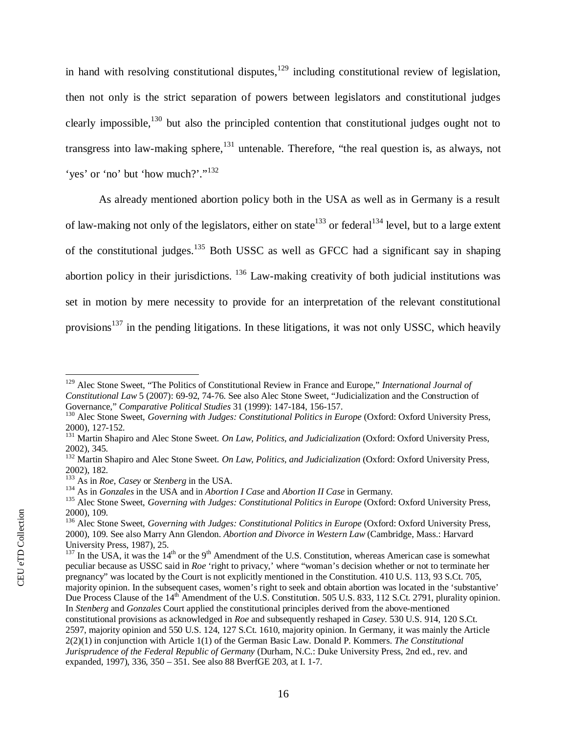in hand with resolving constitutional disputes, $129$  including constitutional review of legislation, then not only is the strict separation of powers between legislators and constitutional judges clearly impossible, $130$  but also the principled contention that constitutional judges ought not to transgress into law-making sphere, $131$  untenable. Therefore, "the real question is, as always, not 'yes' or 'no' but 'how much?'."<sup>[132](#page-18-3)</sup>

As already mentioned abortion policy both in the USA as well as in Germany is a result of law-making not only of the legislators, either on state<sup>[133](#page-18-4)</sup> or federal<sup>[134](#page-18-5)</sup> level, but to a large extent of the constitutional judges.[135](#page-18-6) Both USSC as well as GFCC had a significant say in shaping abortion policy in their jurisdictions. <sup>[136](#page-18-7)</sup> Law-making creativity of both judicial institutions was set in motion by mere necessity to provide for an interpretation of the relevant constitutional provisions<sup>137</sup> in the pending litigations. In these litigations, it was not only USSC, which heavily

<span id="page-18-0"></span><sup>129</sup> Alec Stone Sweet, "The Politics of Constitutional Review in France and Europe," *International Journal of Constitutional Law* 5 (2007): 69-92, 74-76. See also Alec Stone Sweet, "Judicialization and the Construction of Governance," *Comparative Political Studies* 31 (1999): 147-184, 156-157.

<span id="page-18-1"></span><sup>&</sup>lt;sup>130</sup> Alec Stone Sweet, *Governing with Judges: Constitutional Politics in Europe* (Oxford: Oxford University Press, 2000), 127-152.

<span id="page-18-2"></span><sup>131</sup> Martin Shapiro and Alec Stone Sweet. *On Law, Politics, and Judicialization* (Oxford: Oxford University Press, 2002), 345.

<span id="page-18-3"></span><sup>&</sup>lt;sup>132</sup> Martin Shapiro and Alec Stone Sweet. On Law, Politics, and Judicialization (Oxford: Oxford University Press, 2002), 182.

<span id="page-18-4"></span><sup>133</sup> As in *Roe*, *Casey* or *Stenberg* in the USA.

<span id="page-18-5"></span><sup>134</sup> As in *Gonzales* in the USA and in *Abortion I Case* and *Abortion II Case* in Germany.

<span id="page-18-6"></span><sup>&</sup>lt;sup>135</sup> Alec Stone Sweet, *Governing with Judges: Constitutional Politics in Europe* (Oxford: Oxford University Press, 2000), 109.

<span id="page-18-7"></span><sup>&</sup>lt;sup>136</sup> Alec Stone Sweet, *Governing with Judges: Constitutional Politics in Europe* (Oxford: Oxford University Press, 2000), 109. See also Marry Ann Glendon. *Abortion and Divorce in Western Law* (Cambridge, Mass.: Harvard University Press, 1987), 25.

 $137$  In the USA, it was the  $14<sup>th</sup>$  or the 9<sup>th</sup> Amendment of the U.S. Constitution, whereas American case is somewhat peculiar because as USSC said in *Roe* 'right to privacy,' where "woman's decision whether or not to terminate her pregnancy" was located by the Court is not explicitly mentioned in the Constitution. 410 U.S. 113, 93 S.Ct. 705, majority opinion. In the subsequent cases, women's right to seek and obtain abortion was located in the 'substantive' Due Process Clause of the 14<sup>th</sup> Amendment of the U.S. Constitution. 505 U.S. 833, 112 S.Ct. 2791, plurality opinion. In *Stenberg* and *Gonzales* Court applied the constitutional principles derived from the above-mentioned constitutional provisions as acknowledged in *Roe* and subsequently reshaped in *Casey*. 530 U.S. 914, 120 S.Ct. 2597, majority opinion and 550 U.S. 124, 127 S.Ct. 1610, majority opinion. In Germany, it was mainly the Article 2(2)(1) in conjunction with Article 1(1) of the German Basic Law. Donald P. Kommers. *The Constitutional Jurisprudence of the Federal Republic of Germany* (Durham, N.C.: Duke University Press, 2nd ed., rev. and expanded, 1997), 336, 350 – 351. See also 88 BverfGE 203, at I. 1-7.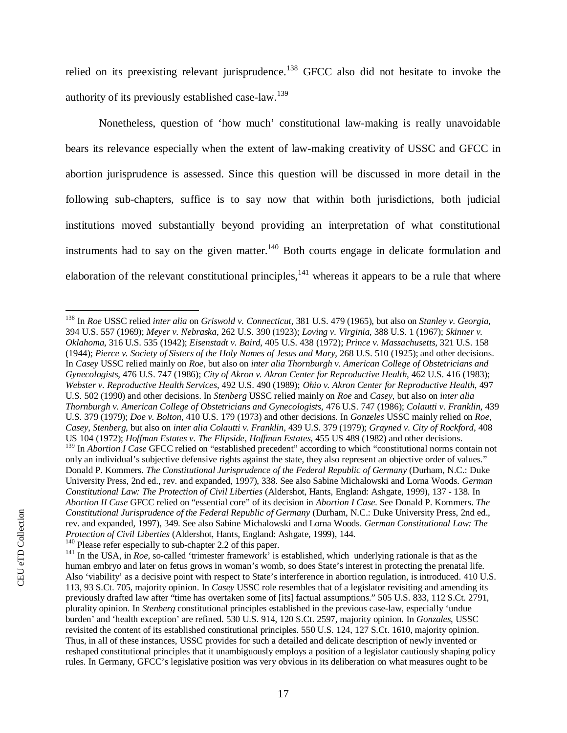relied on its preexisting relevant jurisprudence.<sup>[138](#page-19-0)</sup> GFCC also did not hesitate to invoke the authority of its previously established case-law.<sup>[139](#page-19-1)</sup>

Nonetheless, question of 'how much' constitutional law-making is really unavoidable bears its relevance especially when the extent of law-making creativity of USSC and GFCC in abortion jurisprudence is assessed. Since this question will be discussed in more detail in the following sub-chapters, suffice is to say now that within both jurisdictions, both judicial institutions moved substantially beyond providing an interpretation of what constitutional instruments had to say on the given matter. $140$  Both courts engage in delicate formulation and elaboration of the relevant constitutional principles,<sup>141</sup> whereas it appears to be a rule that where

<span id="page-19-0"></span><sup>138</sup> In *Roe* USSC relied *inter alia* on *Griswold v. Connecticut*, 381 U.S. 479 (1965), but also on *Stanley v. Georgia*, 394 U.S. 557 (1969); *Meyer v. Nebraska*, 262 U.S. 390 (1923); *Loving v. Virginia*, 388 U.S. 1 (1967); *Skinner v. Oklahoma*, 316 U.S. 535 (1942); *Eisenstadt v. Baird*, 405 U.S. 438 (1972); *Prince v. Massachusetts*, 321 U.S. 158 (1944); *Pierce v. Society of Sisters of the Holy Names of Jesus and Mary*, 268 U.S. 510 (1925); and other decisions. In *Casey* USSC relied mainly on *Roe*, but also on *inter alia Thornburgh v. American College of Obstetricians and Gynecologists*, 476 U.S. 747 (1986); *City of Akron v. Akron Center for Reproductive Health*, 462 U.S. 416 (1983); *Webster v. Reproductive Health Services*, 492 U.S. 490 (1989); *Ohio v. Akron Center for Reproductive Health*, 497 U.S. 502 (1990) and other decisions. In *Stenberg* USSC relied mainly on *Roe* and *Casey*, but also on *inter alia Thornburgh v. American College of Obstetricians and Gynecologists*, 476 U.S. 747 (1986); *Colautti v. Franklin*, 439 U.S. 379 (1979); *Doe v. Bolton*, 410 U.S. 179 (1973) and other decisions. In *Gonzeles* USSC mainly relied on *Roe*, *Casey*, *Stenberg*, but also on *inter alia Colautti v. Franklin*, 439 U.S. 379 (1979); *Grayned v. City of Rockford*, 408 US 104 (1972); *Hoffman Estates v. The Flipside, Hoffman Estates*, 455 US 489 (1982) and other decisions.

<span id="page-19-1"></span><sup>&</sup>lt;sup>139</sup> In *Abortion I Case* GFCC relied on "established precedent" according to which "constitutional norms contain not only an individual's subjective defensive rights against the state, they also represent an objective order of values." Donald P. Kommers. *The Constitutional Jurisprudence of the Federal Republic of Germany* (Durham, N.C.: Duke University Press, 2nd ed., rev. and expanded, 1997), 338. See also Sabine Michalowski and Lorna Woods. *German Constitutional Law: The Protection of Civil Liberties* (Aldershot, Hants, England: Ashgate, 1999), 137 - 138. In *Abortion II Case* GFCC relied on "essential core" of its decision in *Abortion I Case*. See Donald P. Kommers. *The Constitutional Jurisprudence of the Federal Republic of Germany* (Durham, N.C.: Duke University Press, 2nd ed., rev. and expanded, 1997), 349. See also Sabine Michalowski and Lorna Woods. *German Constitutional Law: The Protection of Civil Liberties* (Aldershot, Hants, England: Ashgate, 1999), 144.

<span id="page-19-2"></span><sup>&</sup>lt;sup>140</sup> Please refer especially to sub-chapter 2.2 of this paper.

<sup>&</sup>lt;sup>141</sup> In the USA, in *Roe*, so-called 'trimester framework' is established, which underlying rationale is that as the human embryo and later on fetus grows in woman's womb, so does State's interest in protecting the prenatal life. Also 'viability' as a decisive point with respect to State's interference in abortion regulation, is introduced. 410 U.S. 113, 93 S.Ct. 705, majority opinion. In *Casey* USSC role resembles that of a legislator revisiting and amending its previously drafted law after "time has overtaken some of [its] factual assumptions." 505 U.S. 833, 112 S.Ct. 2791, plurality opinion. In *Stenberg* constitutional principles established in the previous case-law, especially 'undue burden' and 'health exception' are refined. 530 U.S. 914, 120 S.Ct. 2597, majority opinion. In *Gonzales*, USSC revisited the content of its established constitutional principles. 550 U.S. 124, 127 S.Ct. 1610, majority opinion. Thus, in all of these instances, USSC provides for such a detailed and delicate description of newly invented or reshaped constitutional principles that it unambiguously employs a position of a legislator cautiously shaping policy rules. In Germany, GFCC's legislative position was very obvious in its deliberation on what measures ought to be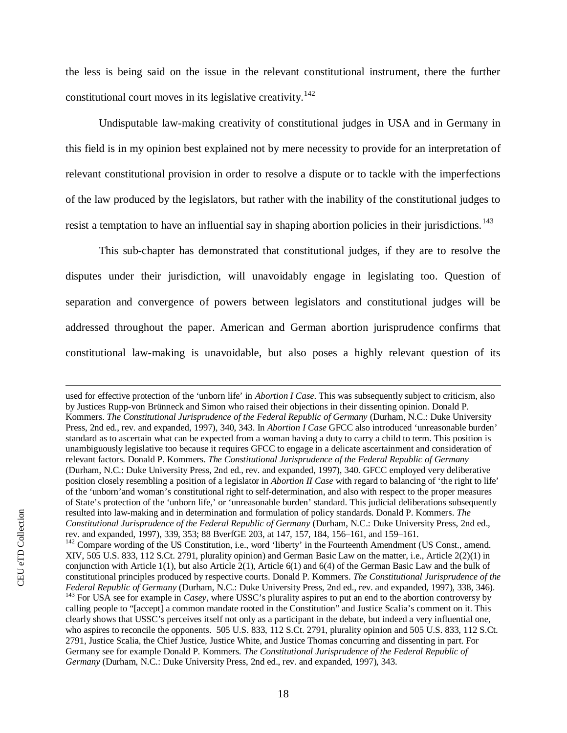the less is being said on the issue in the relevant constitutional instrument, there the further constitutional court moves in its legislative creativity.<sup>[142](#page-20-0)</sup>

Undisputable law-making creativity of constitutional judges in USA and in Germany in this field is in my opinion best explained not by mere necessity to provide for an interpretation of relevant constitutional provision in order to resolve a dispute or to tackle with the imperfections of the law produced by the legislators, but rather with the inability of the constitutional judges to resist a temptation to have an influential say in shaping abortion policies in their jurisdictions.<sup>[143](#page-20-1)</sup>

This sub-chapter has demonstrated that constitutional judges, if they are to resolve the disputes under their jurisdiction, will unavoidably engage in legislating too. Question of separation and convergence of powers between legislators and constitutional judges will be addressed throughout the paper. American and German abortion jurisprudence confirms that constitutional law-making is unavoidable, but also poses a highly relevant question of its

<span id="page-20-1"></span><span id="page-20-0"></span>used for effective protection of the 'unborn life' in *Abortion I Case*. This was subsequently subject to criticism, also by Justices Rupp-von Brünneck and Simon who raised their objections in their dissenting opinion. Donald P. Kommers. *The Constitutional Jurisprudence of the Federal Republic of Germany* (Durham, N.C.: Duke University Press, 2nd ed., rev. and expanded, 1997), 340, 343. In *Abortion I Case* GFCC also introduced 'unreasonable burden' standard as to ascertain what can be expected from a woman having a duty to carry a child to term. This position is unambiguously legislative too because it requires GFCC to engage in a delicate ascertainment and consideration of relevant factors. Donald P. Kommers. *The Constitutional Jurisprudence of the Federal Republic of Germany* (Durham, N.C.: Duke University Press, 2nd ed., rev. and expanded, 1997), 340. GFCC employed very deliberative position closely resembling a position of a legislator in *Abortion II Case* with regard to balancing of 'the right to life' of the 'unborn'and woman's constitutional right to self-determination, and also with respect to the proper measures of State's protection of the 'unborn life,' or 'unreasonable burden' standard. This judicial deliberations subsequently resulted into law-making and in determination and formulation of policy standards. Donald P. Kommers. *The Constitutional Jurisprudence of the Federal Republic of Germany* (Durham, N.C.: Duke University Press, 2nd ed., rev. and expanded, 1997), 339, 353; 88 BverfGE 203, at 147, 157, 184, 156–161, and 159–161. <sup>142</sup> Compare wording of the US Constitution, i.e., word 'liberty' in the Fourteenth Amendment (US Const., amend. XIV, 505 U.S. 833, 112 S.Ct. 2791, plurality opinion) and German Basic Law on the matter, i.e., Article 2(2)(1) in conjunction with Article 1(1), but also Article 2(1), Article 6(1) and 6(4) of the German Basic Law and the bulk of constitutional principles produced by respective courts. Donald P. Kommers. *The Constitutional Jurisprudence of the Federal Republic of Germany* (Durham, N.C.: Duke University Press, 2nd ed., rev. and expanded, 1997), 338, 346). <sup>143</sup> For USA see for example in *Casey*, where USSC's plurality aspires to put an end to the abortion controversy by calling people to "[accept] a common mandate rooted in the Constitution" and Justice Scalia's comment on it. This clearly shows that USSC's perceives itself not only as a participant in the debate, but indeed a very influential one, who aspires to reconcile the opponents. 505 U.S. 833, 112 S.Ct. 2791, plurality opinion and 505 U.S. 833, 112 S.Ct. 2791, Justice Scalia, the Chief Justice, Justice White, and Justice Thomas concurring and dissenting in part. For Germany see for example Donald P. Kommers. *The Constitutional Jurisprudence of the Federal Republic of Germany* (Durham, N.C.: Duke University Press, 2nd ed., rev. and expanded, 1997), 343.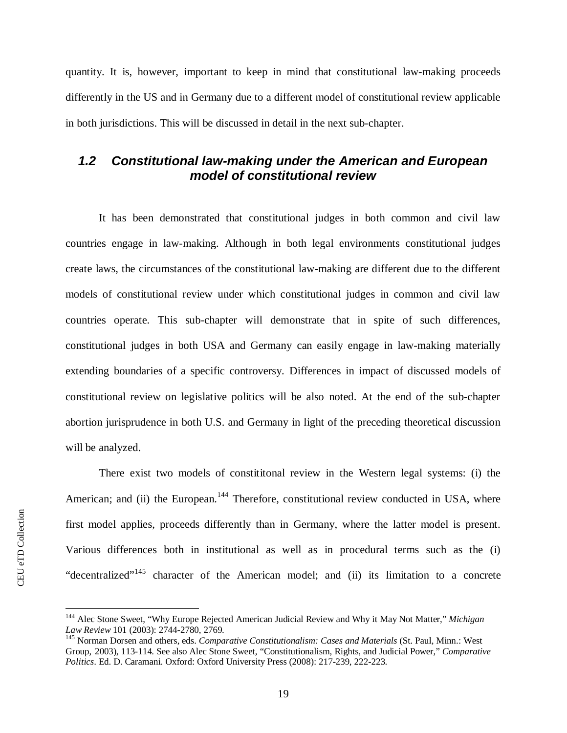quantity. It is, however, important to keep in mind that constitutional law-making proceeds differently in the US and in Germany due to a different model of constitutional review applicable in both jurisdictions. This will be discussed in detail in the next sub-chapter.

## <span id="page-21-0"></span>*1.2 Constitutional law-making under the American and European model of constitutional review*

It has been demonstrated that constitutional judges in both common and civil law countries engage in law-making. Although in both legal environments constitutional judges create laws, the circumstances of the constitutional law-making are different due to the different models of constitutional review under which constitutional judges in common and civil law countries operate. This sub-chapter will demonstrate that in spite of such differences, constitutional judges in both USA and Germany can easily engage in law-making materially extending boundaries of a specific controversy. Differences in impact of discussed models of constitutional review on legislative politics will be also noted. At the end of the sub-chapter abortion jurisprudence in both U.S. and Germany in light of the preceding theoretical discussion will be analyzed.

There exist two models of constititonal review in the Western legal systems: (i) the American; and (ii) the European.<sup>[144](#page-21-1)</sup> Therefore, constitutional review conducted in USA, where first model applies, proceeds differently than in Germany, where the latter model is present. Various differences both in institutional as well as in procedural terms such as the (i) "decentralized"<sup>145</sup> character of the American model; and (ii) its limitation to a concrete

<span id="page-21-1"></span><sup>144</sup> Alec Stone Sweet, "Why Europe Rejected American Judicial Review and Why it May Not Matter," *Michigan Law Review* 101 (2003): 2744-2780, 2769.

<sup>145</sup> Norman Dorsen and others, eds. *Comparative Constitutionalism: Cases and Materials* (St. Paul, Minn.: West Group, 2003), 113-114. See also Alec Stone Sweet, "Constitutionalism, Rights, and Judicial Power," *Comparative Politics*. Ed. D. Caramani. Oxford: Oxford University Press (2008): 217-239, 222-223.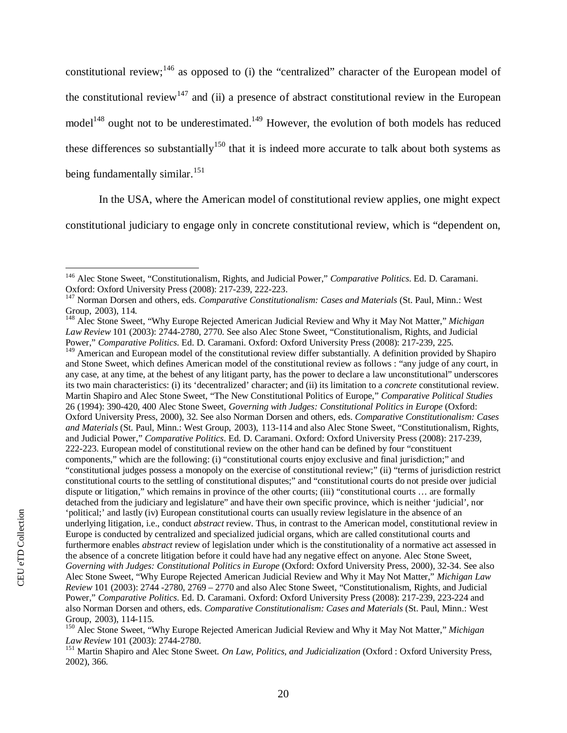constitutional review;<sup>[146](#page-22-0)</sup> as opposed to (i) the "centralized" character of the European model of the constitutional review<sup>[147](#page-22-1)</sup> and (ii) a presence of abstract constitutional review in the European model<sup>[148](#page-22-2)</sup> ought not to be underestimated.<sup>[149](#page-22-3)</sup> However, the evolution of both models has reduced these differences so substantially<sup>[150](#page-22-4)</sup> that it is indeed more accurate to talk about both systems as being fundamentally similar.<sup>[151](#page-22-5)</sup>

In the USA, where the American model of constitutional review applies, one might expect

constitutional judiciary to engage only in concrete constitutional review, which is "dependent on,

<span id="page-22-0"></span><sup>146</sup> Alec Stone Sweet, "Constitutionalism, Rights, and Judicial Power," *Comparative Politics*. Ed. D. Caramani. Oxford: Oxford University Press (2008): 217-239, 222-223.

<span id="page-22-1"></span><sup>147</sup> Norman Dorsen and others, eds. *Comparative Constitutionalism: Cases and Materials* (St. Paul, Minn.: West Group, 2003), 114.

<span id="page-22-2"></span><sup>148</sup> Alec Stone Sweet, "Why Europe Rejected American Judicial Review and Why it May Not Matter," *Michigan Law Review* 101 (2003): 2744-2780, 2770. See also Alec Stone Sweet, "Constitutionalism, Rights, and Judicial Power," *Comparative Politics*. Ed. D. Caramani. Oxford: Oxford University Press (2008): 217-239, 225.

<span id="page-22-3"></span><sup>&</sup>lt;sup>149</sup> American and European model of the constitutional review differ substantially. A definition provided by Shapiro and Stone Sweet, which defines American model of the constitutional review as follows : "any judge of any court, in any case, at any time, at the behest of any litigant party, has the power to declare a law unconstitutional" underscores its two main characteristics: (i) its 'decentralized' character; and (ii) its limitation to a *concrete* constitutional review. Martin Shapiro and Alec Stone Sweet, "The New Constitutional Politics of Europe," *Comparative Political Studies* 26 (1994): 390-420, 400 Alec Stone Sweet, *Governing with Judges: Constitutional Politics in Europe* (Oxford: Oxford University Press, 2000), 32. See also Norman Dorsen and others, eds. *Comparative Constitutionalism: Cases and Materials* (St. Paul, Minn.: West Group, 2003), 113-114 and also Alec Stone Sweet, "Constitutionalism, Rights, and Judicial Power," *Comparative Politics*. Ed. D. Caramani. Oxford: Oxford University Press (2008): 217-239, 222-223. European model of constitutional review on the other hand can be defined by four "constituent components," which are the following: (i) "constitutional courts enjoy exclusive and final jurisdiction;" and "constitutional judges possess a monopoly on the exercise of constitutional review;" (ii) "terms of jurisdiction restrict constitutional courts to the settling of constitutional disputes;" and "constitutional courts do not preside over judicial dispute or litigation," which remains in province of the other courts; (iii) "constitutional courts … are formally detached from the judiciary and legislature" and have their own specific province, which is neither 'judicial', nor 'political;' and lastly (iv) European constitutional courts can usually review legislature in the absence of an underlying litigation, i.e., conduct *abstract* review. Thus, in contrast to the American model, constitutional review in Europe is conducted by centralized and specialized judicial organs, which are called constitutional courts and furthermore enables *abstract* review of legislation under which is the constitutionality of a normative act assessed in the absence of a concrete litigation before it could have had any negative effect on anyone. Alec Stone Sweet, *Governing with Judges: Constitutional Politics in Europe* (Oxford: Oxford University Press, 2000), 32-34. See also Alec Stone Sweet, "Why Europe Rejected American Judicial Review and Why it May Not Matter," *Michigan Law Review* 101 (2003): 2744 -2780, 2769 – 2770 and also Alec Stone Sweet, "Constitutionalism, Rights, and Judicial Power," *Comparative Politics*. Ed. D. Caramani. Oxford: Oxford University Press (2008): 217-239, 223-224 and also Norman Dorsen and others, eds. *Comparative Constitutionalism: Cases and Materials* (St. Paul, Minn.: West Group, 2003), 114-115.

<span id="page-22-4"></span><sup>150</sup> Alec Stone Sweet, "Why Europe Rejected American Judicial Review and Why it May Not Matter," *Michigan Law Review* 101 (2003): 2744-2780.

<span id="page-22-5"></span><sup>151</sup> Martin Shapiro and Alec Stone Sweet. *On Law, Politics, and Judicialization* (Oxford : Oxford University Press, 2002), 366.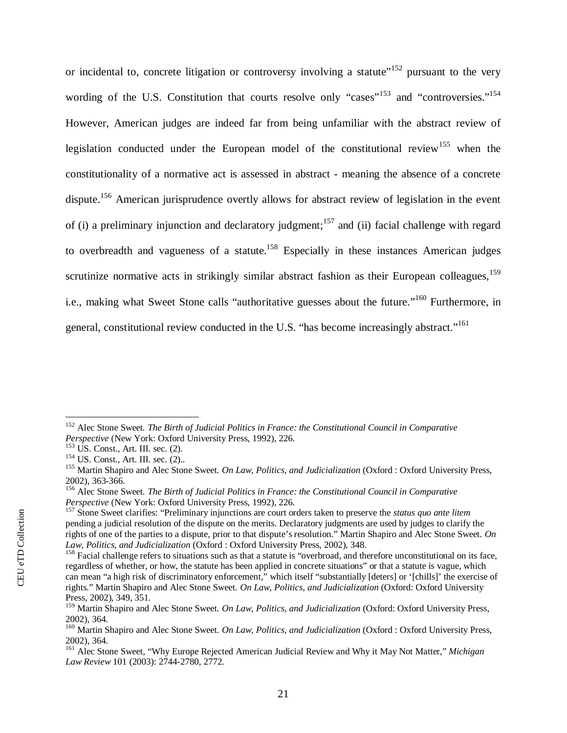or incidental to, concrete litigation or controversy involving a statute"<sup>[152](#page-23-0)</sup> pursuant to the very wording of the U.S. Constitution that courts resolve only "cases"<sup>[153](#page-23-1)</sup> and ["](#page-23-2)controversies."<sup>154</sup> However, American judges are indeed far from being unfamiliar with the abstract review of legislation conducted under the European model of the constitutional review<sup>[155](#page-23-3)</sup> when the constitutionality of a normative act is assessed in abstract - meaning the absence of a concrete dispute.<sup>[156](#page-23-4)</sup> American jurisprudence overtly allows for abstract review of legislation in the event of (i) a preliminary injunction and declaratory judgment;<sup>[157](#page-23-5)</sup> and (ii) facial challenge with regard to overbreadth and vagueness of a statute.<sup>[158](#page-23-6)</sup> Especially in these instances American judges scrutinize normative acts in strikingly similar abstract fashion as their European colleagues,  $159$ i.e., making what Sweet Stone calls "authoritative guesses about the future."[160](#page-23-8) Furthermore, in general, constitutional review conducted in the U.S. "has become increasingly abstract."<sup>161</sup>

<span id="page-23-0"></span><sup>152</sup> Alec Stone Sweet. *The Birth of Judicial Politics in France: the Constitutional Council in Comparative Perspective* (New York: Oxford University Press, 1992), 226.

<span id="page-23-1"></span> $153 \text{ US. Const.}$ , Art. III. sec. (2).

<span id="page-23-2"></span><sup>&</sup>lt;sup>154</sup> US. Const., Art. III. sec. (2)..

<span id="page-23-3"></span><sup>155</sup> Martin Shapiro and Alec Stone Sweet. *On Law, Politics, and Judicialization* (Oxford : Oxford University Press, 2002), 363-366.

<span id="page-23-4"></span><sup>156</sup> Alec Stone Sweet. *The Birth of Judicial Politics in France: the Constitutional Council in Comparative Perspective* (New York: Oxford University Press, 1992), 226.

<span id="page-23-5"></span><sup>157</sup> Stone Sweet clarifies: "Preliminary injunctions are court orders taken to preserve the *status quo ante litem* pending a judicial resolution of the dispute on the merits. Declaratory judgments are used by judges to clarify the rights of one of the parties to a dispute, prior to that dispute's resolution." Martin Shapiro and Alec Stone Sweet. *On Law, Politics, and Judicialization* (Oxford : Oxford University Press, 2002), 348.

<span id="page-23-6"></span> $158$  Facial challenge refers to situations such as that a statute is "overbroad, and therefore unconstitutional on its face, regardless of whether, or how, the statute has been applied in concrete situations" or that a statute is vague, which can mean "a high risk of discriminatory enforcement," which itself "substantially [deters] or '[chills]' the exercise of rights." Martin Shapiro and Alec Stone Sweet. *On Law, Politics, and Judicialization* (Oxford: Oxford University Press, 2002), 349, 351.

<span id="page-23-7"></span><sup>159</sup> Martin Shapiro and Alec Stone Sweet. *On Law, Politics, and Judicialization* (Oxford: Oxford University Press, 2002), 364.

<span id="page-23-8"></span><sup>160</sup> Martin Shapiro and Alec Stone Sweet. *On Law, Politics, and Judicialization* (Oxford : Oxford University Press, 2002), 364.

<sup>161</sup> Alec Stone Sweet, "Why Europe Rejected American Judicial Review and Why it May Not Matter," *Michigan Law Review* 101 (2003): 2744-2780, 2772.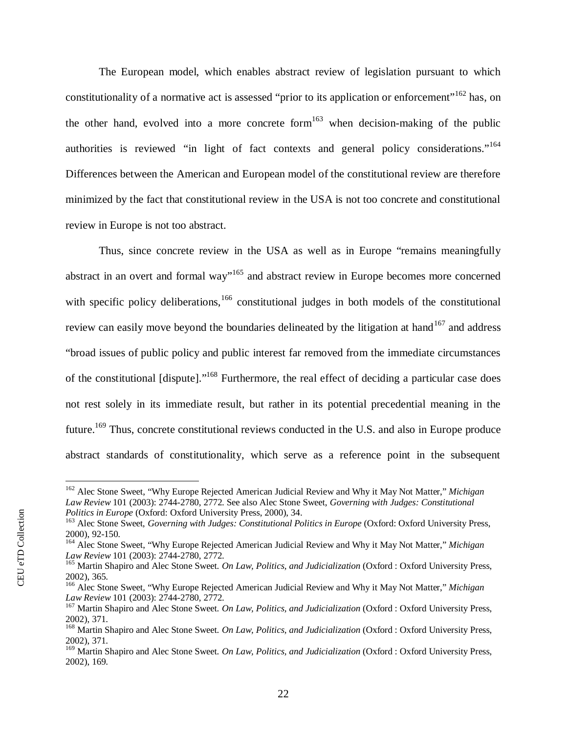The European model, which enables abstract review of legislation pursuant to which constitutionality of a normative act is assessed "prior to its application or enforcement"<sup>[162](#page-24-0)</sup> has, on the other hand, evolved into a more concrete form<sup>[163](#page-24-1)</sup> when decision-making of the public authorities is reviewed "in light of fact contexts and general policy considerations."<sup>[164](#page-24-2)</sup> Differences between the American and European model of the constitutional review are therefore minimized by the fact that constitutional review in the USA is not too concrete and constitutional review in Europe is not too abstract.

Thus, since concrete review in the USA as well as in Europe "remains meaningfully abstract in an overt and formal way"<sup>[165](#page-24-3)</sup> and abstract review in Europe becomes more concerned with specific policy deliberations, $166$  constitutional judges in both models of the constitutional review can easily move beyond the boundaries delineated by the litigation at hand<sup>[167](#page-24-5)</sup> and address "broad issues of public policy and public interest far removed from the immediate circumstances of the constitutional [dispute]."[168](#page-24-6) Furthermore, the real effect of deciding a particular case does not rest solely in its immediate result, but rather in its potential precedential meaning in the future.<sup>[169](#page-24-7)</sup> Thus, concrete constitutional reviews conducted in the U.S. and also in Europe produce abstract standards of constitutionality, which serve as a reference point in the subsequent

<span id="page-24-0"></span><sup>162</sup> Alec Stone Sweet, "Why Europe Rejected American Judicial Review and Why it May Not Matter," *Michigan Law Review* 101 (2003): 2744-2780, 2772. See also Alec Stone Sweet, *Governing with Judges: Constitutional Politics in Europe* (Oxford: Oxford University Press, 2000), 34.

<span id="page-24-1"></span><sup>&</sup>lt;sup>163</sup> Alec Stone Sweet, *Governing with Judges: Constitutional Politics in Europe* (Oxford: Oxford University Press, 2000), 92-150.

<span id="page-24-2"></span><sup>164</sup> Alec Stone Sweet, "Why Europe Rejected American Judicial Review and Why it May Not Matter," *Michigan Law Review* 101 (2003): 2744-2780, 2772.

<span id="page-24-3"></span><sup>165</sup> Martin Shapiro and Alec Stone Sweet. *On Law, Politics, and Judicialization* (Oxford : Oxford University Press, 2002), 365.

<span id="page-24-4"></span><sup>166</sup> Alec Stone Sweet, "Why Europe Rejected American Judicial Review and Why it May Not Matter," *Michigan Law Review* 101 (2003): 2744-2780, 2772.

<span id="page-24-5"></span><sup>167</sup> Martin Shapiro and Alec Stone Sweet. *On Law, Politics, and Judicialization* (Oxford : Oxford University Press, 2002), 371.

<span id="page-24-6"></span><sup>168</sup> Martin Shapiro and Alec Stone Sweet. *On Law, Politics, and Judicialization* (Oxford : Oxford University Press, 2002), 371.

<span id="page-24-7"></span><sup>169</sup> Martin Shapiro and Alec Stone Sweet. *On Law, Politics, and Judicialization* (Oxford : Oxford University Press, 2002), 169.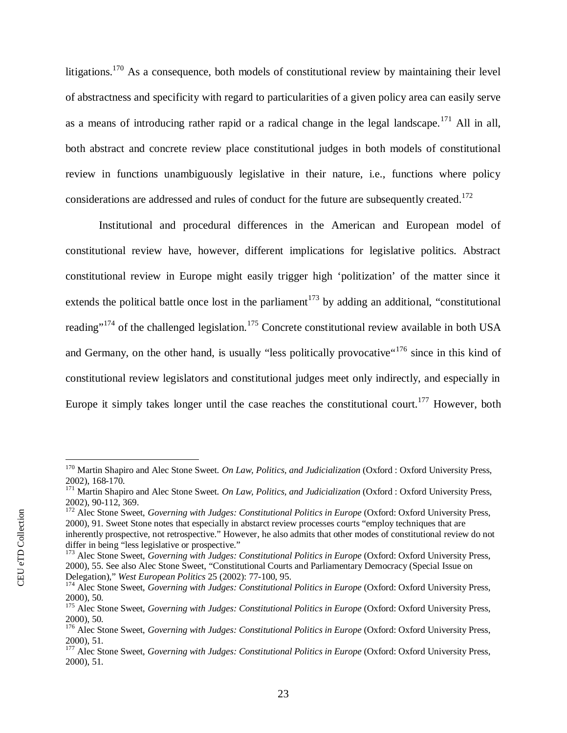litigations.<sup>[170](#page-25-0)</sup> As a consequence, both models of constitutional review by maintaining their level of abstractness and specificity with regard to particularities of a given policy area can easily serve as a means of introducing rather rapid or a radical change in the legal landscape.<sup>[171](#page-25-1)</sup> All in all, both abstract and concrete review place constitutional judges in both models of constitutional review in functions unambiguously legislative in their nature, i.e., functions where policy considerations are addressed and rules of conduct for the future are subsequently created.<sup>[172](#page-25-2)</sup>

Institutional and procedural differences in the American and European model of constitutional review have, however, different implications for legislative politics. Abstract constitutional review in Europe might easily trigger high 'politization' of the matter since it extends the political battle once lost in the parliament<sup>[173](#page-25-3)</sup> by adding an additional, "constitutional reading"<sup>[174](#page-25-4)</sup> of the challenged legislation.<sup>[175](#page-25-5)</sup> Concrete constitutional review available in both USA and Germany, on the other hand, is usually "less politically provocative"<sup>[176](#page-25-6)</sup> since in this kind of constitutional review legislators and constitutional judges meet only indirectly, and especially in Europe it simply takes longer until the case reaches the constitutional court.<sup>177</sup> However, both

<span id="page-25-0"></span><sup>170</sup> Martin Shapiro and Alec Stone Sweet. *On Law, Politics, and Judicialization* (Oxford : Oxford University Press, 2002), 168-170.

<span id="page-25-1"></span><sup>171</sup> Martin Shapiro and Alec Stone Sweet. *On Law, Politics, and Judicialization* (Oxford : Oxford University Press, 2002), 90-112, 369.

<span id="page-25-2"></span><sup>&</sup>lt;sup>172</sup> Alec Stone Sweet, *Governing with Judges: Constitutional Politics in Europe* (Oxford: Oxford University Press, 2000), 91. Sweet Stone notes that especially in abstarct review processes courts "employ techniques that are inherently prospective, not retrospective." However, he also admits that other modes of constitutional review do not differ in being "less legislative or prospective."

<span id="page-25-3"></span><sup>&</sup>lt;sup>173</sup> Alec Stone Sweet, *Governing with Judges: Constitutional Politics in Europe* (Oxford: Oxford University Press, 2000), 55. See also Alec Stone Sweet, "Constitutional Courts and Parliamentary Democracy (Special Issue on Delegation)," *West European Politics* 25 (2002): 77-100, 95.

<span id="page-25-4"></span><sup>&</sup>lt;sup>174</sup> Alec Stone Sweet, *Governing with Judges: Constitutional Politics in Europe* (Oxford: Oxford University Press, 2000), 50.

<span id="page-25-5"></span><sup>&</sup>lt;sup>175</sup> Alec Stone Sweet, *Governing with Judges: Constitutional Politics in Europe* (Oxford: Oxford University Press, 2000), 50.

<span id="page-25-6"></span><sup>&</sup>lt;sup>176</sup> Alec Stone Sweet, *Governing with Judges: Constitutional Politics in Europe* (Oxford: Oxford University Press, 2000), 51.

<sup>&</sup>lt;sup>177</sup> Alec Stone Sweet, *Governing with Judges: Constitutional Politics in Europe* (Oxford: Oxford University Press, 2000), 51.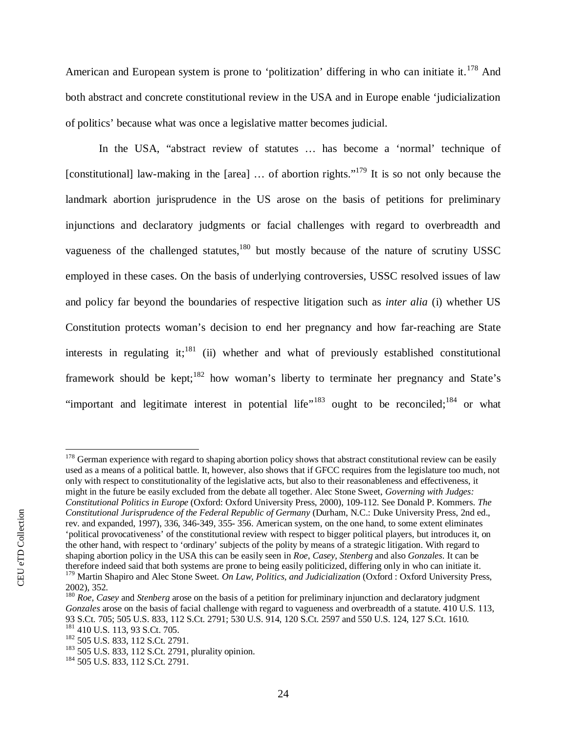American and European system is prone to 'politization' differing in who can initiate it.<sup>[178](#page-26-0)</sup> And both abstract and concrete constitutional review in the USA and in Europe enable 'judicialization of politics' because what was once a legislative matter becomes judicial.

In the USA, "abstract review of statutes … has become a 'normal' technique of [constitutional] law-making in the [area] ... of abortion rights."<sup>[179](#page-26-1)</sup> It is so not only because the landmark abortion jurisprudence in the US arose on the basis of petitions for preliminary injunctions and declaratory judgments or facial challenges with regard to overbreadth and vagueness of the challenged statutes, $180$  but mostly because of the nature of scrutiny USSC employed in these cases. On the basis of underlying controversies, USSC resolved issues of law and policy far beyond the boundaries of respective litigation such as *inter alia* (i) whether US Constitution protects woman's decision to end her pregnancy and how far-reaching are State interests in regulating it;<sup>[181](#page-26-3)</sup> (ii) whether and what of previously established constitutional framework should be kept;  $182$  how woman's liberty to terminate her pregnancy and State's "important and legitimate interest in potential life"<sup>183</sup> ought to be reconciled;<sup>184</sup> or what

<span id="page-26-0"></span><sup>&</sup>lt;sup>178</sup> German experience with regard to shaping abortion policy shows that abstract constitutional review can be easily used as a means of a political battle. It, however, also shows that if GFCC requires from the legislature too much, not only with respect to constitutionality of the legislative acts, but also to their reasonableness and effectiveness, it might in the future be easily excluded from the debate all together. Alec Stone Sweet, *Governing with Judges: Constitutional Politics in Europe* (Oxford: Oxford University Press, 2000), 109-112. See Donald P. Kommers. *The Constitutional Jurisprudence of the Federal Republic of Germany* (Durham, N.C.: Duke University Press, 2nd ed., rev. and expanded, 1997), 336, 346-349, 355- 356. American system, on the one hand, to some extent eliminates 'political provocativeness' of the constitutional review with respect to bigger political players, but introduces it, on the other hand, with respect to 'ordinary' subjects of the polity by means of a strategic litigation. With regard to shaping abortion policy in the USA this can be easily seen in *Roe*, *Casey*, *Stenberg* and also *Gonzales*. It can be therefore indeed said that both systems are prone to being easily politicized, differing only in who can initiate it. <sup>179</sup> Martin Shapiro and Alec Stone Sweet. *On Law, Politics, and Judicialization* (Oxford : Oxford University Press, 2002), 352.

<span id="page-26-2"></span><span id="page-26-1"></span><sup>180</sup> *Roe, Casey* and *Stenberg* arose on the basis of a petition for preliminary injunction and declaratory judgment *Gonzales* arose on the basis of facial challenge with regard to vagueness and overbreadth of a statute. 410 U.S. 113, 93 S.Ct. 705; 505 U.S. 833, 112 S.Ct. 2791; 530 U.S. 914, 120 S.Ct. 2597 and 550 U.S. 124, 127 S.Ct. 1610. <sup>181</sup> 410 U.S. 113, 93 S.Ct. 705.

<span id="page-26-4"></span><span id="page-26-3"></span><sup>&</sup>lt;sup>182</sup> 505 U.S. 833, 112 S.Ct. 2791.

<sup>&</sup>lt;sup>183</sup> 505 U.S. 833, 112 S.Ct. 2791, plurality opinion.

<sup>&</sup>lt;sup>184</sup> 505 U.S. 833, 112 S.Ct. 2791.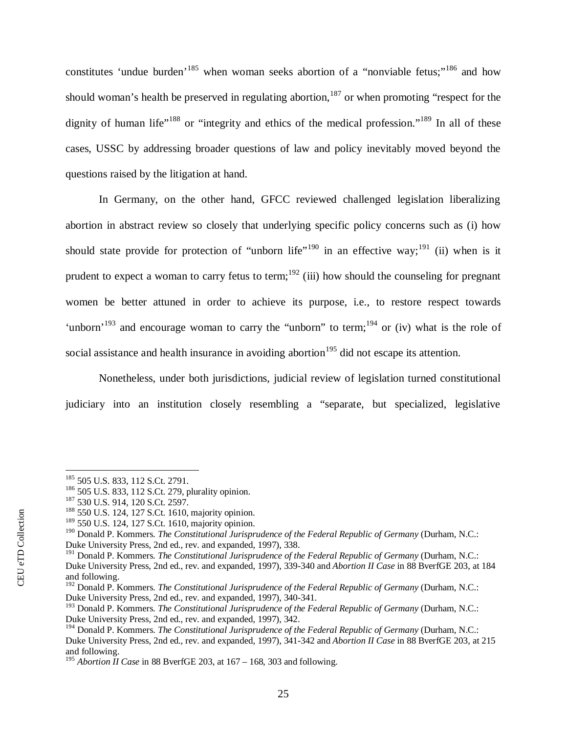constitutes 'undue burden'<sup>[185](#page-27-0)</sup> when woman seeks abortion of a "nonviable fetus;"<sup>[186](#page-27-1)</sup> and how should woman's health be preserved in regulating abortion,  $187$  or when promoting "respect for the dignity of human life"<sup>[188](#page-27-3)</sup> or "integrity and ethics of the medical profession."<sup>[189](#page-27-4)</sup> In all of these cases, USSC by addressing broader questions of law and policy inevitably moved beyond the questions raised by the litigation at hand.

In Germany, on the other hand, GFCC reviewed challenged legislation liberalizing abortion in abstract review so closely that underlying specific policy concerns such as (i) how should state provide for protection of "unborn life"<sup>[190](#page-27-5)</sup> in an effective way;<sup>[191](#page-27-6)</sup> (ii) when is it prudent to expect a woman to carry fetus to term;<sup>[192](#page-27-7)</sup> (iii) how should the counseling for pregnant women be better attuned in order to achieve its purpose, i.e., to restore respect towards 'unborn'<sup>[193](#page-27-8)</sup> and encourage woman to carry the "unborn" to term;<sup>[194](#page-27-9)</sup> or (iv) what is the role of social assistance and health insurance in avoiding abortion<sup>[195](#page-27-10)</sup> did not escape its attention.

Nonetheless, under both jurisdictions, judicial review of legislation turned constitutional judiciary into an institution closely resembling a "separate, but specialized, legislative

<span id="page-27-0"></span><sup>&</sup>lt;sup>185</sup> 505 U.S. 833, 112 S.Ct. 2791.

<span id="page-27-1"></span><sup>186</sup> 505 U.S. 833, 112 S.Ct. 279, plurality opinion.

<span id="page-27-2"></span><sup>&</sup>lt;sup>187</sup> 530 U.S. 914, 120 S.Ct. 2597.

<span id="page-27-3"></span><sup>&</sup>lt;sup>188</sup> 550 U.S. 124, 127 S.Ct. 1610, majority opinion.

<span id="page-27-4"></span><sup>189</sup> 550 U.S. 124, 127 S.Ct. 1610, majority opinion.

<span id="page-27-5"></span><sup>190</sup> Donald P. Kommers. *The Constitutional Jurisprudence of the Federal Republic of Germany* (Durham, N.C.: Duke University Press, 2nd ed., rev. and expanded, 1997), 338.

<span id="page-27-6"></span><sup>191</sup> Donald P. Kommers. *The Constitutional Jurisprudence of the Federal Republic of Germany* (Durham, N.C.: Duke University Press, 2nd ed., rev. and expanded, 1997), 339-340 and *Abortion II Case* in 88 BverfGE 203, at 184 and following.

<span id="page-27-7"></span><sup>192</sup> Donald P. Kommers. *The Constitutional Jurisprudence of the Federal Republic of Germany* (Durham, N.C.: Duke University Press, 2nd ed., rev. and expanded, 1997), 340-341.

<span id="page-27-8"></span><sup>193</sup> Donald P. Kommers. *The Constitutional Jurisprudence of the Federal Republic of Germany* (Durham, N.C.: Duke University Press, 2nd ed., rev. and expanded, 1997), 342.

<span id="page-27-9"></span><sup>194</sup> Donald P. Kommers. *The Constitutional Jurisprudence of the Federal Republic of Germany* (Durham, N.C.: Duke University Press, 2nd ed., rev. and expanded, 1997), 341-342 and *Abortion II Case* in 88 BverfGE 203, at 215 and following.

<span id="page-27-10"></span><sup>195</sup> *Abortion II Case* in 88 BverfGE 203, at 167 – 168, 303 and following.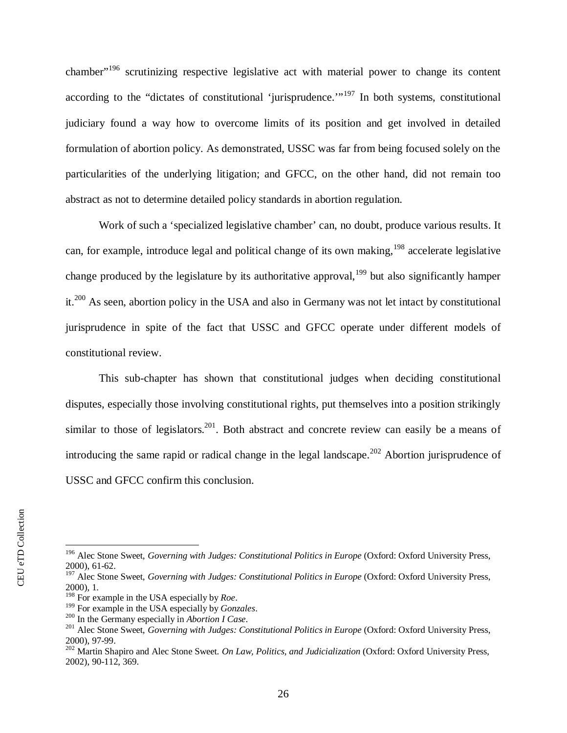chamber"[196](#page-28-0) scrutinizing respective legislative act with material power to change its content according to the "dictates of constitutional 'jurisprudence."<sup> $197$ </sup> In both systems, constitutional judiciary found a way how to overcome limits of its position and get involved in detailed formulation of abortion policy. As demonstrated, USSC was far from being focused solely on the particularities of the underlying litigation; and GFCC, on the other hand, did not remain too abstract as not to determine detailed policy standards in abortion regulation.

Work of such a 'specialized legislative chamber' can, no doubt, produce various results. It can, for example, introduce legal and political change of its own making,  $198$  accelerate legislative change produced by the legislature by its authoritative approval,  $199$  but also significantly hamper it.[200](#page-28-4) As seen, abortion policy in the USA and also in Germany was not let intact by constitutional jurisprudence in spite of the fact that USSC and GFCC operate under different models of constitutional review.

This sub-chapter has shown that constitutional judges when deciding constitutional disputes, especially those involving constitutional rights, put themselves into a position strikingly similar to those of legislators.<sup>[201](#page-28-5)</sup>. Both abstract and concrete review can easily be a means of introducing the same rapid or radical change in the legal landscape.<sup>[202](#page-28-6)</sup> Abortion jurisprudence of USSC and GFCC confirm this conclusion.

CEU eTD Collection

CEU eTD Collection

<span id="page-28-0"></span><sup>&</sup>lt;sup>196</sup> Alec Stone Sweet, *Governing with Judges: Constitutional Politics in Europe* (Oxford: Oxford University Press, 2000), 61-62.

<span id="page-28-1"></span><sup>&</sup>lt;sup>197</sup> Alec Stone Sweet, *Governing with Judges: Constitutional Politics in Europe* (Oxford: Oxford University Press, 2000), 1.

<span id="page-28-2"></span><sup>198</sup> For example in the USA especially by *Roe*.

<span id="page-28-3"></span><sup>199</sup> For example in the USA especially by *Gonzales*.

<span id="page-28-4"></span><sup>200</sup> In the Germany especially in *Abortion I Case*.

<span id="page-28-5"></span><sup>&</sup>lt;sup>201</sup> Alec Stone Sweet, *Governing with Judges: Constitutional Politics in Europe* (Oxford: Oxford University Press, 2000), 97-99.

<span id="page-28-6"></span><sup>202</sup> Martin Shapiro and Alec Stone Sweet. *On Law, Politics, and Judicialization* (Oxford: Oxford University Press, 2002), 90-112, 369.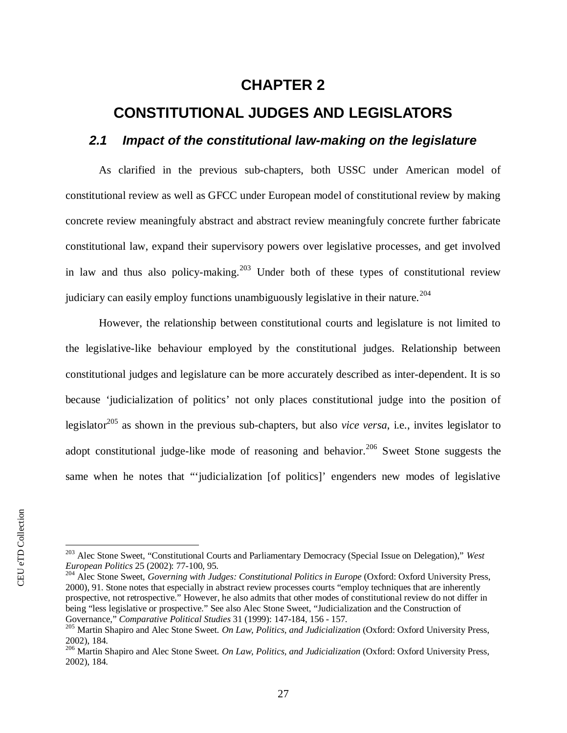## <span id="page-29-0"></span>**CHAPTER 2**

## **CONSTITUTIONAL JUDGES AND LEGISLATORS**

### <span id="page-29-1"></span>*2.1 Impact of the constitutional law-making on the legislature*

As clarified in the previous sub-chapters, both USSC under American model of constitutional review as well as GFCC under European model of constitutional review by making concrete review meaningfuly abstract and abstract review meaningfuly concrete further fabricate constitutional law, expand their supervisory powers over legislative processes, and get involved in law and thus also policy-making.<sup>[203](#page-29-2)</sup> Under both of these types of constitutional review judiciary can easily employ functions unambiguously legislative in their nature.<sup>[204](#page-29-3)</sup>

However, the relationship between constitutional courts and legislature is not limited to the legislative-like behaviour employed by the constitutional judges. Relationship between constitutional judges and legislature can be more accurately described as inter-dependent. It is so because 'judicialization of politics' not only places constitutional judge into the position of legislator[205](#page-29-4) as shown in the previous sub-chapters, but also *vice versa*, i.e., invites legislator to adopt constitutional judge-like mode of reasoning and behavior.<sup>[206](#page-29-5)</sup> Sweet Stone suggests the same when he notes that "'judicialization [of politics]' engenders new modes of legislative

<span id="page-29-2"></span><sup>203</sup> Alec Stone Sweet, "Constitutional Courts and Parliamentary Democracy (Special Issue on Delegation)," *West European Politics* 25 (2002): 77-100, 95.

<span id="page-29-3"></span><sup>&</sup>lt;sup>204</sup> Alec Stone Sweet, *Governing with Judges: Constitutional Politics in Europe* (Oxford: Oxford University Press, 2000), 91. Stone notes that especially in abstract review processes courts "employ techniques that are inherently prospective, not retrospective." However, he also admits that other modes of constitutional review do not differ in being "less legislative or prospective." See also Alec Stone Sweet, "Judicialization and the Construction of Governance," *Comparative Political Studies* 31 (1999): 147-184, 156 - 157.

<span id="page-29-4"></span><sup>205</sup> Martin Shapiro and Alec Stone Sweet. *On Law, Politics, and Judicialization* (Oxford: Oxford University Press, 2002), 184.

<span id="page-29-5"></span><sup>206</sup> Martin Shapiro and Alec Stone Sweet. *On Law, Politics, and Judicialization* (Oxford: Oxford University Press, 2002), 184.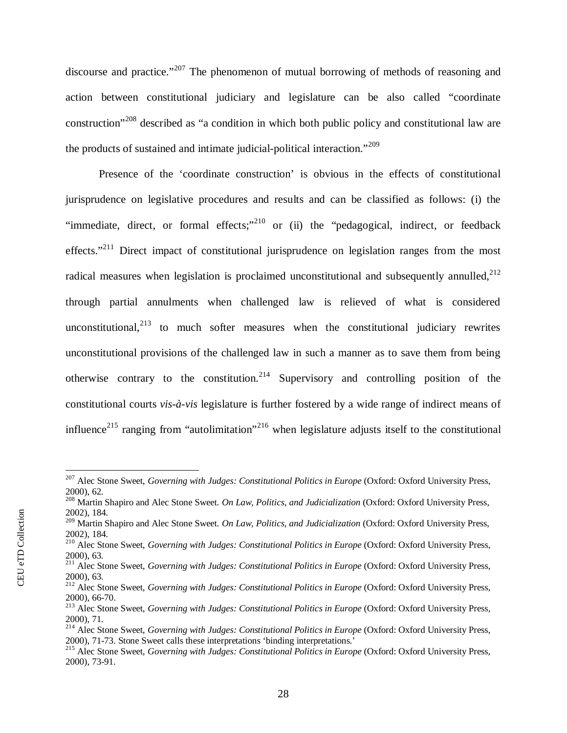discourse and practice."<sup>[207](#page-30-0)</sup> The phenomenon of mutual borrowing of methods of reasoning and action between constitutional judiciary and legislature can be also called "coordinate construction"[208](#page-30-1) described as "a condition in which both public policy and constitutional law are the products of sustained and intimate judicial-political interaction."<sup>[209](#page-30-2)</sup>

Presence of the 'coordinate construction' is obvious in the effects of constitutional jurisprudence on legislative procedures and results and can be classified as follows: (i) the "immediate, direct, or formal effects;"<sup>[210](#page-30-3)</sup> or (ii) the "pedagogical, indirect, or feedback effects."<sup>[211](#page-30-4)</sup> Direct impact of constitutional jurisprudence on legislation ranges from the most radical measures when legislation is proclaimed unconstitutional and subsequently annulled[,](#page-30-5) $^{212}$ through partial annulments when challenged law is relieved of what is considered unconstitutional,  $2^{13}$  to much softer measures when the constitutional judiciary rewrites unconstitutional provisions of the challenged law in such a manner as to save them from being otherwise contrary to the constitution.<sup>[214](#page-30-7)</sup> Supervisory and controlling position of the constitutional courts *vis-à-vis* legislature is further fostered by a wide range of indirect means of influence<sup>215</sup> ranging from "autolimitation"<sup>216</sup> when legislature adjusts itself to the constitutional

<span id="page-30-0"></span><sup>&</sup>lt;sup>207</sup> Alec Stone Sweet, *Governing with Judges: Constitutional Politics in Europe* (Oxford: Oxford University Press, 2000), 62.

<span id="page-30-1"></span><sup>208</sup> Martin Shapiro and Alec Stone Sweet. *On Law, Politics, and Judicialization* (Oxford: Oxford University Press, 2002), 184.

<span id="page-30-2"></span><sup>209</sup> Martin Shapiro and Alec Stone Sweet. *On Law, Politics, and Judicialization* (Oxford: Oxford University Press, 2002), 184.

<span id="page-30-3"></span><sup>210</sup> Alec Stone Sweet, *Governing with Judges: Constitutional Politics in Europe* (Oxford: Oxford University Press, 2000), 63.

<span id="page-30-4"></span><sup>&</sup>lt;sup>211</sup> Alec Stone Sweet, *Governing with Judges: Constitutional Politics in Europe* (Oxford: Oxford University Press, 2000), 63.

<span id="page-30-5"></span><sup>212</sup> Alec Stone Sweet, *Governing with Judges: Constitutional Politics in Europe* (Oxford: Oxford University Press, 2000), 66-70.

<span id="page-30-6"></span><sup>&</sup>lt;sup>213</sup> Alec Stone Sweet, *Governing with Judges: Constitutional Politics in Europe* (Oxford: Oxford University Press, 2000), 71.

<span id="page-30-7"></span><sup>&</sup>lt;sup>214</sup> Alec Stone Sweet, *Governing with Judges: Constitutional Politics in Europe* (Oxford: Oxford University Press, 2000), 71-73. Stone Sweet calls these interpretations 'binding interpretations.'

<sup>&</sup>lt;sup>215</sup> Alec Stone Sweet, *Governing with Judges: Constitutional Politics in Europe* (Oxford: Oxford University Press, 2000), 73-91.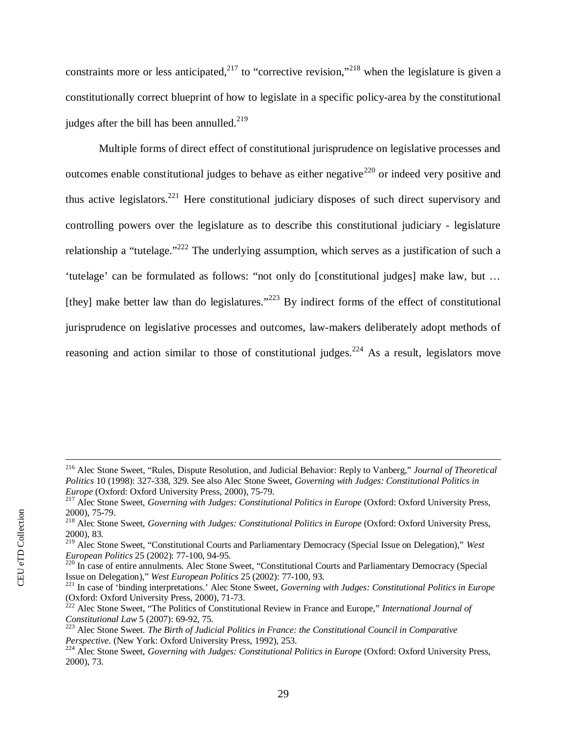constraints more or less anticipated,<sup>[217](#page-31-0)</sup> to "corrective revision,"<sup>[218](#page-31-1)</sup> when the legislature is given a constitutionally correct blueprint of how to legislate in a specific policy-area by the constitutional judges after the bill has been annulled.<sup>[219](#page-31-2)</sup>

Multiple forms of direct effect of constitutional jurisprudence on legislative processes and outcomes enable constitutional judges to behave as either negative<sup>[220](#page-31-3)</sup> or indeed very positive and thus active legislators.[221](#page-31-4) Here constitutional judiciary disposes of such direct supervisory and controlling powers over the legislature as to describe this constitutional judiciary - legislature relationship a "tutelage."<sup>[222](#page-31-5)</sup> The underlying assumption, which serves as a justification of such a 'tutelage' can be formulated as follows: "not only do [constitutional judges] make law, but … [they] make better law than do legislatures."<sup>[223](#page-31-6)</sup> By indirect forms of the effect of constitutional jurisprudence on legislative processes and outcomes, law-makers deliberately adopt methods of reasoning and action similar to those of constitutional judges.<sup>224</sup> As a result, legislators move

<sup>216</sup> Alec Stone Sweet, "Rules, Dispute Resolution, and Judicial Behavior: Reply to Vanberg," *Journal of Theoretical Politics* 10 (1998): 327-338, 329. See also Alec Stone Sweet, *Governing with Judges: Constitutional Politics in Europe* (Oxford: Oxford University Press, 2000), 75-79.

<span id="page-31-0"></span><sup>217</sup> Alec Stone Sweet, *Governing with Judges: Constitutional Politics in Europe* (Oxford: Oxford University Press, 2000), 75-79.

<span id="page-31-1"></span><sup>&</sup>lt;sup>218</sup> Alec Stone Sweet, *Governing with Judges: Constitutional Politics in Europe* (Oxford: Oxford University Press, 2000), 83.

<span id="page-31-2"></span><sup>219</sup> Alec Stone Sweet, "Constitutional Courts and Parliamentary Democracy (Special Issue on Delegation)," *West European Politics* 25 (2002): 77-100, 94-95. European Politics 25 (2002): 77-100, 94-95.<br><sup>220</sup> In case of entire annulments. Alec Stone Sweet, "Constitutional Courts and Parliamentary Democracy (Special

<span id="page-31-3"></span>Issue on Delegation)," *West European Politics* 25 (2002): 77-100, 93.

<span id="page-31-4"></span><sup>221</sup> In case of 'binding interpretations.' Alec Stone Sweet, *Governing with Judges: Constitutional Politics in Europe* (Oxford: Oxford University Press, 2000), 71-73.

<span id="page-31-5"></span><sup>222</sup> Alec Stone Sweet, "The Politics of Constitutional Review in France and Europe," *International Journal of Constitutional Law* 5 (2007): 69-92, 75.

<span id="page-31-6"></span><sup>223</sup> Alec Stone Sweet. *The Birth of Judicial Politics in France: the Constitutional Council in Comparative Perspective*. (New York: Oxford University Press, 1992), 253.

<sup>&</sup>lt;sup>224</sup> Alec Stone Sweet, *Governing with Judges: Constitutional Politics in Europe* (Oxford: Oxford University Press, 2000), 73.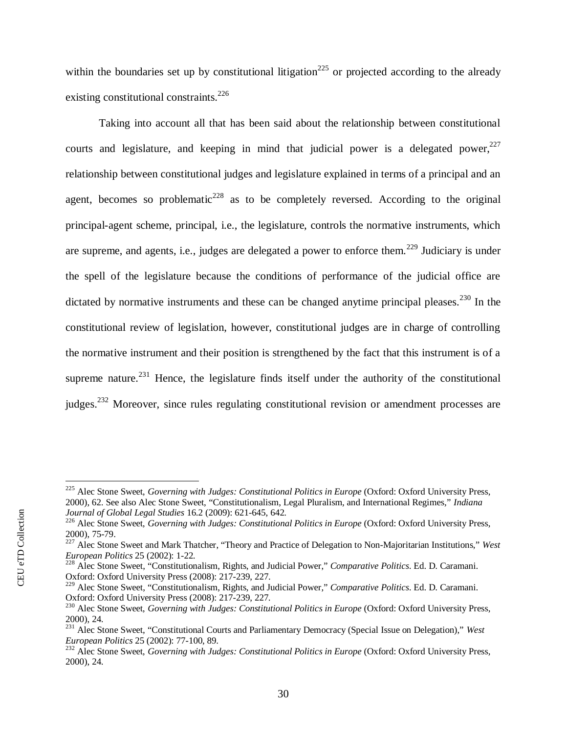within the boundaries set up by constitutional litigation<sup>[225](#page-32-0)</sup> or projected according to the already existing constitutional constraints.<sup>[226](#page-32-1)</sup>

Taking into account all that has been said about the relationship between constitutional courts and legislature[,](#page-32-2) and keeping in mind that judicial power is a delegated power, $227$ relationship between constitutional judges and legislature explained in terms of a principal and an agent, becomes so problematic<sup>[228](#page-32-3)</sup> as to be completely reversed. According to the original principal-agent scheme, principal, i.e., the legislature, controls the normative instruments, which are supreme, and agents, i.e., judges are delegated a power to enforce them.<sup>[229](#page-32-4)</sup> Judiciary is under the spell of the legislature because the conditions of performance of the judicial office are dictated by normative instruments and these can be changed anytime principal pleases.<sup>[230](#page-32-5)</sup> In the constitutional review of legislation, however, constitutional judges are in charge of controlling the normative instrument and their position is strengthened by the fact that this instrument is of a supreme nature.<sup>[231](#page-32-6)</sup> Hence, the legislature finds itself under the authority of the constitutional judges.<sup>232</sup> Moreover, since rules regulating constitutional revision or amendment processes are

<span id="page-32-0"></span><sup>&</sup>lt;sup>225</sup> Alec Stone Sweet, *Governing with Judges: Constitutional Politics in Europe* (Oxford: Oxford University Press, 2000), 62. See also Alec Stone Sweet, "Constitutionalism, Legal Pluralism, and International Regimes," *Indiana Journal of Global Legal Studies* 16.2 (2009): 621-645, 642.

<span id="page-32-1"></span><sup>&</sup>lt;sup>226</sup> Alec Stone Sweet, *Governing with Judges: Constitutional Politics in Europe* (Oxford: Oxford University Press, 2000), 75-79.

<span id="page-32-2"></span><sup>227</sup> Alec Stone Sweet and Mark Thatcher, "Theory and Practice of Delegation to Non-Majoritarian Institutions," *West European Politics* 25 (2002): 1-22.

<span id="page-32-3"></span><sup>228</sup> Alec Stone Sweet, "Constitutionalism, Rights, and Judicial Power," *Comparative Politics*. Ed. D. Caramani. Oxford: Oxford University Press (2008): 217-239, 227.

<span id="page-32-4"></span><sup>229</sup> Alec Stone Sweet, "Constitutionalism, Rights, and Judicial Power," *Comparative Politics*. Ed. D. Caramani. Oxford: Oxford University Press (2008): 217-239, 227.

<span id="page-32-5"></span><sup>&</sup>lt;sup>230</sup> Alec Stone Sweet, *Governing with Judges: Constitutional Politics in Europe* (Oxford: Oxford University Press, 2000), 24.

<span id="page-32-6"></span><sup>231</sup> Alec Stone Sweet, "Constitutional Courts and Parliamentary Democracy (Special Issue on Delegation)," *West European Politics* 25 (2002): 77-100, 89.

<sup>&</sup>lt;sup>232</sup> Alec Stone Sweet, *Governing with Judges: Constitutional Politics in Europe* (Oxford: Oxford University Press, 2000), 24.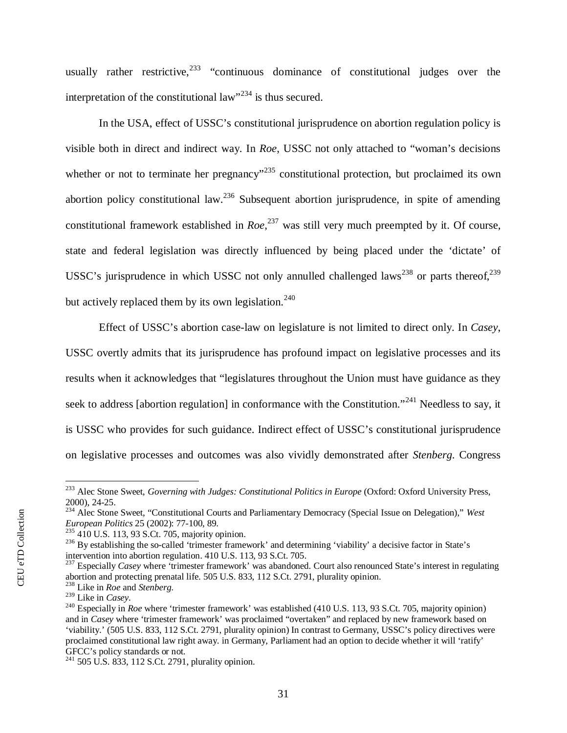usually rather restrictive,  $233$  "continuous dominance of constitutional judges over the interpretation of the constitutional law"<sup>[234](#page-33-1)</sup> is thus secured.

In the USA, effect of USSC's constitutional jurisprudence on abortion regulation policy is visible both in direct and indirect way. In *Roe*, USSC not only attached to "woman's decisions whether or not to terminate her pregnancy<sup> $235$ </sup> constitutional protection, but proclaimed its own abortion policy constitutional law.<sup>[236](#page-33-3)</sup> Subsequent abortion jurisprudence, in spite of amending constitutional framework established in *Roe*, [237](#page-33-4) was still very much preempted by it. Of course, state and federal legislation was directly influenced by being placed under the 'dictate' of USSC's jurisprudence in which USSC not only annulled challenged laws<sup>[238](#page-33-5)</sup> or parts thereof.<sup>239</sup> but actively replaced them by its own legislation.<sup>[240](#page-33-7)</sup>

Effect of USSC's abortion case-law on legislature is not limited to direct only. In *Casey*, USSC overtly admits that its jurisprudence has profound impact on legislative processes and its results when it acknowledges that "legislatures throughout the Union must have guidance as they seek to address [abortion regulation] in conformance with the Constitution."<sup>[241](#page-33-8)</sup> Needless to say, it is USSC who provides for such guidance. Indirect effect of USSC's constitutional jurisprudence on legislative processes and outcomes was also vividly demonstrated after *Stenberg*. Congress

<span id="page-33-0"></span><sup>&</sup>lt;sup>233</sup> Alec Stone Sweet, *Governing with Judges: Constitutional Politics in Europe* (Oxford: Oxford University Press, 2000), 24-25.

<span id="page-33-1"></span><sup>234</sup> Alec Stone Sweet, "Constitutional Courts and Parliamentary Democracy (Special Issue on Delegation)," *West European Politics* 25 (2002): 77-100, 89.

<span id="page-33-2"></span> $235$  410 U.S. 113, 93 S.Ct. 705, majority opinion.

<span id="page-33-3"></span> $^{236}$  By establishing the so-called 'trimester framework' and determining 'viability' a decisive factor in State's intervention into abortion regulation. 410 U.S. 113, 93 S.Ct. 705.

<span id="page-33-4"></span><sup>&</sup>lt;sup>237</sup> Especially *Casey* where 'trimester framework' was abandoned. Court also renounced State's interest in regulating abortion and protecting prenatal life. 505 U.S. 833, 112 S.Ct. 2791, plurality opinion.

<span id="page-33-5"></span><sup>238</sup> Like in *Roe* and *Stenberg*.

<span id="page-33-6"></span><sup>239</sup> Like in *Casey*.

<span id="page-33-7"></span><sup>&</sup>lt;sup>240</sup> Especially in *Roe* where 'trimester framework' was established (410 U.S. 113, 93 S.Ct. 705, majority opinion) and in *Casey* where 'trimester framework' was proclaimed "overtaken" and replaced by new framework based on 'viability.' (505 U.S. 833, 112 S.Ct. 2791, plurality opinion) In contrast to Germany, USSC's policy directives were proclaimed constitutional law right away. in Germany, Parliament had an option to decide whether it will 'ratify' GFCC's policy standards or not.

<span id="page-33-8"></span><sup>241</sup> 505 U.S. 833, 112 S.Ct. 2791, plurality opinion.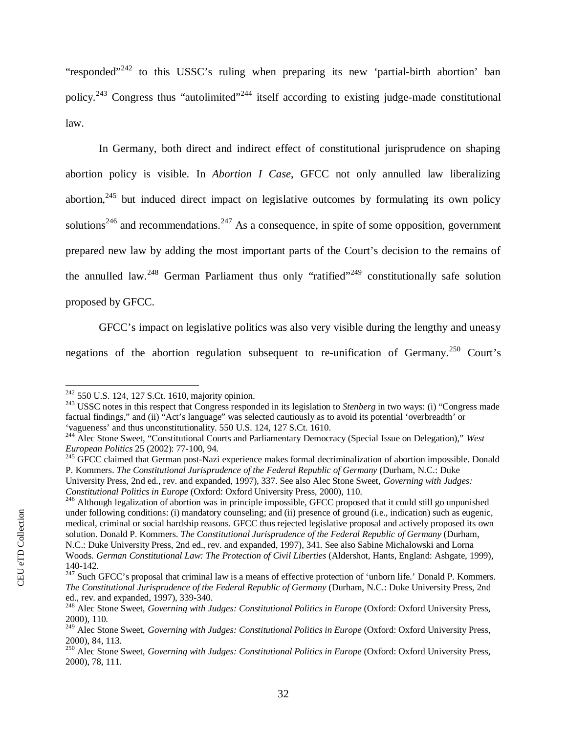"responded"<sup>[242](#page-34-0)</sup> to this USSC's ruling when preparing its new 'partial-birth abortion' ban policy.[243](#page-34-1) Congress thus "autolimited"[244](#page-34-2) itself according to existing judge-made constitutional law.

In Germany, both direct and indirect effect of constitutional jurisprudence on shaping abortion policy is visible. In *Abortion I Case*, GFCC not only annulled law liberalizing abortion,<sup>[245](#page-34-3)</sup> but induced direct impact on legislative outcomes by formulating its own policy solutions<sup>[246](#page-34-4)</sup> and recommendations.<sup>[247](#page-34-5)</sup> As a consequence, in spite of some opposition, government prepared new law by adding the most important parts of the Court's decision to the remains of the annulled law.<sup>[248](#page-34-6)</sup> German Parliament thus only "ratified"<sup>[249](#page-34-7)</sup> constitutionally safe solution proposed by GFCC.

GFCC's impact on legislative politics was also very visible during the lengthy and uneasy negations of the abortion regulation subsequent to re-unification of Germany.<sup>250</sup> Court's

<span id="page-34-0"></span> $242$  550 U.S. 124, 127 S.Ct. 1610, majority opinion.

<span id="page-34-1"></span><sup>&</sup>lt;sup>243</sup> USSC notes in this respect that Congress responded in its legislation to *Stenberg* in two ways: (i) "Congress made factual findings," and (ii) "Act's language" was selected cautiously as to avoid its potential 'overbreadth' or 'vagueness' and thus unconstitutionality. 550 U.S. 124, 127 S.Ct. 1610.

<span id="page-34-2"></span><sup>244</sup> Alec Stone Sweet, "Constitutional Courts and Parliamentary Democracy (Special Issue on Delegation)," *West European Politics* 25 (2002): 77-100, 94.

<span id="page-34-3"></span><sup>&</sup>lt;sup>245</sup> GFCC claimed that German post-Nazi experience makes formal decriminalization of abortion impossible. Donald P. Kommers. *The Constitutional Jurisprudence of the Federal Republic of Germany* (Durham, N.C.: Duke University Press, 2nd ed., rev. and expanded, 1997), 337. See also Alec Stone Sweet, *Governing with Judges: Constitutional Politics in Europe* (Oxford: Oxford University Press, 2000), 110.

<span id="page-34-4"></span><sup>246</sup> Although legalization of abortion was in principle impossible, GFCC proposed that it could still go unpunished under following conditions: (i) mandatory counseling; and (ii) presence of ground (i.e., indication) such as eugenic, medical, criminal or social hardship reasons. GFCC thus rejected legislative proposal and actively proposed its own solution. Donald P. Kommers. *The Constitutional Jurisprudence of the Federal Republic of Germany* (Durham, N.C.: Duke University Press, 2nd ed., rev. and expanded, 1997), 341. See also Sabine Michalowski and Lorna Woods. *German Constitutional Law: The Protection of Civil Liberties* (Aldershot, Hants, England: Ashgate, 1999), 140-142.

<span id="page-34-5"></span> $^{247}$  Such GFCC's proposal that criminal law is a means of effective protection of 'unborn life.' Donald P. Kommers. *The Constitutional Jurisprudence of the Federal Republic of Germany* (Durham, N.C.: Duke University Press, 2nd ed., rev. and expanded, 1997), 339-340.

<span id="page-34-6"></span><sup>&</sup>lt;sup>248</sup> Alec Stone Sweet, *Governing with Judges: Constitutional Politics in Europe* (Oxford: Oxford University Press, 2000), 110.

<span id="page-34-7"></span><sup>&</sup>lt;sup>249</sup> Alec Stone Sweet, *Governing with Judges: Constitutional Politics in Europe* (Oxford: Oxford University Press, 2000), 84, 113.

<sup>250</sup> Alec Stone Sweet, *Governing with Judges: Constitutional Politics in Europe* (Oxford: Oxford University Press, 2000), 78, 111.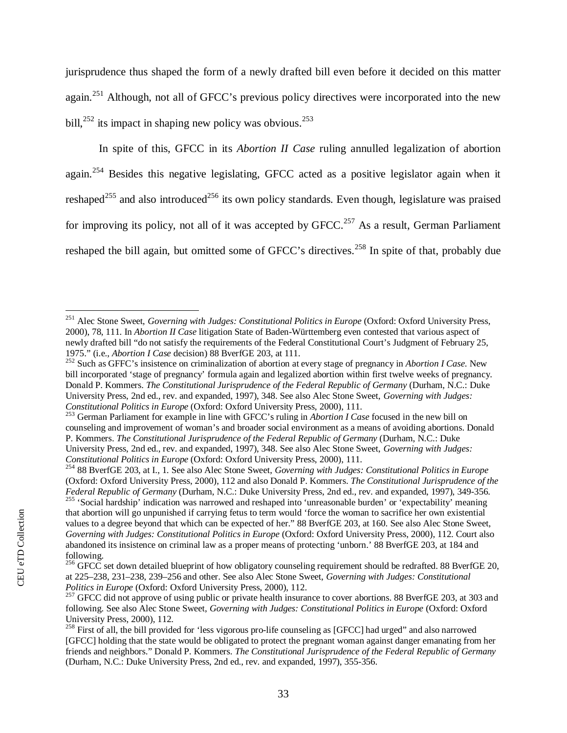jurisprudence thus shaped the form of a newly drafted bill even before it decided on this matter again.<sup>[251](#page-35-0)</sup> Although, not all of GFCC's previous policy directives were incorporated into the new bill, $^{252}$  $^{252}$  $^{252}$  its impact in shaping new policy was obvious.<sup>[253](#page-35-2)</sup>

In spite of this, GFCC in its *Abortion II Case* ruling annulled legalization of abortion again.<sup>[254](#page-35-3)</sup> Besides this negative legislating, GFCC acted as a positive legislator again when it reshaped<sup>[255](#page-35-4)</sup> and also introduced<sup>[256](#page-35-5)</sup> its own policy standards. Even though, legislature was praised for improving its policy, not all of it was accepted by  $\text{GFCC.}^{257}$  $\text{GFCC.}^{257}$  $\text{GFCC.}^{257}$  As a result, German Parliament reshaped the bill again, but omitted some of GFCC's directives.<sup>258</sup> In spite of that, probably due

<span id="page-35-0"></span><sup>&</sup>lt;sup>251</sup> Alec Stone Sweet, *Governing with Judges: Constitutional Politics in Europe* (Oxford: Oxford University Press, 2000), 78, 111. In *Abortion II Case* litigation State of Baden-Württemberg even contested that various aspect of newly drafted bill "do not satisfy the requirements of the Federal Constitutional Court's Judgment of February 25, 1975." (i.e., *Abortion I Case* decision) 88 BverfGE 203, at 111.

<span id="page-35-1"></span><sup>252</sup> Such as GFFC's insistence on criminalization of abortion at every stage of pregnancy in *Abortion I Case*. New bill incorporated 'stage of pregnancy' formula again and legalized abortion within first twelve weeks of pregnancy. Donald P. Kommers. *The Constitutional Jurisprudence of the Federal Republic of Germany* (Durham, N.C.: Duke University Press, 2nd ed., rev. and expanded, 1997), 348. See also Alec Stone Sweet, *Governing with Judges: Constitutional Politics in Europe* (Oxford: Oxford University Press, 2000), 111.

<span id="page-35-2"></span><sup>253</sup> German Parliament for example in line with GFCC's ruling in *Abortion I Case* focused in the new bill on counseling and improvement of woman's and broader social environment as a means of avoiding abortions. Donald P. Kommers. *The Constitutional Jurisprudence of the Federal Republic of Germany* (Durham, N.C.: Duke University Press, 2nd ed., rev. and expanded, 1997), 348. See also Alec Stone Sweet, *Governing with Judges: Constitutional Politics in Europe* (Oxford: Oxford University Press, 2000), 111.

<span id="page-35-3"></span><sup>254</sup> 88 BverfGE 203, at I., 1. See also Alec Stone Sweet, *Governing with Judges: Constitutional Politics in Europe* (Oxford: Oxford University Press, 2000), 112 and also Donald P. Kommers. *The Constitutional Jurisprudence of the Federal Republic of Germany* (Durham, N.C.: Duke University Press, 2nd ed., rev. and expanded, 1997), 349-356. <sup>255</sup> 'Social hardship' indication was narrowed and reshaped into 'unreasonable burden' or 'expectability' meaning

<span id="page-35-4"></span>that abortion will go unpunished if carrying fetus to term would 'force the woman to sacrifice her own existential values to a degree beyond that which can be expected of her." 88 BverfGE 203, at 160. See also Alec Stone Sweet, *Governing with Judges: Constitutional Politics in Europe* (Oxford: Oxford University Press, 2000), 112. Court also abandoned its insistence on criminal law as a proper means of protecting 'unborn.' 88 BverfGE 203, at 184 and following.

<span id="page-35-5"></span><sup>&</sup>lt;sup>256</sup> GFCC set down detailed blueprint of how obligatory counseling requirement should be redrafted. 88 BverfGE 20, at 225–238, 231–238, 239–256 and other. See also Alec Stone Sweet, *Governing with Judges: Constitutional Politics in Europe* (Oxford: Oxford University Press, 2000), 112.

<span id="page-35-6"></span><sup>&</sup>lt;sup>257</sup> GFCC did not approve of using public or private health insurance to cover abortions. 88 BverfGE 203, at 303 and following. See also Alec Stone Sweet, *Governing with Judges: Constitutional Politics in Europe* (Oxford: Oxford University Press, 2000), 112.

<sup>&</sup>lt;sup>258</sup> First of all, the bill provided for 'less vigorous pro-life counseling as [GFCC] had urged" and also narrowed [GFCC] holding that the state would be obligated to protect the pregnant woman against danger emanating from her friends and neighbors." Donald P. Kommers. *The Constitutional Jurisprudence of the Federal Republic of Germany* (Durham, N.C.: Duke University Press, 2nd ed., rev. and expanded, 1997), 355-356.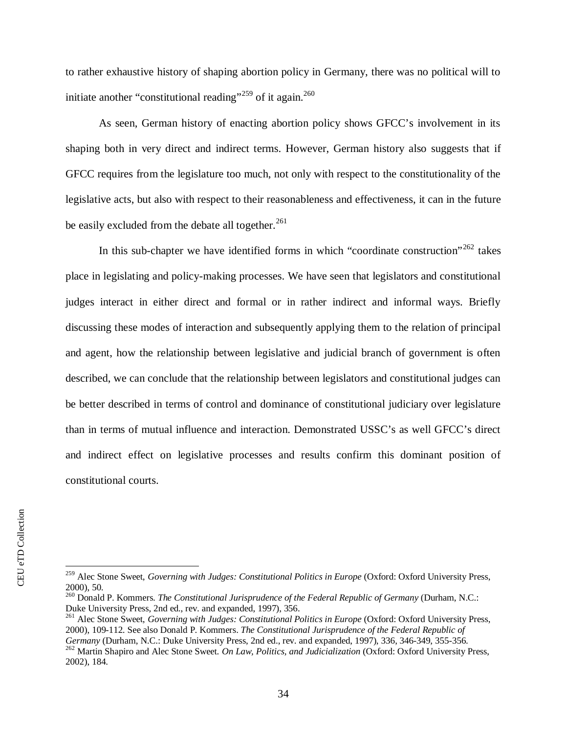to rather exhaustive history of shaping abortion policy in Germany, there was no political will to initiate another "constitutional reading"<sup>[259](#page-36-0)</sup> of it again.<sup>[260](#page-36-1)</sup>

As seen, German history of enacting abortion policy shows GFCC's involvement in its shaping both in very direct and indirect terms. However, German history also suggests that if GFCC requires from the legislature too much, not only with respect to the constitutionality of the legislative acts, but also with respect to their reasonableness and effectiveness, it can in the future be easily excluded from the debate all together. $^{261}$  $^{261}$  $^{261}$ 

In this sub-chapter we have identified forms in which "coordinate construction"<sup>[262](#page-36-3)</sup> takes place in legislating and policy-making processes. We have seen that legislators and constitutional judges interact in either direct and formal or in rather indirect and informal ways. Briefly discussing these modes of interaction and subsequently applying them to the relation of principal and agent, how the relationship between legislative and judicial branch of government is often described, we can conclude that the relationship between legislators and constitutional judges can be better described in terms of control and dominance of constitutional judiciary over legislature than in terms of mutual influence and interaction. Demonstrated USSC's as well GFCC's direct and indirect effect on legislative processes and results confirm this dominant position of constitutional courts.

<span id="page-36-2"></span><sup>261</sup> Alec Stone Sweet, *Governing with Judges: Constitutional Politics in Europe* (Oxford: Oxford University Press, 2000), 109-112. See also Donald P. Kommers. *The Constitutional Jurisprudence of the Federal Republic of Germany* (Durham, N.C.: Duke University Press, 2nd ed., rev. and expanded, 1997), 336, 346-349, 355-356.

<span id="page-36-0"></span><sup>&</sup>lt;sup>259</sup> Alec Stone Sweet, *Governing with Judges: Constitutional Politics in Europe* (Oxford: Oxford University Press, 2000), 50.

<span id="page-36-1"></span><sup>260</sup> Donald P. Kommers. *The Constitutional Jurisprudence of the Federal Republic of Germany* (Durham, N.C.: Duke University Press, 2nd ed., rev. and expanded, 1997), 356.

<span id="page-36-3"></span><sup>262</sup> Martin Shapiro and Alec Stone Sweet. *On Law, Politics, and Judicialization* (Oxford: Oxford University Press, 2002), 184.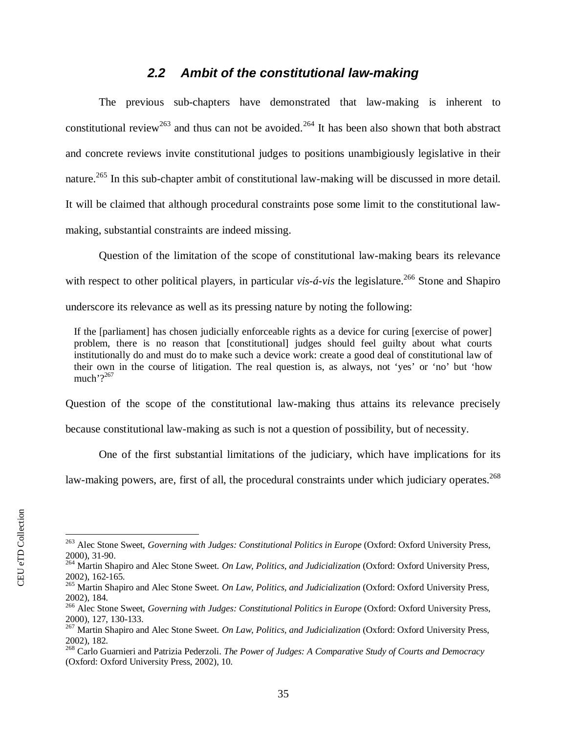#### <span id="page-37-0"></span>*2.2 Ambit of the constitutional law-making*

The previous sub-chapters have demonstrated that law-making is inherent to constitutional review<sup>[263](#page-37-1)</sup> and thus can not be avoided.<sup>[264](#page-37-2)</sup> It has been also shown that both abstract and concrete reviews invite constitutional judges to positions unambigiously legislative in their nature.<sup>[265](#page-37-3)</sup> In this sub-chapter ambit of constitutional law-making will be discussed in more detail. It will be claimed that although procedural constraints pose some limit to the constitutional lawmaking, substantial constraints are indeed missing.

Question of the limitation of the scope of constitutional law-making bears its relevance with respect to other political players, in particular *vis-á-vis* the legislature.<sup>[266](#page-37-4)</sup> Stone and Shapiro underscore its relevance as well as its pressing nature by noting the following:

If the [parliament] has chosen judicially enforceable rights as a device for curing [exercise of power] problem, there is no reason that [constitutional] judges should feel guilty about what courts institutionally do and must do to make such a device work: create a good deal of constitutional law of their own in the course of litigation. The real question is, as always, not 'yes' or 'no' but 'how much' $?^{267}$  $?^{267}$  $?^{267}$ 

Question of the scope of the constitutional law-making thus attains its relevance precisely because constitutional law-making as such is not a question of possibility, but of necessity.

One of the first substantial limitations of the judiciary, which have implications for its

law-making powers, are, first of all, the procedural constraints under which judiciary operates.<sup>268</sup>

<span id="page-37-1"></span><sup>&</sup>lt;sup>263</sup> Alec Stone Sweet, *Governing with Judges: Constitutional Politics in Europe* (Oxford: Oxford University Press, 2000), 31-90.

<span id="page-37-2"></span><sup>264</sup> Martin Shapiro and Alec Stone Sweet. *On Law, Politics, and Judicialization* (Oxford: Oxford University Press, 2002), 162-165.

<span id="page-37-3"></span><sup>265</sup> Martin Shapiro and Alec Stone Sweet. *On Law, Politics, and Judicialization* (Oxford: Oxford University Press, 2002), 184.

<span id="page-37-4"></span><sup>&</sup>lt;sup>266</sup> Alec Stone Sweet, *Governing with Judges: Constitutional Politics in Europe* (Oxford: Oxford University Press, 2000), 127, 130-133.

<span id="page-37-5"></span><sup>267</sup> Martin Shapiro and Alec Stone Sweet. *On Law, Politics, and Judicialization* (Oxford: Oxford University Press, 2002), 182.

<sup>268</sup> Carlo Guarnieri and Patrizia Pederzoli. *The Power of Judges: A Comparative Study of Courts and Democracy* (Oxford: Oxford University Press, 2002), 10.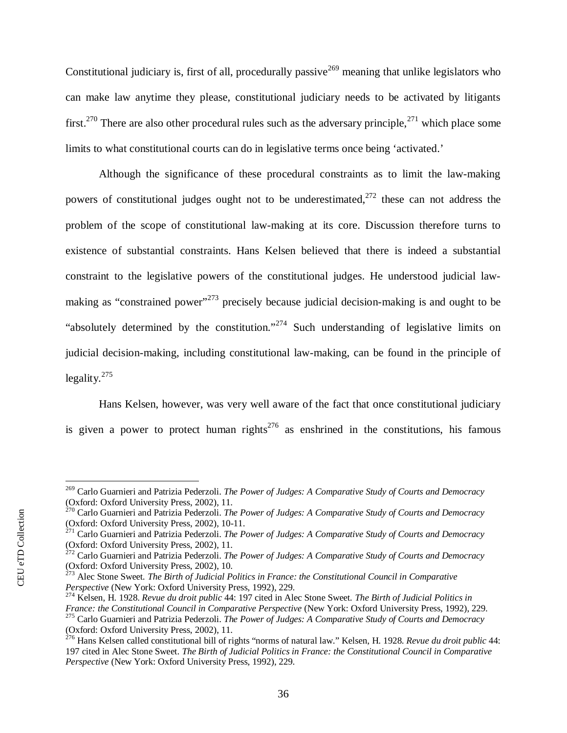Constitutional judiciary is, first of all, procedurally passive  $269$  meaning that unlike legislators who can make law anytime they please, constitutional judiciary needs to be activated by litigants first.<sup>[270](#page-38-1)</sup> There are also other procedural rules such as the adversary principle,<sup>[271](#page-38-2)</sup> which place some limits to what constitutional courts can do in legislative terms once being 'activated.'

Although the significance of these procedural constraints as to limit the law-making powers of constitutional judges ought not to be underestimated.<sup>[272](#page-38-3)</sup> these can not address the problem of the scope of constitutional law-making at its core. Discussion therefore turns to existence of substantial constraints. Hans Kelsen believed that there is indeed a substantial constraint to the legislative powers of the constitutional judges. He understood judicial law-making as "constrained power"<sup>[273](#page-38-4)</sup> precisely because judicial decision-making is and ought to be "absolutely determined by the constitution."<sup>[274](#page-38-5)</sup> Such understanding of legislative limits on judicial decision-making, including constitutional law-making, can be found in the principle of  $leqality.<sup>275</sup>$  $leqality.<sup>275</sup>$  $leqality.<sup>275</sup>$ 

Hans Kelsen, however, was very well aware of the fact that once constitutional judiciary is given a power to protect human rights<sup>276</sup> as enshrined in the constitutions, his famous

<span id="page-38-0"></span><sup>269</sup> Carlo Guarnieri and Patrizia Pederzoli. *The Power of Judges: A Comparative Study of Courts and Democracy* (Oxford: Oxford University Press, 2002), 11.

<span id="page-38-1"></span><sup>270</sup> Carlo Guarnieri and Patrizia Pederzoli. *The Power of Judges: A Comparative Study of Courts and Democracy* (Oxford: Oxford University Press, 2002), 10-11.

<span id="page-38-2"></span><sup>271</sup> Carlo Guarnieri and Patrizia Pederzoli. *The Power of Judges: A Comparative Study of Courts and Democracy* (Oxford: Oxford University Press, 2002), 11.

<span id="page-38-3"></span><sup>272</sup> Carlo Guarnieri and Patrizia Pederzoli. *The Power of Judges: A Comparative Study of Courts and Democracy* (Oxford: Oxford University Press, 2002), 10.

<span id="page-38-4"></span><sup>273</sup> Alec Stone Sweet. *The Birth of Judicial Politics in France: the Constitutional Council in Comparative Perspective* (New York: Oxford University Press, 1992), 229.

<span id="page-38-5"></span><sup>274</sup> Kelsen, H. 1928. *Revue du droit public* 44: 197 cited in Alec Stone Sweet. *The Birth of Judicial Politics in France: the Constitutional Council in Comparative Perspective* (New York: Oxford University Press, 1992), 229.

<span id="page-38-6"></span><sup>275</sup> Carlo Guarnieri and Patrizia Pederzoli. *The Power of Judges: A Comparative Study of Courts and Democracy* (Oxford: Oxford University Press, 2002), 11.

<sup>276</sup> Hans Kelsen called constitutional bill of rights "norms of natural law." Kelsen, H. 1928. *Revue du droit public* 44: 197 cited in Alec Stone Sweet. *The Birth of Judicial Politics in France: the Constitutional Council in Comparative Perspective* (New York: Oxford University Press, 1992), 229.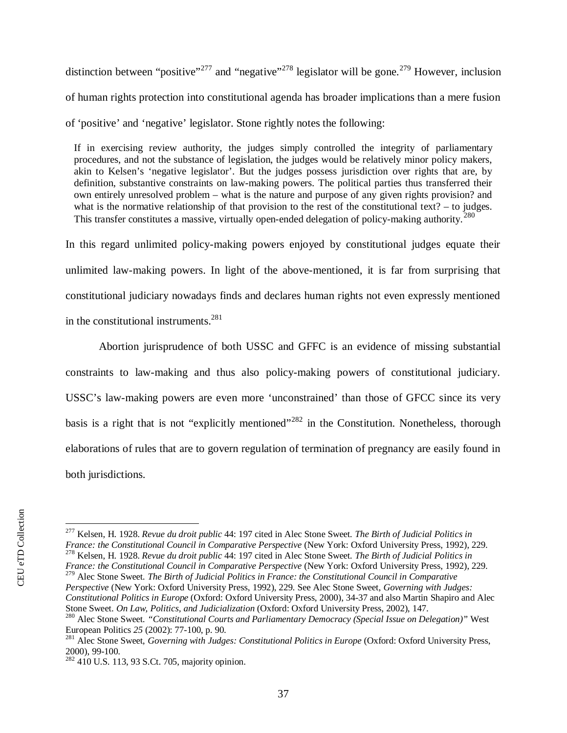distinction between "positive"<sup>[277](#page-39-0)</sup> and "negative"<sup>[278](#page-39-1)</sup> legislator will be gone.<sup>[279](#page-39-2)</sup> However, inclusion of human rights protection into constitutional agenda has broader implications than a mere fusion of 'positive' and 'negative' legislator. Stone rightly notes the following:

If in exercising review authority, the judges simply controlled the integrity of parliamentary procedures, and not the substance of legislation, the judges would be relatively minor policy makers, akin to Kelsen's 'negative legislator'. But the judges possess jurisdiction over rights that are, by definition, substantive constraints on law-making powers. The political parties thus transferred their own entirely unresolved problem – what is the nature and purpose of any given rights provision? and what is the normative relationship of that provision to the rest of the constitutional text? – to judges. This transfer constitutes a massive, virtually open-ended delegation of policy-making authority.<sup>[280](#page-39-3)</sup>

In this regard unlimited policy-making powers enjoyed by constitutional judges equate their unlimited law-making powers. In light of the above-mentioned, it is far from surprising that constitutional judiciary nowadays finds and declares human rights not even expressly mentioned in the constitutional instruments.<sup>[281](#page-39-4)</sup>

Abortion jurisprudence of both USSC and GFFC is an evidence of missing substantial constraints to law-making and thus also policy-making powers of constitutional judiciary. USSC's law-making powers are even more 'unconstrained' than those of GFCC since its very basis is a right that is not "explicitly mentioned"<sup>[282](#page-39-5)</sup> in the Constitution. Nonetheless, thorough elaborations of rules that are to govern regulation of termination of pregnancy are easily found in both jurisdictions.

<span id="page-39-2"></span><span id="page-39-1"></span>*France: the Constitutional Council in Comparative Perspective* (New York: Oxford University Press, 1992), 229. <sup>279</sup> Alec Stone Sweet. *The Birth of Judicial Politics in France: the Constitutional Council in Comparative Perspective* (New York: Oxford University Press, 1992), 229. See Alec Stone Sweet, *Governing with Judges: Constitutional Politics in Europe* (Oxford: Oxford University Press, 2000), 34-37 and also Martin Shapiro and Alec Stone Sweet. *On Law, Politics, and Judicialization* (Oxford: Oxford University Press, 2002), 147.

<span id="page-39-0"></span><sup>277</sup> Kelsen, H. 1928. *Revue du droit public* 44: 197 cited in Alec Stone Sweet. *The Birth of Judicial Politics in France: the Constitutional Council in Comparative Perspective* (New York: Oxford University Press, 1992), 229. <sup>278</sup> Kelsen, H. 1928. *Revue du droit public* 44: 197 cited in Alec Stone Sweet. *The Birth of Judicial Politics in*

<span id="page-39-3"></span><sup>280</sup> Alec Stone Sweet. *"Constitutional Courts and Parliamentary Democracy (Special Issue on Delegation)"* West European Politics *25* (2002): 77-100, p. 90.

<span id="page-39-4"></span><sup>&</sup>lt;sup>281</sup> Alec Stone Sweet, *Governing with Judges: Constitutional Politics in Europe* (Oxford: Oxford University Press, 2000), 99-100.

<span id="page-39-5"></span> $282\,410$  U.S. 113, 93 S.Ct. 705, majority opinion.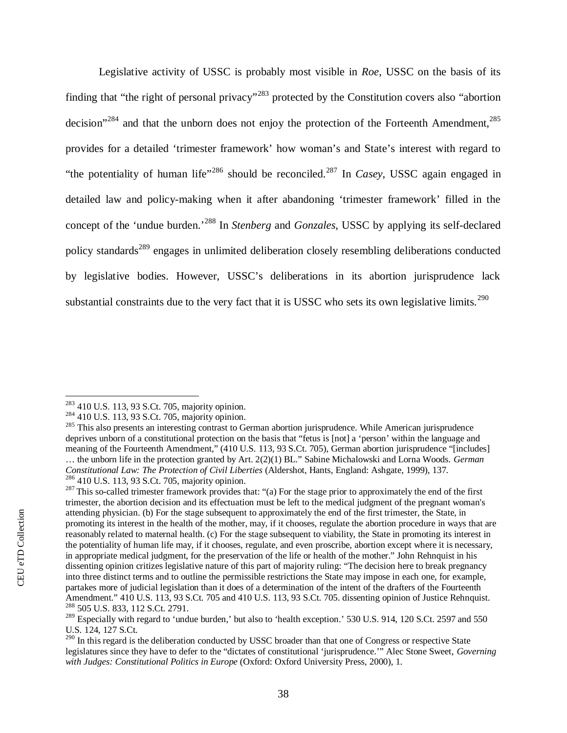Legislative activity of USSC is probably most visible in *Roe*, USSC on the basis of its finding that "the right of personal privacy"<sup>[283](#page-40-0)</sup> protected by the Constitution covers also "abortion" decision"<sup>[284](#page-40-1)</sup> and that the unborn does not enjoy the protection of the Forteenth Amendment, $285$ provides for a detailed 'trimester framework' how woman's and State's interest with regard to "the potentiality of human life"<sup>[286](#page-40-3)</sup> should be reconciled.<sup>[287](#page-40-4)</sup> In *Casey*, USSC again engaged in detailed law and policy-making when it after abandoning 'trimester framework' filled in the concept of the 'undue burden.'[288](#page-40-5) In *Stenberg* and *Gonzales*, USSC by applying its self-declared policy standards<sup>[289](#page-40-6)</sup> engages in unlimited deliberation closely resembling deliberations conducted by legislative bodies. However, USSC's deliberations in its abortion jurisprudence lack substantial constraints due to the very fact that it is USSC who sets its own legislative limits.<sup>290</sup>

<span id="page-40-0"></span><sup>283</sup> 410 U.S. 113, 93 S.Ct. 705, majority opinion.

<span id="page-40-1"></span><sup>284</sup> 410 U.S. 113, 93 S.Ct. 705, majority opinion.

<span id="page-40-2"></span><sup>&</sup>lt;sup>285</sup> This also presents an interesting contrast to German abortion jurisprudence. While American jurisprudence deprives unborn of a constitutional protection on the basis that "fetus is [not] a 'person' within the language and meaning of the Fourteenth Amendment," (410 U.S. 113, 93 S.Ct. 705), German abortion jurisprudence "[includes] … the unborn life in the protection granted by Art. 2(2)(1) BL." Sabine Michalowski and Lorna Woods. *German Constitutional Law: The Protection of Civil Liberties* (Aldershot, Hants, England: Ashgate, 1999), 137. <sup>286</sup> 410 U.S. 113, 93 S.Ct. 705, majority opinion.

<span id="page-40-4"></span><span id="page-40-3"></span><sup>&</sup>lt;sup>287</sup> This so-called trimester framework provides that: "(a) For the stage prior to approximately the end of the first trimester, the abortion decision and its effectuation must be left to the medical judgment of the pregnant woman's attending physician. (b) For the stage subsequent to approximately the end of the first trimester, the State, in promoting its interest in the health of the mother, may, if it chooses, regulate the abortion procedure in ways that are reasonably related to maternal health. (c) For the stage subsequent to viability, the State in promoting its interest in the potentiality of human life may, if it chooses, regulate, and even proscribe, abortion except where it is necessary, in appropriate medical judgment, for the preservation of the life or health of the mother." John Rehnquist in his dissenting opinion critizes legislative nature of this part of majority ruling: "The decision here to break pregnancy into three distinct terms and to outline the permissible restrictions the State may impose in each one, for example, partakes more of judicial legislation than it does of a determination of the intent of the drafters of the Fourteenth Amendment." 410 U.S. 113, 93 S.Ct. 705 and 410 U.S. 113, 93 S.Ct. 705. dissenting opinion of Justice Rehnquist. <sup>288</sup> 505 U.S. 833, 112 S.Ct. 2791.

<span id="page-40-6"></span><span id="page-40-5"></span> $^{289}$  Especially with regard to 'undue burden,' but also to 'health exception.' 530 U.S. 914, 120 S.Ct. 2597 and 550 U.S. 124, 127 S.Ct.

<sup>&</sup>lt;sup>290</sup> In this regard is the deliberation conducted by USSC broader than that one of Congress or respective State legislatures since they have to defer to the "dictates of constitutional 'jurisprudence.'" Alec Stone Sweet, *Governing with Judges: Constitutional Politics in Europe* (Oxford: Oxford University Press, 2000), 1.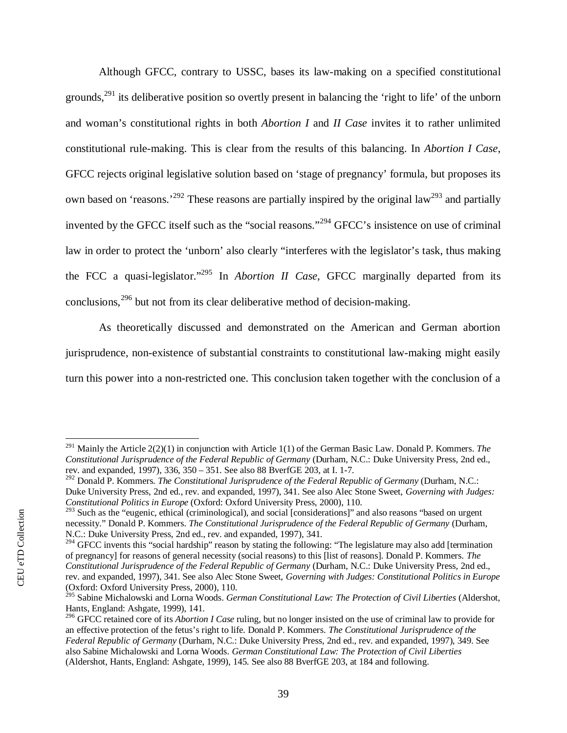Although GFCC, contrary to USSC, bases its law-making on a specified constitutional grounds,<sup>[291](#page-41-0)</sup> its deliberative position so overtly present in balancing the 'right to life' of the unborn and woman's constitutional rights in both *Abortion I* and *II Case* invites it to rather unlimited constitutional rule-making. This is clear from the results of this balancing. In *Abortion I Case*, GFCC rejects original legislative solution based on 'stage of pregnancy' formula, but proposes its own based on 'reasons.'<sup>[292](#page-41-1)</sup> These reasons are partially inspired by the original law<sup>[293](#page-41-2)</sup> and partially invented by the GFCC itself such as the "social reasons."<sup>[294](#page-41-3)</sup> GFCC's insistence on use of criminal law in order to protect the 'unborn' also clearly "interferes with the legislator's task, thus making the FCC a quasi-legislator."[295](#page-41-4) In *Abortion II Case*, GFCC marginally departed from its conclusions,<sup>[296](#page-41-5)</sup> but not from its clear deliberative method of decision-making.

As theoretically discussed and demonstrated on the American and German abortion jurisprudence, non-existence of substantial constraints to constitutional law-making might easily turn this power into a non-restricted one. This conclusion taken together with the conclusion of a

<span id="page-41-0"></span><sup>291</sup> Mainly the Article 2(2)(1) in conjunction with Article 1(1) of the German Basic Law. Donald P. Kommers. *The Constitutional Jurisprudence of the Federal Republic of Germany* (Durham, N.C.: Duke University Press, 2nd ed., rev. and expanded, 1997), 336, 350 – 351. See also 88 BverfGE 203, at I. 1-7.

<span id="page-41-1"></span><sup>292</sup> Donald P. Kommers. *The Constitutional Jurisprudence of the Federal Republic of Germany* (Durham, N.C.: Duke University Press, 2nd ed., rev. and expanded, 1997), 341. See also Alec Stone Sweet, *Governing with Judges: Constitutional Politics in Europe* (Oxford: Oxford University Press, 2000), 110.

<span id="page-41-2"></span><sup>&</sup>lt;sup>293</sup> Such as the "eugenic, ethical (criminological), and social [considerations]" and also reasons "based on urgent necessity." Donald P. Kommers. *The Constitutional Jurisprudence of the Federal Republic of Germany* (Durham, N.C.: Duke University Press, 2nd ed., rev. and expanded, 1997), 341.

<span id="page-41-3"></span><sup>&</sup>lt;sup>294</sup> GFCC invents this "social hardship" reason by stating the following: "The legislature may also add [termination of pregnancy] for reasons of general necessity (social reasons) to this [list of reasons]. Donald P. Kommers. *The Constitutional Jurisprudence of the Federal Republic of Germany* (Durham, N.C.: Duke University Press, 2nd ed., rev. and expanded, 1997), 341. See also Alec Stone Sweet, *Governing with Judges: Constitutional Politics in Europe* (Oxford: Oxford University Press, 2000), 110.

<span id="page-41-4"></span><sup>295</sup> Sabine Michalowski and Lorna Woods. *German Constitutional Law: The Protection of Civil Liberties* (Aldershot, Hants, England: Ashgate, 1999), 141.

<span id="page-41-5"></span><sup>296</sup> GFCC retained core of its *Abortion I Case* ruling, but no longer insisted on the use of criminal law to provide for an effective protection of the fetus's right to life. Donald P. Kommers. *The Constitutional Jurisprudence of the Federal Republic of Germany* (Durham, N.C.: Duke University Press, 2nd ed., rev. and expanded, 1997), 349. See also Sabine Michalowski and Lorna Woods. *German Constitutional Law: The Protection of Civil Liberties* (Aldershot, Hants, England: Ashgate, 1999), 145. See also 88 BverfGE 203, at 184 and following.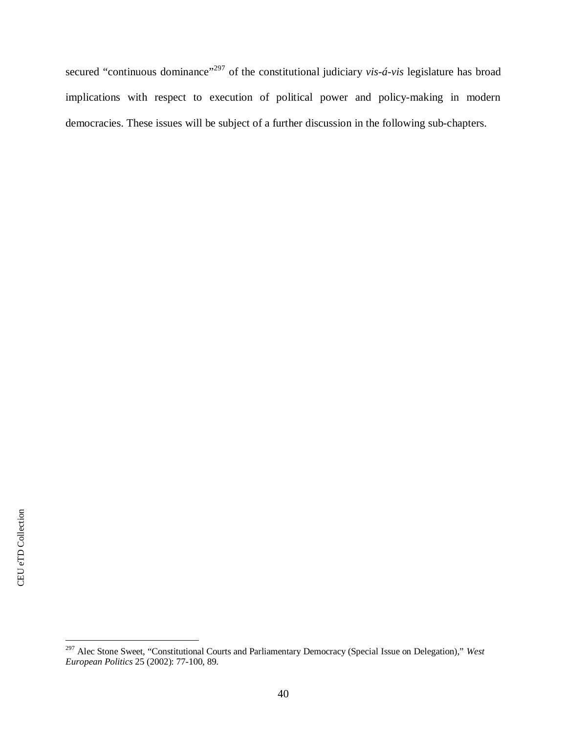secured "continuous dominance"<sup>[297](#page-42-0)</sup> of the constitutional judiciary *vis-á-vis* legislature has broad implications with respect to execution of political power and policy-making in modern democracies. These issues will be subject of a further discussion in the following sub-chapters.

<span id="page-42-0"></span><sup>297</sup> Alec Stone Sweet, "Constitutional Courts and Parliamentary Democracy (Special Issue on Delegation)," *West European Politics* 25 (2002): 77-100, 89.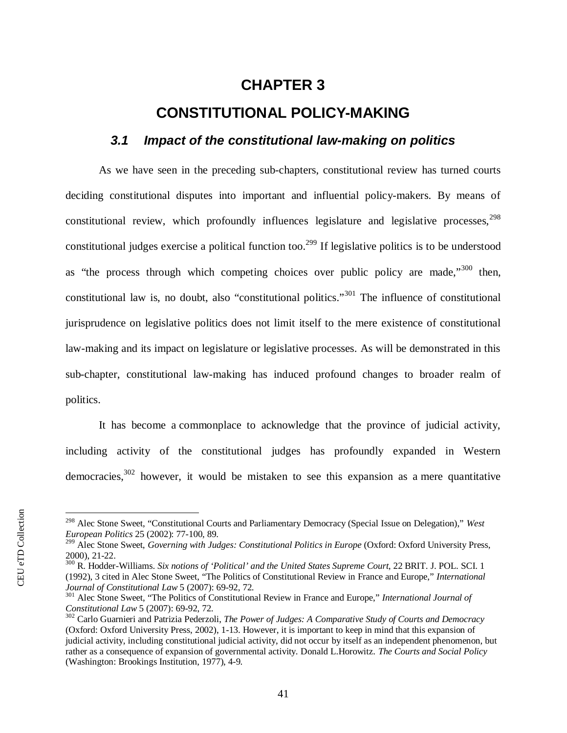## <span id="page-43-0"></span>**CHAPTER 3**

## **CONSTITUTIONAL POLICY-MAKING**

#### <span id="page-43-1"></span>*3.1 Impact of the constitutional law-making on politics*

As we have seen in the preceding sub-chapters, constitutional review has turned courts deciding constitutional disputes into important and influential policy-makers. By means of constitutional review, which profoundly influences legislature and legislative processes,  $298$ constitutional judges exercise a political function too.<sup>[299](#page-43-3)</sup> If legislative politics is to be understood as "the process through which competing choices over public policy are made,"<sup>[300](#page-43-4)</sup> then, constitutional law is, no doubt, also "constitutional politics."<sup>[301](#page-43-5)</sup> The influence of constitutional jurisprudence on legislative politics does not limit itself to the mere existence of constitutional law-making and its impact on legislature or legislative processes. As will be demonstrated in this sub-chapter, constitutional law-making has induced profound changes to broader realm of politics.

It has become a commonplace to acknowledge that the province of judicial activity, including activity of the constitutional judges has profoundly expanded in Western democracies, $302$  however, it would be mistaken to see this expansion as a mere quantitative

<span id="page-43-2"></span><sup>298</sup> Alec Stone Sweet, "Constitutional Courts and Parliamentary Democracy (Special Issue on Delegation)," *West European Politics* 25 (2002): 77-100, 89.

<span id="page-43-3"></span><sup>&</sup>lt;sup>299</sup> Alec Stone Sweet, *Governing with Judges: Constitutional Politics in Europe* (Oxford: Oxford University Press, 2000), 21-22.

<span id="page-43-4"></span><sup>300</sup> R. Hodder-Williams. *Six notions of 'Political' and the United States Supreme Court*, 22 BRIT. J. POL. SCI. 1 (1992), 3 cited in Alec Stone Sweet, "The Politics of Constitutional Review in France and Europe," *International Journal of Constitutional Law* 5 (2007): 69-92, 72.

<span id="page-43-5"></span><sup>301</sup> Alec Stone Sweet, "The Politics of Constitutional Review in France and Europe," *International Journal of Constitutional Law* 5 (2007): 69-92, 72.

<sup>302</sup> Carlo Guarnieri and Patrizia Pederzoli, *The Power of Judges: A Comparative Study of Courts and Democracy* (Oxford: Oxford University Press, 2002), 1-13. However, it is important to keep in mind that this expansion of judicial activity, including constitutional judicial activity, did not occur by itself as an independent phenomenon, but rather as a consequence of expansion of governmental activity. Donald L.Horowitz. *The Courts and Social Policy* (Washington: Brookings Institution, 1977), 4-9.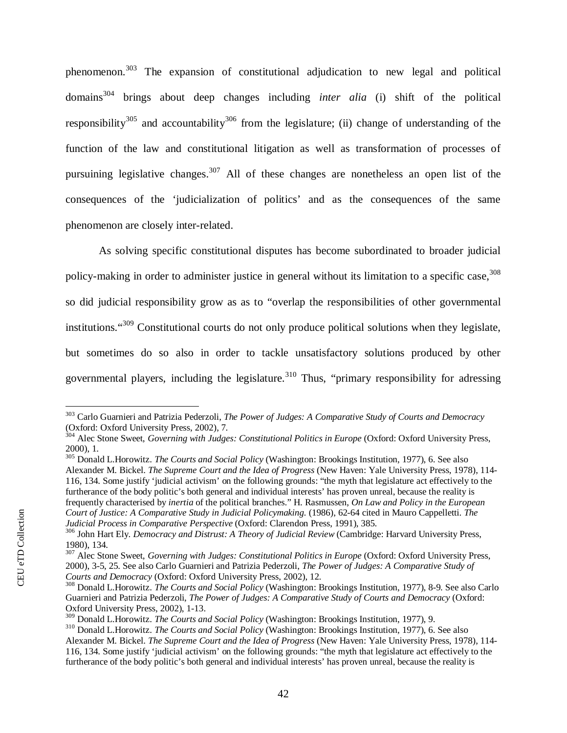phenomenon.[303](#page-44-0) The expansion of constitutional adjudication to new legal and political domains[304](#page-44-1) brings about deep changes including *inter alia* (i) shift of the political responsibility<sup>[305](#page-44-2)</sup> and accountability<sup>[306](#page-44-3)</sup> from the legislature; (ii) change of understanding of the function of the law and constitutional litigation as well as transformation of processes of pursuining legislative changes.<sup>[307](#page-44-4)</sup> All of these changes are nonetheless an open list of the consequences of the 'judicialization of politics' and as the consequences of the same phenomenon are closely inter-related.

As solving specific constitutional disputes has become subordinated to broader judicial policy-making in order to administer justice in general without its limitation to a specific case.<sup>308</sup> so did judicial responsibility grow as as to "overlap the responsibilities of other governmental institutions."[309](#page-44-6) Constitutional courts do not only produce political solutions when they legislate, but sometimes do so also in order to tackle unsatisfactory solutions produced by other governmental players, including the legislature.<sup>310</sup> Thus, "primary responsibility for adressing

<span id="page-44-2"></span><sup>305</sup> Donald L.Horowitz. *The Courts and Social Policy* (Washington: Brookings Institution, 1977), 6. See also Alexander M. Bickel. *The Supreme Court and the Idea of Progress* (New Haven: Yale University Press, 1978), 114- 116, 134. Some justify 'judicial activism' on the following grounds: "the myth that legislature act effectively to the furtherance of the body politic's both general and individual interests' has proven unreal, because the reality is frequently characterised by *inertia* of the political branches." H. Rasmussen, *On Law and Policy in the European Court of Justice: A Comparative Study in Judicial Policymaking.* (1986), 62-64 cited in Mauro Cappelletti. *The Judicial Process in Comparative Perspective* (Oxford: Clarendon Press, 1991), 385.

<span id="page-44-0"></span><sup>303</sup> Carlo Guarnieri and Patrizia Pederzoli, *The Power of Judges: A Comparative Study of Courts and Democracy* (Oxford: Oxford University Press, 2002), 7.

<span id="page-44-1"></span><sup>&</sup>lt;sup>304</sup> Alec Stone Sweet, *Governing with Judges: Constitutional Politics in Europe* (Oxford: Oxford University Press, 2000), 1.

<span id="page-44-3"></span><sup>306</sup> John Hart Ely. *Democracy and Distrust: A Theory of Judicial Review* (Cambridge: Harvard University Press, 1980), 134.

<span id="page-44-4"></span><sup>&</sup>lt;sup>307</sup> Alec Stone Sweet, *Governing with Judges: Constitutional Politics in Europe* (Oxford: Oxford University Press, 2000), 3-5, 25. See also Carlo Guarnieri and Patrizia Pederzoli, *The Power of Judges: A Comparative Study of Courts and Democracy* (Oxford: Oxford University Press, 2002), 12.

<span id="page-44-5"></span><sup>308</sup> Donald L.Horowitz. *The Courts and Social Policy* (Washington: Brookings Institution, 1977), 8-9. See also Carlo Guarnieri and Patrizia Pederzoli, *The Power of Judges: A Comparative Study of Courts and Democracy* (Oxford: Oxford University Press, 2002), 1-13.

<span id="page-44-6"></span><sup>309</sup> Donald L.Horowitz. *The Courts and Social Policy* (Washington: Brookings Institution, 1977), 9.

<sup>310</sup> Donald L.Horowitz. *The Courts and Social Policy* (Washington: Brookings Institution, 1977), 6. See also Alexander M. Bickel. *The Supreme Court and the Idea of Progress* (New Haven: Yale University Press, 1978), 114- 116, 134. Some justify 'judicial activism' on the following grounds: "the myth that legislature act effectively to the furtherance of the body politic's both general and individual interests' has proven unreal, because the reality is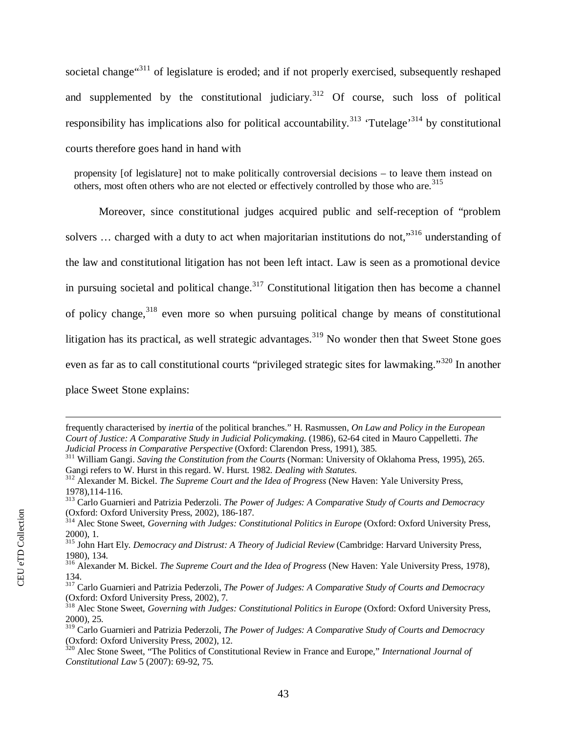societal change<sup>"[311](#page-45-0)</sup> of legislature is eroded; and if not properly exercised, subsequently reshaped and supplemented by the constitutional judiciary.  $312$  Of course, such loss of political responsibility has implications also for political accountability.<sup>[313](#page-45-2)</sup> 'Tutelage'<sup>[314](#page-45-3)</sup> by constitutional courts therefore goes hand in hand with

propensity [of legislature] not to make politically controversial decisions – to leave them instead on others, most often others who are not elected or effectively controlled by those who are.<sup>[315](#page-45-4)</sup>

Moreover, since constitutional judges acquired public and self-reception of "problem solvers  $\ldots$  charged with a duty to act when majoritarian institutions do not,"<sup>[316](#page-45-5)</sup> understanding of the law and constitutional litigation has not been left intact. Law is seen as a promotional device in pursuing societal and political change.<sup>[317](#page-45-6)</sup> Constitutional litigation then has become a channel of policy change,  $318$  even more so when pursuing political change by means of constitutional litigation has its practical, as well strategic advantages.<sup>[319](#page-45-8)</sup> No wonder then that Sweet Stone goes even as far as to call constitutional courts "privileged strategic sites for lawmaking."<sup>[320](#page-45-9)</sup> In another place Sweet Stone explains:

frequently characterised by *inertia* of the political branches." H. Rasmussen, *On Law and Policy in the European Court of Justice: A Comparative Study in Judicial Policymaking.* (1986), 62-64 cited in Mauro Cappelletti. *The Judicial Process in Comparative Perspective* (Oxford: Clarendon Press, 1991), 385.

<span id="page-45-0"></span><sup>&</sup>lt;sup>311</sup> William Gangi. *Saving the Constitution from the Courts* (Norman: University of Oklahoma Press, 1995), 265. Gangi refers to W. Hurst in this regard. W. Hurst. 1982. *Dealing with Statutes*.

<span id="page-45-1"></span><sup>312</sup> Alexander M. Bickel. *The Supreme Court and the Idea of Progress* (New Haven: Yale University Press, 1978),114-116.

<span id="page-45-2"></span><sup>313</sup> Carlo Guarnieri and Patrizia Pederzoli. *The Power of Judges: A Comparative Study of Courts and Democracy* (Oxford: Oxford University Press, 2002), 186-187.

<span id="page-45-3"></span><sup>&</sup>lt;sup>314</sup> Alec Stone Sweet, *Governing with Judges: Constitutional Politics in Europe* (Oxford: Oxford University Press, 2000), 1.

<span id="page-45-4"></span><sup>315</sup> John Hart Ely. *Democracy and Distrust: A Theory of Judicial Review* (Cambridge: Harvard University Press, 1980), 134.

<span id="page-45-5"></span><sup>316</sup> Alexander M. Bickel. *The Supreme Court and the Idea of Progress* (New Haven: Yale University Press, 1978), 134.

<span id="page-45-6"></span><sup>317</sup> Carlo Guarnieri and Patrizia Pederzoli, *The Power of Judges: A Comparative Study of Courts and Democracy* (Oxford: Oxford University Press, 2002), 7.

<span id="page-45-7"></span><sup>&</sup>lt;sup>318</sup> Alec Stone Sweet, *Governing with Judges: Constitutional Politics in Europe* (Oxford: Oxford University Press, 2000), 25.

<span id="page-45-8"></span><sup>319</sup> Carlo Guarnieri and Patrizia Pederzoli, *The Power of Judges: A Comparative Study of Courts and Democracy* (Oxford: Oxford University Press, 2002), 12.

<span id="page-45-9"></span><sup>320</sup> Alec Stone Sweet, "The Politics of Constitutional Review in France and Europe," *International Journal of Constitutional Law* 5 (2007): 69-92, 75.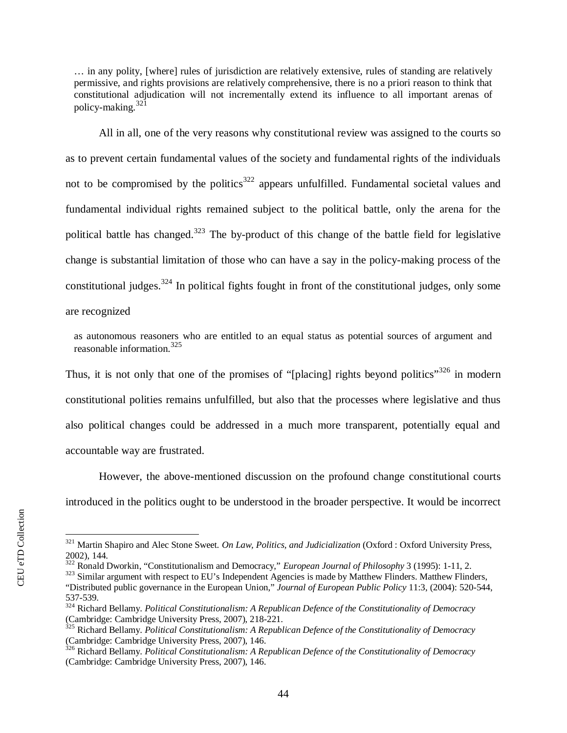… in any polity, [where] rules of jurisdiction are relatively extensive, rules of standing are relatively permissive, and rights provisions are relatively comprehensive, there is no a priori reason to think that constitutional adjudication will not incrementally extend its influence to all important arenas of policy-making. $321$ 

All in all, one of the very reasons why constitutional review was assigned to the courts so as to prevent certain fundamental values of the society and fundamental rights of the individuals not to be compromised by the politics<sup>[322](#page-46-1)</sup> appears unfulfilled. Fundamental societal values and fundamental individual rights remained subject to the political battle, only the arena for the political battle has changed.<sup>[323](#page-46-2)</sup> The by-product of this change of the battle field for legislative change is substantial limitation of those who can have a say in the policy-making process of the constitutional judges.<sup>324</sup> In political fights fought in front of the constitutional judges, only some are recognized

as autonomous reasoners who are entitled to an equal status as potential sources of argument and reasonable information.<sup>[325](#page-46-3)</sup>

Thus, it is not only that one of the promises of "[placing] rights beyond politics"<sup>[326](#page-46-4)</sup> in modern constitutional polities remains unfulfilled, but also that the processes where legislative and thus also political changes could be addressed in a much more transparent, potentially equal and accountable way are frustrated.

However, the above-mentioned discussion on the profound change constitutional courts introduced in the politics ought to be understood in the broader perspective. It would be incorrect

<span id="page-46-0"></span><sup>321</sup> Martin Shapiro and Alec Stone Sweet. *On Law, Politics, and Judicialization* (Oxford : Oxford University Press, 2002), 144.

<span id="page-46-1"></span><sup>322</sup> Ronald Dworkin, "Constitutionalism and Democracy," *European Journal of Philosophy* 3 (1995): 1-11, 2.

<span id="page-46-2"></span><sup>&</sup>lt;sup>323</sup> Similar argument with respect to EU's Independent Agencies is made by Matthew Flinders. Matthew Flinders, "Distributed public governance in the European Union," *Journal of European Public Policy* 11:3, (2004): 520-544, 537-539.

<sup>324</sup> Richard Bellamy. *Political Constitutionalism: A Republican Defence of the Constitutionality of Democracy* (Cambridge: Cambridge University Press, 2007), 218-221.

<span id="page-46-3"></span><sup>325</sup> Richard Bellamy. *Political Constitutionalism: A Republican Defence of the Constitutionality of Democracy* (Cambridge: Cambridge University Press, 2007), 146.

<span id="page-46-4"></span><sup>326</sup> Richard Bellamy. *Political Constitutionalism: A Republican Defence of the Constitutionality of Democracy* (Cambridge: Cambridge University Press, 2007), 146.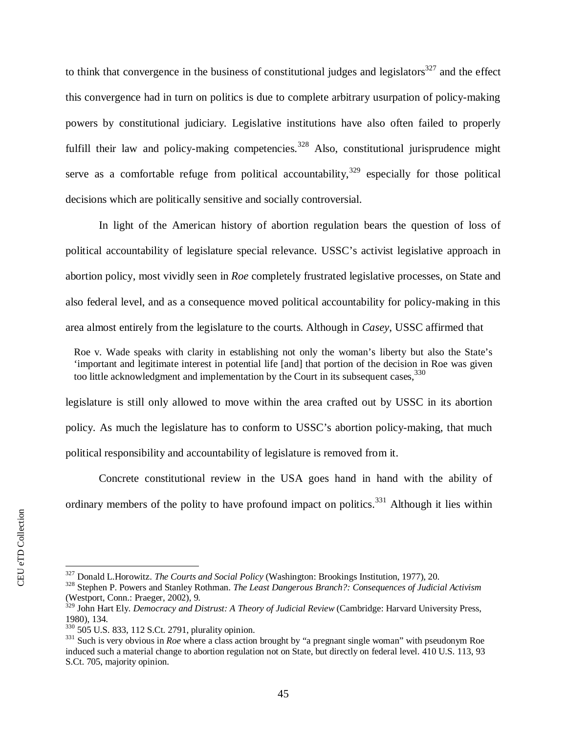to think that convergence in the business of constitutional judges and legislators $327$  and the effect this convergence had in turn on politics is due to complete arbitrary usurpation of policy-making powers by constitutional judiciary. Legislative institutions have also often failed to properly fulfill their law and policy-making competencies.<sup>[328](#page-47-1)</sup> Also, constitutional jurisprudence might serve as a comfortable refuge from political accountability,  $329$  especially for those political decisions which are politically sensitive and socially controversial.

In light of the American history of abortion regulation bears the question of loss of political accountability of legislature special relevance. USSC's activist legislative approach in abortion policy, most vividly seen in *Roe* completely frustrated legislative processes, on State and also federal level, and as a consequence moved political accountability for policy-making in this area almost entirely from the legislature to the courts. Although in *Casey*, USSC affirmed that

Roe v. Wade speaks with clarity in establishing not only the woman's liberty but also the State's 'important and legitimate interest in potential life [and] that portion of the decision in Roe was given too little acknowledgment and implementation by the Court in its subsequent cases,  $330$ 

legislature is still only allowed to move within the area crafted out by USSC in its abortion policy. As much the legislature has to conform to USSC's abortion policy-making, that much political responsibility and accountability of legislature is removed from it.

Concrete constitutional review in the USA goes hand in hand with the ability of ordinary members of the polity to have profound impact on politics.<sup>331</sup> Although it lies within

<span id="page-47-0"></span><sup>327</sup> Donald L.Horowitz. *The Courts and Social Policy* (Washington: Brookings Institution, 1977), 20.

<span id="page-47-1"></span><sup>328</sup> Stephen P. Powers and Stanley Rothman. *The Least Dangerous Branch?: Consequences of Judicial Activism* (Westport, Conn.: Praeger, 2002), 9.

<span id="page-47-2"></span><sup>&</sup>lt;sup>329</sup> John Hart Ely. *Democracy and Distrust: A Theory of Judicial Review* (Cambridge: Harvard University Press, 1980), 134.

<span id="page-47-3"></span><sup>330</sup> 505 U.S. 833, 112 S.Ct. 2791, plurality opinion.

<sup>&</sup>lt;sup>331</sup> Such is very obvious in *Roe* where a class action brought by "a pregnant single woman" with pseudonym Roe induced such a material change to abortion regulation not on State, but directly on federal level. 410 U.S. 113, 93 S.Ct. 705, majority opinion.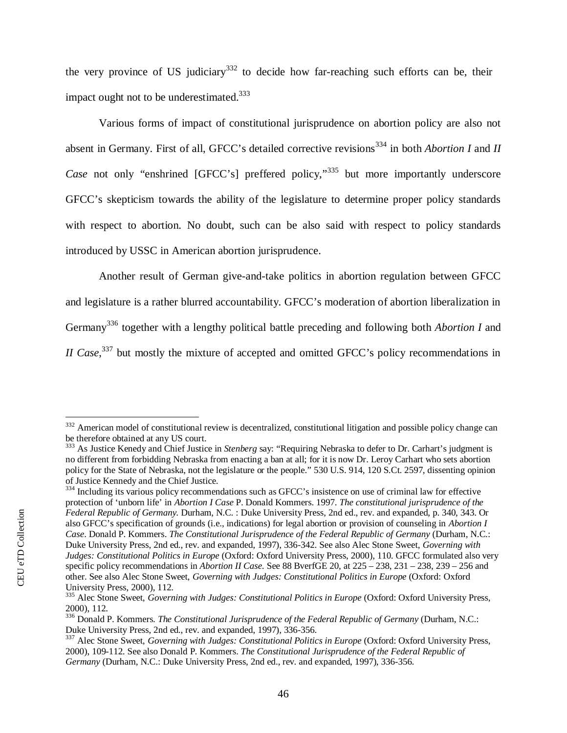the very province of US judiciary<sup>[332](#page-48-0)</sup> to decide how far-reaching such efforts can be, their impact ought not to be underestimated. $333$ 

Various forms of impact of constitutional jurisprudence on abortion policy are also not absent in Germany. First of all, GFCC's detailed corrective revisions<sup>[334](#page-48-2)</sup> in both *Abortion I* and *II Case* not only "enshrined [GFCC's] preffered policy,"<sup>[335](#page-48-3)</sup> but more importantly underscore GFCC's skepticism towards the ability of the legislature to determine proper policy standards with respect to abortion. No doubt, such can be also said with respect to policy standards introduced by USSC in American abortion jurisprudence.

Another result of German give-and-take politics in abortion regulation between GFCC and legislature is a rather blurred accountability. GFCC's moderation of abortion liberalization in Germany[336](#page-48-4) together with a lengthy political battle preceding and following both *Abortion I* and *II Case*<sup>337</sup> but mostly the mixture of accepted and omitted GFCC's policy recommendations in

<span id="page-48-2"></span><sup>334</sup> Including its various policy recommendations such as GFCC's insistence on use of criminal law for effective protection of 'unborn life' in *Abortion I Case* P. Donald Kommers. 1997. *The constitutional jurisprudence of the Federal Republic of Germany.* Durham, N.C. : Duke University Press, 2nd ed., rev. and expanded, p. 340, 343. Or also GFCC's specification of grounds (i.e., indications) for legal abortion or provision of counseling in *Abortion I Case*. Donald P. Kommers. *The Constitutional Jurisprudence of the Federal Republic of Germany* (Durham, N.C.: Duke University Press, 2nd ed., rev. and expanded, 1997), 336-342. See also Alec Stone Sweet, *Governing with Judges: Constitutional Politics in Europe* (Oxford: Oxford University Press, 2000), 110. GFCC formulated also very specific policy recommendations in *Abortion II Case*. See 88 BverfGE 20, at 225 – 238, 231 – 238, 239 – 256 and other. See also Alec Stone Sweet, *Governing with Judges: Constitutional Politics in Europe* (Oxford: Oxford University Press, 2000), 112.

<span id="page-48-0"></span> $332$  American model of constitutional review is decentralized, constitutional litigation and possible policy change can be therefore obtained at any US court.

<span id="page-48-1"></span><sup>333</sup> As Justice Kenedy and Chief Justice in *Stenberg* say: "Requiring Nebraska to defer to Dr. Carhart's judgment is no different from forbidding Nebraska from enacting a ban at all; for it is now Dr. Leroy Carhart who sets abortion policy for the State of Nebraska, not the legislature or the people." 530 U.S. 914, 120 S.Ct. 2597, dissenting opinion of Justice Kennedy and the Chief Justice.

<span id="page-48-3"></span><sup>&</sup>lt;sup>335</sup> Alec Stone Sweet, *Governing with Judges: Constitutional Politics in Europe* (Oxford: Oxford University Press, 2000), 112.

<span id="page-48-4"></span><sup>336</sup> Donald P. Kommers. *The Constitutional Jurisprudence of the Federal Republic of Germany* (Durham, N.C.: Duke University Press, 2nd ed., rev. and expanded, 1997), 336-356.

<sup>&</sup>lt;sup>337</sup> Alec Stone Sweet, *Governing with Judges: Constitutional Politics in Europe* (Oxford: Oxford University Press, 2000), 109-112. See also Donald P. Kommers. *The Constitutional Jurisprudence of the Federal Republic of Germany* (Durham, N.C.: Duke University Press, 2nd ed., rev. and expanded, 1997), 336-356.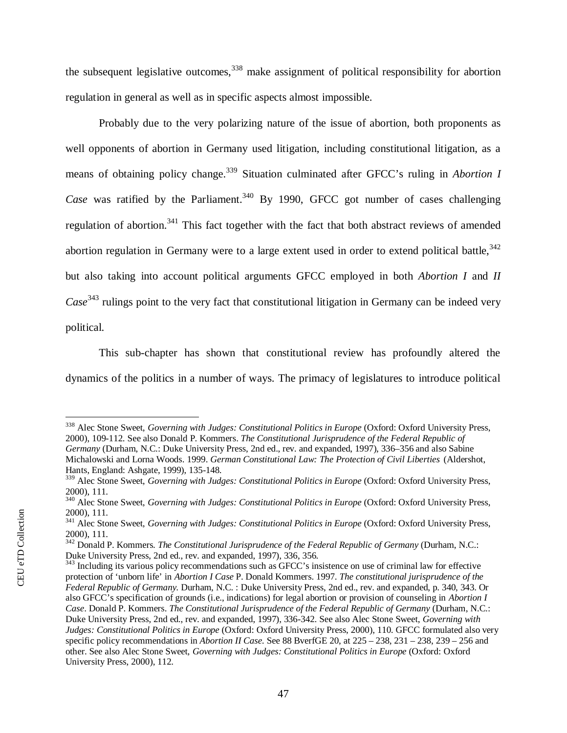the subsequent legislative outcomes,  $338$  make assignment of political responsibility for abortion regulation in general as well as in specific aspects almost impossible.

Probably due to the very polarizing nature of the issue of abortion, both proponents as well opponents of abortion in Germany used litigation, including constitutional litigation, as a means of obtaining policy change.<sup>[339](#page-49-1)</sup> Situation culminated after GFCC's ruling in *Abortion I* Case was ratified by the Parliament.<sup>[340](#page-49-2)</sup> By 1990, GFCC got number of cases challenging regulation of abortion.<sup>[341](#page-49-3)</sup> This fact together with the fact that both abstract reviews of amended abortion regulation in Germany were to a large extent used in order to extend political battle,  $342$ but also taking into account political arguments GFCC employed in both *Abortion I* and *II Case*<sup>[343](#page-49-5)</sup> rulings point to the very fact that constitutional litigation in Germany can be indeed very political.

This sub-chapter has shown that constitutional review has profoundly altered the dynamics of the politics in a number of ways. The primacy of legislatures to introduce political

<span id="page-49-0"></span><sup>&</sup>lt;sup>338</sup> Alec Stone Sweet, *Governing with Judges: Constitutional Politics in Europe* (Oxford: Oxford University Press, 2000), 109-112. See also Donald P. Kommers. *The Constitutional Jurisprudence of the Federal Republic of Germany* (Durham, N.C.: Duke University Press, 2nd ed., rev. and expanded, 1997), 336–356 and also Sabine Michalowski and Lorna Woods. 1999. *German Constitutional Law: The Protection of Civil Liberties* (Aldershot, Hants, England: Ashgate, 1999), 135-148.

<span id="page-49-1"></span><sup>&</sup>lt;sup>339</sup> Alec Stone Sweet, *Governing with Judges: Constitutional Politics in Europe* (Oxford: Oxford University Press, 2000), 111.

<span id="page-49-2"></span><sup>340</sup> Alec Stone Sweet, *Governing with Judges: Constitutional Politics in Europe* (Oxford: Oxford University Press, 2000), 111.

<span id="page-49-3"></span><sup>341</sup> Alec Stone Sweet, *Governing with Judges: Constitutional Politics in Europe* (Oxford: Oxford University Press, 2000), 111.

<span id="page-49-4"></span><sup>342</sup> Donald P. Kommers. *The Constitutional Jurisprudence of the Federal Republic of Germany* (Durham, N.C.: Duke University Press, 2nd ed., rev. and expanded, 1997), 336, 356.

<span id="page-49-5"></span> $343$  Including its various policy recommendations such as GFCC's insistence on use of criminal law for effective protection of 'unborn life' in *Abortion I Case* P. Donald Kommers. 1997. *The constitutional jurisprudence of the Federal Republic of Germany.* Durham, N.C. : Duke University Press, 2nd ed., rev. and expanded, p. 340, 343. Or also GFCC's specification of grounds (i.e., indications) for legal abortion or provision of counseling in *Abortion I Case*. Donald P. Kommers. *The Constitutional Jurisprudence of the Federal Republic of Germany* (Durham, N.C.: Duke University Press, 2nd ed., rev. and expanded, 1997), 336-342. See also Alec Stone Sweet, *Governing with Judges: Constitutional Politics in Europe* (Oxford: Oxford University Press, 2000), 110. GFCC formulated also very specific policy recommendations in *Abortion II Case*. See 88 BverfGE 20, at 225 – 238, 231 – 238, 239 – 256 and other. See also Alec Stone Sweet, *Governing with Judges: Constitutional Politics in Europe* (Oxford: Oxford University Press, 2000), 112.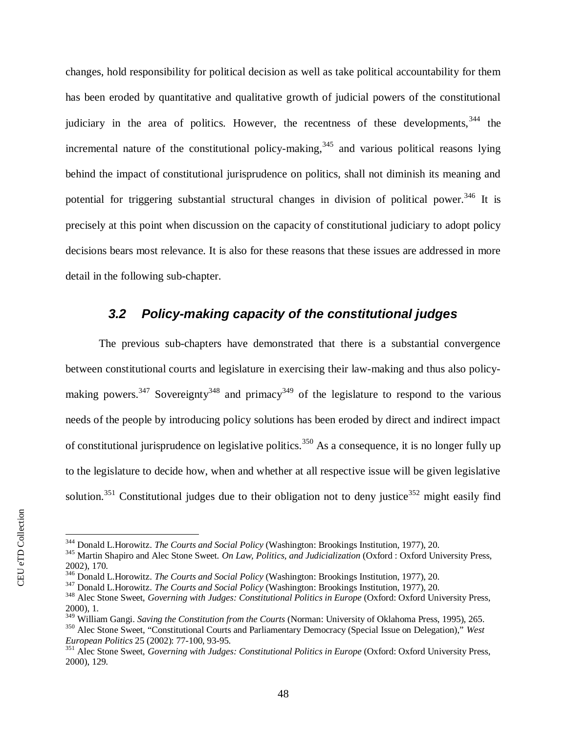changes, hold responsibility for political decision as well as take political accountability for them has been eroded by quantitative and qualitative growth of judicial powers of the constitutional judiciary in the area of politics. However, the recentness of these developments,  $344$  the incremental nature of the constitutional policy-making, $345$  and various political reasons lying behind the impact of constitutional jurisprudence on politics, shall not diminish its meaning and potential for triggering substantial structural changes in division of political power.<sup>[346](#page-50-3)</sup> It is precisely at this point when discussion on the capacity of constitutional judiciary to adopt policy decisions bears most relevance. It is also for these reasons that these issues are addressed in more detail in the following sub-chapter.

## <span id="page-50-0"></span>*3.2 Policy-making capacity of the constitutional judges*

The previous sub-chapters have demonstrated that there is a substantial convergence between constitutional courts and legislature in exercising their law-making and thus also policy-making powers.<sup>[347](#page-50-4)</sup> Sovereignty<sup>[348](#page-50-5)</sup> and primacy<sup>[349](#page-50-6)</sup> of the legislature to respond to the various needs of the people by introducing policy solutions has been eroded by direct and indirect impact of constitutional jurisprudence on legislative politics.<sup>[350](#page-50-7)</sup> As a consequence, it is no longer fully up to the legislature to decide how, when and whether at all respective issue will be given legislative solution.<sup>351</sup> Constitutional judges due to their obligation not to deny justice<sup>352</sup> might easily find

<span id="page-50-1"></span><sup>344</sup> Donald L.Horowitz. *The Courts and Social Policy* (Washington: Brookings Institution, 1977), 20.

<span id="page-50-2"></span><sup>345</sup> Martin Shapiro and Alec Stone Sweet. *On Law, Politics, and Judicialization* (Oxford : Oxford University Press, 2002), 170.

<span id="page-50-3"></span><sup>346</sup> Donald L.Horowitz. *The Courts and Social Policy* (Washington: Brookings Institution, 1977), 20.

<span id="page-50-4"></span><sup>347</sup> Donald L.Horowitz. *The Courts and Social Policy* (Washington: Brookings Institution, 1977), 20.

<span id="page-50-5"></span><sup>&</sup>lt;sup>348</sup> Alec Stone Sweet, *Governing with Judges: Constitutional Politics in Europe* (Oxford: Oxford University Press, 2000), 1.

<span id="page-50-6"></span><sup>349</sup> William Gangi. *Saving the Constitution from the Courts* (Norman: University of Oklahoma Press, 1995), 265.

<span id="page-50-7"></span><sup>350</sup> Alec Stone Sweet, "Constitutional Courts and Parliamentary Democracy (Special Issue on Delegation)," *West European Politics* 25 (2002): 77-100, 93-95.

<sup>&</sup>lt;sup>351</sup> Alec Stone Sweet, *Governing with Judges: Constitutional Politics in Europe* (Oxford: Oxford University Press, 2000), 129.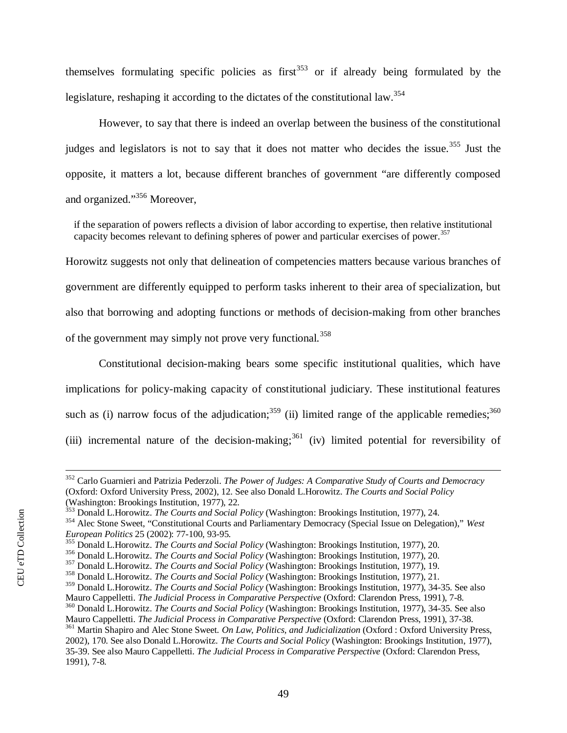themselves formulating specific policies as first<sup>[353](#page-51-0)</sup> or if already being formulated by the legislature, reshaping it according to the dictates of the constitutional law.<sup>[354](#page-51-1)</sup>

However, to say that there is indeed an overlap between the business of the constitutional judges and legislators is not to say that it does not matter who decides the issue.<sup>[355](#page-51-2)</sup> Just the opposite, it matters a lot, because different branches of government "are differently composed and organized."[356](#page-51-3) Moreover,

if the separation of powers reflects a division of labor according to expertise, then relative institutional capacity becomes relevant to defining spheres of power and particular exercises of power.<sup>[357](#page-51-4)</sup>

Horowitz suggests not only that delineation of competencies matters because various branches of government are differently equipped to perform tasks inherent to their area of specialization, but also that borrowing and adopting functions or methods of decision-making from other branches of the government may simply not prove very functional.<sup>[358](#page-51-5)</sup>

Constitutional decision-making bears some specific institutional qualities, which have implications for policy-making capacity of constitutional judiciary. These institutional features such as (i) narrow focus of the adjudication;<sup>[359](#page-51-6)</sup> (ii) limited range of the applicable remedies;<sup>[360](#page-51-7)</sup> (iii) incremental nature of the decision-making;<sup>361</sup> (iv) limited potential for reversibility of

<sup>352</sup> Carlo Guarnieri and Patrizia Pederzoli. *The Power of Judges: A Comparative Study of Courts and Democracy* (Oxford: Oxford University Press, 2002), 12. See also Donald L.Horowitz. *The Courts and Social Policy* (Washington: Brookings Institution, 1977), 22.

<span id="page-51-0"></span><sup>353</sup> Donald L.Horowitz. *The Courts and Social Policy* (Washington: Brookings Institution, 1977), 24.

<span id="page-51-1"></span><sup>354</sup> Alec Stone Sweet, "Constitutional Courts and Parliamentary Democracy (Special Issue on Delegation)," *West European Politics* 25 (2002): 77-100, 93-95.

<span id="page-51-2"></span><sup>355</sup> Donald L.Horowitz. *The Courts and Social Policy* (Washington: Brookings Institution, 1977), 20.

<span id="page-51-3"></span><sup>356</sup> Donald L.Horowitz. *The Courts and Social Policy* (Washington: Brookings Institution, 1977), 20.

<span id="page-51-4"></span><sup>357</sup> Donald L.Horowitz. *The Courts and Social Policy* (Washington: Brookings Institution, 1977), 19.

<span id="page-51-5"></span><sup>358</sup> Donald L.Horowitz. *The Courts and Social Policy* (Washington: Brookings Institution, 1977), 21.

<span id="page-51-6"></span><sup>359</sup> Donald L.Horowitz. *The Courts and Social Policy* (Washington: Brookings Institution, 1977), 34-35. See also Mauro Cappelletti. *The Judicial Process in Comparative Perspective* (Oxford: Clarendon Press, 1991), 7-8.

<span id="page-51-7"></span><sup>360</sup> Donald L.Horowitz. *The Courts and Social Policy* (Washington: Brookings Institution, 1977), 34-35. See also Mauro Cappelletti. *The Judicial Process in Comparative Perspective* (Oxford: Clarendon Press, 1991), 37-38. <sup>361</sup> Martin Shapiro and Alec Stone Sweet. *On Law, Politics, and Judicialization* (Oxford : Oxford University Press, 2002), 170. See also Donald L.Horowitz. *The Courts and Social Policy* (Washington: Brookings Institution, 1977), 35-39. See also Mauro Cappelletti. *The Judicial Process in Comparative Perspective* (Oxford: Clarendon Press, 1991), 7-8.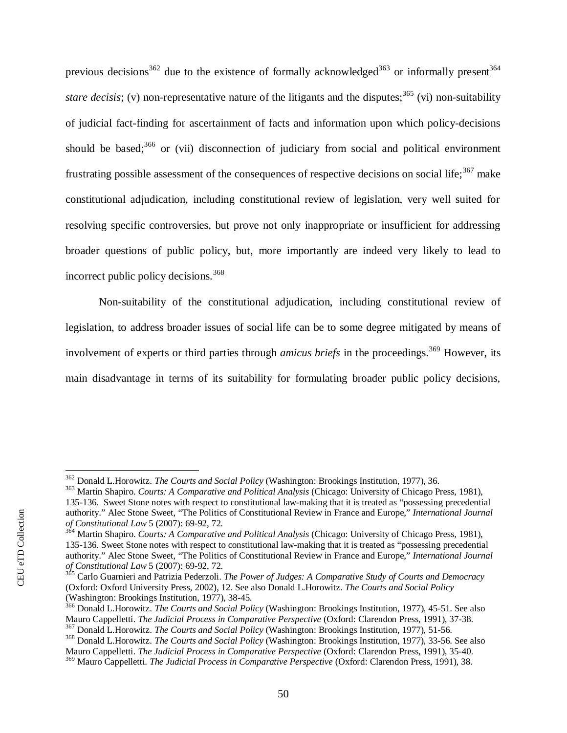previous decisions<sup>[362](#page-52-0)</sup> due to the existence of formally acknowledged<sup>[363](#page-52-1)</sup> or informally present<sup>[364](#page-52-2)</sup> *stare decisis*; (v) non-representative nature of the litigants and the disputes;<sup>[365](#page-52-3)</sup> (vi) non-suitability of judicial fact-finding for ascertainment of facts and information upon which policy-decisions should be based; $366$  or (vii) disconnection of judiciary from social and political environment frustrating possible assessment of the consequences of respective decisions on social life;  $367$  make constitutional adjudication, including constitutional review of legislation, very well suited for resolving specific controversies, but prove not only inappropriate or insufficient for addressing broader questions of public policy, but, more importantly are indeed very likely to lead to incorrect public policy decisions.<sup>[368](#page-52-6)</sup>

Non-suitability of the constitutional adjudication, including constitutional review of legislation, to address broader issues of social life can be to some degree mitigated by means of involvement of experts or third parties through *amicus briefs* in the proceedings.<sup>[369](#page-52-7)</sup> However, its main disadvantage in terms of its suitability for formulating broader public policy decisions,

<span id="page-52-0"></span><sup>362</sup> Donald L.Horowitz. *The Courts and Social Policy* (Washington: Brookings Institution, 1977), 36.

<span id="page-52-1"></span><sup>363</sup> Martin Shapiro. *Courts: A Comparative and Political Analysis* (Chicago: University of Chicago Press, 1981), 135-136. Sweet Stone notes with respect to constitutional law-making that it is treated as "possessing precedential authority." Alec Stone Sweet, "The Politics of Constitutional Review in France and Europe," *International Journal of Constitutional Law* 5 (2007): 69-92, 72.

<span id="page-52-2"></span><sup>364</sup> Martin Shapiro. *Courts: A Comparative and Political Analysis* (Chicago: University of Chicago Press, 1981), 135-136. Sweet Stone notes with respect to constitutional law-making that it is treated as "possessing precedential authority." Alec Stone Sweet, "The Politics of Constitutional Review in France and Europe," *International Journal of Constitutional Law* 5 (2007): 69-92, 72.

<span id="page-52-3"></span><sup>365</sup> Carlo Guarnieri and Patrizia Pederzoli. *The Power of Judges: A Comparative Study of Courts and Democracy* (Oxford: Oxford University Press, 2002), 12. See also Donald L.Horowitz. *The Courts and Social Policy* (Washington: Brookings Institution, 1977), 38-45.

<span id="page-52-4"></span><sup>366</sup> Donald L.Horowitz. *The Courts and Social Policy* (Washington: Brookings Institution, 1977), 45-51. See also Mauro Cappelletti. *The Judicial Process in Comparative Perspective* (Oxford: Clarendon Press, 1991), 37-38.

<span id="page-52-5"></span><sup>367</sup> Donald L.Horowitz. *The Courts and Social Policy* (Washington: Brookings Institution, 1977), 51-56. <sup>368</sup> Donald L.Horowitz. *The Courts and Social Policy* (Washington: Brookings Institution, 1977), 33-56. See also

<span id="page-52-6"></span>Mauro Cappelletti. *The Judicial Process in Comparative Perspective* (Oxford: Clarendon Press, 1991), 35-40.

<span id="page-52-7"></span><sup>369</sup> Mauro Cappelletti. *The Judicial Process in Comparative Perspective* (Oxford: Clarendon Press, 1991), 38.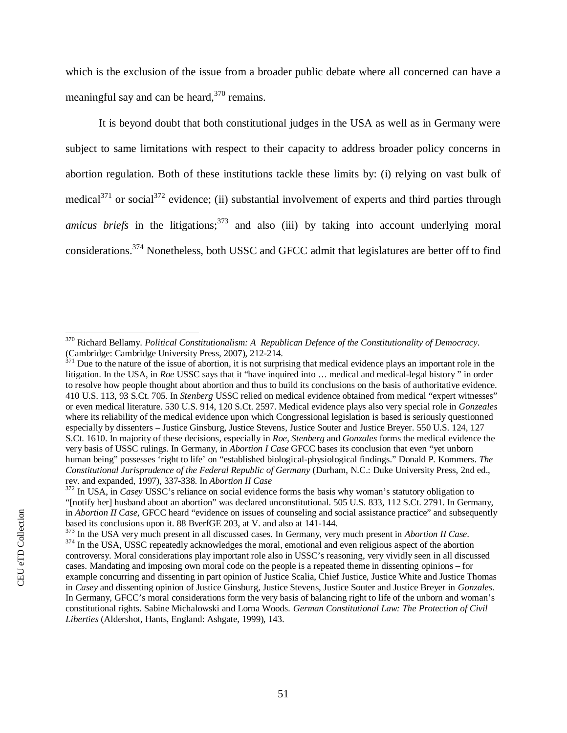which is the exclusion of the issue from a broader public debate where all concerned can have a meaningful say and can be heard, $370$  remains.

It is beyond doubt that both constitutional judges in the USA as well as in Germany were subject to same limitations with respect to their capacity to address broader policy concerns in abortion regulation. Both of these institutions tackle these limits by: (i) relying on vast bulk of medical $371$  or social $372$  evidence; (ii) substantial involvement of experts and third parties through *amicus briefs* in the litigations;<sup>[373](#page-53-3)</sup> and also (iii) by taking into account underlying moral considerations.<sup>374</sup> Nonetheless, both USSC and GFCC admit that legislatures are better off to find

<span id="page-53-0"></span><sup>370</sup> Richard Bellamy. *Political Constitutionalism: A Republican Defence of the Constitutionality of Democracy*. (Cambridge: Cambridge University Press, 2007), 212-214.

<span id="page-53-1"></span> $371$  Due to the nature of the issue of abortion, it is not surprising that medical evidence plays an important role in the litigation. In the USA, in *Roe* USSC says that it "have inquired into … medical and medical-legal history " in order to resolve how people thought about abortion and thus to build its conclusions on the basis of authoritative evidence. 410 U.S. 113, 93 S.Ct. 705. In *Stenberg* USSC relied on medical evidence obtained from medical "expert witnesses" or even medical literature. 530 U.S. 914, 120 S.Ct. 2597. Medical evidence plays also very special role in *Gonzeales* where its reliability of the medical evidence upon which Congressional legislation is based is seriously questionned especially by dissenters – Justice Ginsburg, Justice Stevens, Justice Souter and Justice Breyer. 550 U.S. 124, 127 S.Ct. 1610. In majority of these decisions, especially in *Roe*, *Stenberg* and *Gonzales* forms the medical evidence the very basis of USSC rulings. In Germany, in *Abortion I Case* GFCC bases its conclusion that even "yet unborn human being" possesses 'right to life' on "established biological-physiological findings." Donald P. Kommers. *The Constitutional Jurisprudence of the Federal Republic of Germany* (Durham, N.C.: Duke University Press, 2nd ed., rev. and expanded, 1997), 337-338. In *Abortion II Case*

<span id="page-53-2"></span><sup>&</sup>lt;sup>372</sup> In USA, in *Casey* USSC's reliance on social evidence forms the basis why woman's statutory obligation to "[notify her] husband about an abortion" was declared unconstitutional. 505 U.S. 833, 112 S.Ct. 2791. In Germany, in *Abortion II Case,* GFCC heard "evidence on issues of counseling and social assistance practice" and subsequently based its conclusions upon it. 88 BverfGE 203, at V. and also at 141-144.

<span id="page-53-3"></span><sup>373</sup> In the USA very much present in all discussed cases. In Germany, very much present in *Abortion II Case*. <sup>374</sup> In the USA, USSC repeatedly acknowledges the moral, emotional and even religious aspect of the abortion controversy. Moral considerations play important role also in USSC's reasoning, very vividly seen in all discussed cases. Mandating and imposing own moral code on the people is a repeated theme in dissenting opinions – for example concurring and dissenting in part opinion of Justice Scalia, Chief Justice, Justice White and Justice Thomas in *Casey* and dissenting opinion of Justice Ginsburg, Justice Stevens, Justice Souter and Justice Breyer in *Gonzales.* In Germany, GFCC's moral considerations form the very basis of balancing right to life of the unborn and woman's constitutional rights. Sabine Michalowski and Lorna Woods. *German Constitutional Law: The Protection of Civil Liberties* (Aldershot, Hants, England: Ashgate, 1999), 143.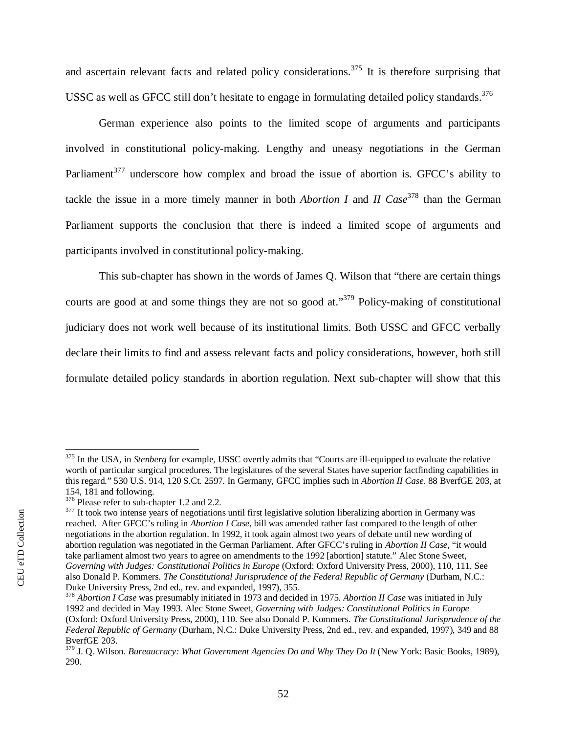and ascertain relevant facts and related policy considerations.<sup>[375](#page-54-0)</sup> It is therefore surprising that USSC as well as GFCC still don't hesitate to engage in formulating detailed policy standards.<sup>[376](#page-54-1)</sup>

German experience also points to the limited scope of arguments and participants involved in constitutional policy-making. Lengthy and uneasy negotiations in the German Parliament<sup>[377](#page-54-2)</sup> underscore how complex and broad the issue of abortion is. GFCC's ability to tackle the issue in a more timely manner in both *Abortion I* and *II Case*<sup>[378](#page-54-3)</sup> than the German Parliament supports the conclusion that there is indeed a limited scope of arguments and participants involved in constitutional policy-making.

This sub-chapter has shown in the words of James Q. Wilson that "there are certain things courts are good at and some things they are not so good at."<sup>[379](#page-54-4)</sup> Policy-making of constitutional judiciary does not work well because of its institutional limits. Both USSC and GFCC verbally declare their limits to find and assess relevant facts and policy considerations, however, both still formulate detailed policy standards in abortion regulation. Next sub-chapter will show that this

<span id="page-54-0"></span><sup>&</sup>lt;sup>375</sup> In the USA, in *Stenberg* for example, USSC overtly admits that "Courts are ill-equipped to evaluate the relative worth of particular surgical procedures. The legislatures of the several States have superior factfinding capabilities in this regard*.*" 530 U.S. 914, 120 S.Ct. 2597. In Germany, GFCC implies such in *Abortion II Case*. 88 BverfGE 203, at 154, 181 and following.

<span id="page-54-1"></span><sup>&</sup>lt;sup>376</sup> Please refer to sub-chapter 1.2 and 2.2.

<span id="page-54-2"></span> $377$  It took two intense years of negotiations until first legislative solution liberalizing abortion in Germany was reached. After GFCC's ruling in *Abortion I Case*, bill was amended rather fast compared to the length of other negotiations in the abortion regulation. In 1992, it took again almost two years of debate until new wording of abortion regulation was negotiated in the German Parliament. After GFCC's ruling in *Abortion II Case,* "it would take parliament almost two years to agree on amendments to the 1992 [abortion] statute." Alec Stone Sweet, *Governing with Judges: Constitutional Politics in Europe* (Oxford: Oxford University Press, 2000), 110, 111. See also Donald P. Kommers. *The Constitutional Jurisprudence of the Federal Republic of Germany* (Durham, N.C.: Duke University Press, 2nd ed., rev. and expanded, 1997), 355.

<span id="page-54-3"></span><sup>378</sup> *Abortion I Case* was presumably initiated in 1973 and decided in 1975. *Abortion II Case* was initiated in July 1992 and decided in May 1993. Alec Stone Sweet, *Governing with Judges: Constitutional Politics in Europe* (Oxford: Oxford University Press, 2000), 110. See also Donald P. Kommers. *The Constitutional Jurisprudence of the Federal Republic of Germany* (Durham, N.C.: Duke University Press, 2nd ed., rev. and expanded, 1997), 349 and 88 BverfGE 203.

<span id="page-54-4"></span><sup>379</sup> J. Q. Wilson. *Bureaucracy: What Government Agencies Do and Why They Do It* (New York: Basic Books, 1989), 290.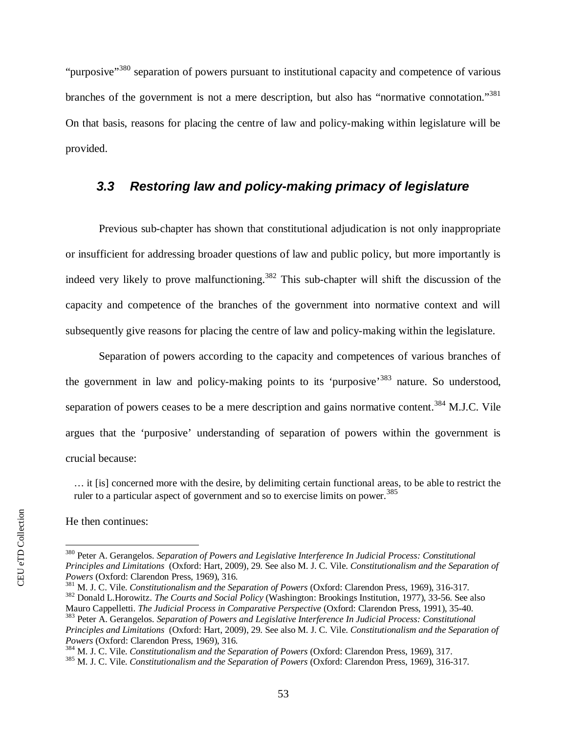"purposive"<sup>[380](#page-55-1)</sup> separation of powers pursuant to institutional capacity and competence of various branches of the government is not a mere description, but also has ["](#page-55-2)normative connotation."<sup>381</sup> On that basis, reasons for placing the centre of law and policy-making within legislature will be provided.

## <span id="page-55-0"></span>*3.3 Restoring law and policy-making primacy of legislature*

Previous sub-chapter has shown that constitutional adjudication is not only inappropriate or insufficient for addressing broader questions of law and public policy, but more importantly is indeed very likely to prove malfunctioning.<sup>[382](#page-55-3)</sup> This sub-chapter will shift the discussion of the capacity and competence of the branches of the government into normative context and will subsequently give reasons for placing the centre of law and policy-making within the legislature.

Separation of powers according to the capacity and competences of various branches of the government in law and policy-making points to its 'purposive'[383](#page-55-4) nature. So understood, separation of powers ceases to be a mere description and gains normative content.<sup>[384](#page-55-5)</sup> M.J.C. Vile argues that the 'purposive' understanding of separation of powers within the government is crucial because:

… it [is] concerned more with the desire, by delimiting certain functional areas, to be able to restrict the ruler to a particular aspect of government and so to exercise limits on power.<sup>[385](#page-55-6)</sup>

He then continues:

<span id="page-55-1"></span><sup>380</sup> Peter A. Gerangelos. *Separation of Powers and Legislative Interference In Judicial Process: Constitutional Principles and Limitations* (Oxford: Hart, 2009), 29. See also M. J. C. Vile. *Constitutionalism and the Separation of Powers* (Oxford: Clarendon Press, 1969), 316.

<span id="page-55-2"></span><sup>381</sup> M. J. C. Vile. *Constitutionalism and the Separation of Powers* (Oxford: Clarendon Press, 1969), 316-317. <sup>382</sup> Donald L.Horowitz. *The Courts and Social Policy* (Washington: Brookings Institution, 1977), 33-56. See also

<span id="page-55-4"></span><span id="page-55-3"></span>Mauro Cappelletti. *The Judicial Process in Comparative Perspective* (Oxford: Clarendon Press, 1991), 35-40. <sup>383</sup> Peter A. Gerangelos. *Separation of Powers and Legislative Interference In Judicial Process: Constitutional Principles and Limitations* (Oxford: Hart, 2009), 29. See also M. J. C. Vile. *Constitutionalism and the Separation of*

*Powers* (Oxford: Clarendon Press, 1969), 316.

<span id="page-55-5"></span><sup>384</sup> M. J. C. Vile. *Constitutionalism and the Separation of Powers* (Oxford: Clarendon Press, 1969), 317.

<span id="page-55-6"></span><sup>385</sup> M. J. C. Vile. *Constitutionalism and the Separation of Powers* (Oxford: Clarendon Press, 1969), 316-317.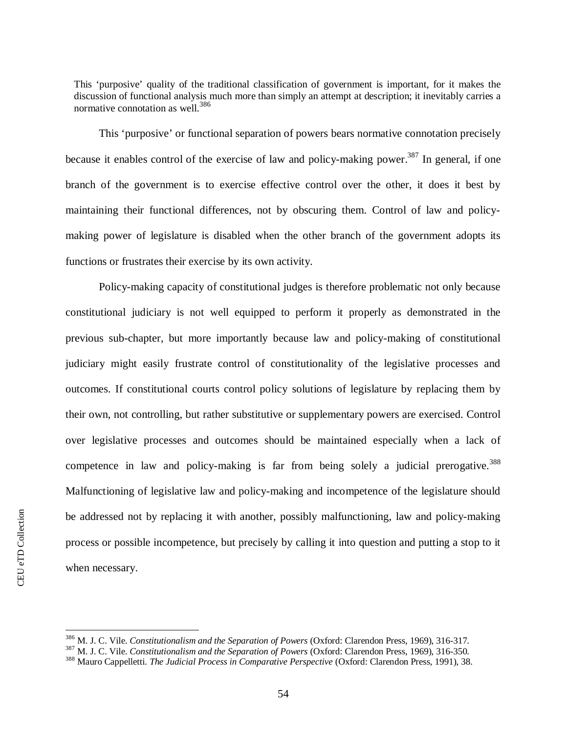This 'purposive' quality of the traditional classification of government is important, for it makes the discussion of functional analysis much more than simply an attempt at description; it inevitably carries a normative connotation as well.[386](#page-56-0)

This 'purposive' or functional separation of powers bears normative connotation precisely because it enables control of the exercise of law and policy-making power.<sup>[387](#page-56-1)</sup> In general, if one branch of the government is to exercise effective control over the other, it does it best by maintaining their functional differences, not by obscuring them. Control of law and policymaking power of legislature is disabled when the other branch of the government adopts its functions or frustrates their exercise by its own activity.

Policy-making capacity of constitutional judges is therefore problematic not only because constitutional judiciary is not well equipped to perform it properly as demonstrated in the previous sub-chapter, but more importantly because law and policy-making of constitutional judiciary might easily frustrate control of constitutionality of the legislative processes and outcomes. If constitutional courts control policy solutions of legislature by replacing them by their own, not controlling, but rather substitutive or supplementary powers are exercised. Control over legislative processes and outcomes should be maintained especially when a lack of competence in law and policy-making is far from being solely a judicial prerogative[.](#page-56-2)<sup>388</sup> Malfunctioning of legislative law and policy-making and incompetence of the legislature should be addressed not by replacing it with another, possibly malfunctioning, law and policy-making process or possible incompetence, but precisely by calling it into question and putting a stop to it when necessary.

<span id="page-56-0"></span><sup>386</sup> M. J. C. Vile. *Constitutionalism and the Separation of Powers* (Oxford: Clarendon Press, 1969), 316-317.

<span id="page-56-1"></span><sup>387</sup> M. J. C. Vile. *Constitutionalism and the Separation of Powers* (Oxford: Clarendon Press, 1969), 316-350.

<span id="page-56-2"></span><sup>388</sup> Mauro Cappelletti. *The Judicial Process in Comparative Perspective* (Oxford: Clarendon Press, 1991), 38.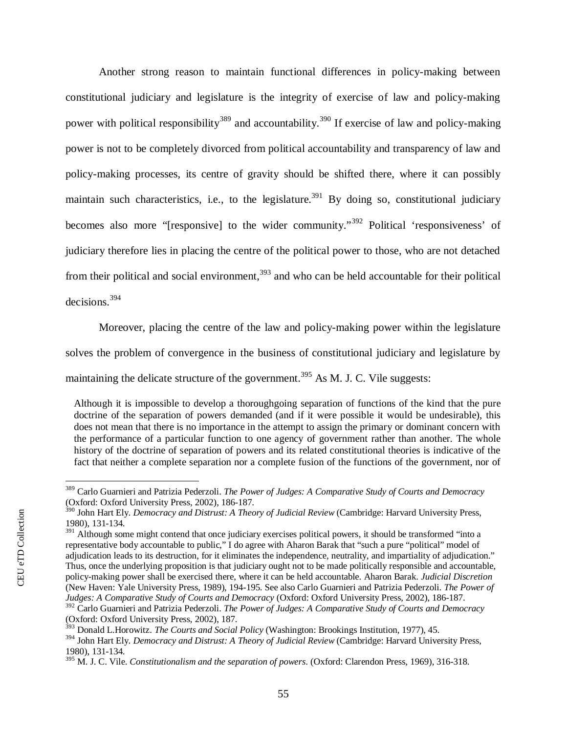Another strong reason to maintain functional differences in policy-making between constitutional judiciary and legislature is the integrity of exercise of law and policy-making power with political responsibility<sup>[389](#page-57-0)</sup> and accountability.<sup>[390](#page-57-1)</sup> If exercise of law and policy-making power is not to be completely divorced from political accountability and transparency of law and policy-making processes, its centre of gravity should be shifted there, where it can possibly maintain such characteristics, i.e., to the legislature.<sup>[391](#page-57-2)</sup> By doing so, constitutional judiciary becomes also more "[responsive] to the wider community."<sup>[392](#page-57-3)</sup> Political 'responsiveness' of judiciary therefore lies in placing the centre of the political power to those, who are not detached from their political and social environment,  $393$  and who can be held accountable for their political decisions.[394](#page-57-5)

Moreover, placing the centre of the law and policy-making power within the legislature solves the problem of convergence in the business of constitutional judiciary and legislature by maintaining the delicate structure of the government.<sup>[395](#page-57-6)</sup> As M. J. C. Vile suggests:

Although it is impossible to develop a thoroughgoing separation of functions of the kind that the pure doctrine of the separation of powers demanded (and if it were possible it would be undesirable), this does not mean that there is no importance in the attempt to assign the primary or dominant concern with the performance of a particular function to one agency of government rather than another. The whole history of the doctrine of separation of powers and its related constitutional theories is indicative of the fact that neither a complete separation nor a complete fusion of the functions of the government, nor of

<span id="page-57-0"></span><sup>389</sup> Carlo Guarnieri and Patrizia Pederzoli. *The Power of Judges: A Comparative Study of Courts and Democracy* (Oxford: Oxford University Press, 2002), 186-187.

<span id="page-57-1"></span><sup>390</sup> John Hart Ely. *Democracy and Distrust: A Theory of Judicial Review* (Cambridge: Harvard University Press, 1980), 131-134.

<span id="page-57-2"></span><sup>&</sup>lt;sup>391</sup> Although some might contend that once judiciary exercises political powers, it should be transformed "into a representative body accountable to public," I do agree with Aharon Barak that "such a pure "political" model of adjudication leads to its destruction, for it eliminates the independence, neutrality, and impartiality of adjudication." Thus, once the underlying proposition is that judiciary ought not to be made politically responsible and accountable, policy-making power shall be exercised there, where it can be held accountable. Aharon Barak. *Judicial Discretion* (New Haven: Yale University Press, 1989), 194-195. See also Carlo Guarnieri and Patrizia Pederzoli. *The Power of Judges: A Comparative Study of Courts and Democracy* (Oxford: Oxford University Press, 2002), 186-187. <sup>392</sup> Carlo Guarnieri and Patrizia Pederzoli. *The Power of Judges: A Comparative Study of Courts and Democracy*

<span id="page-57-3"></span><sup>(</sup>Oxford: Oxford University Press, 2002), 187.

<span id="page-57-4"></span><sup>393</sup> Donald L.Horowitz. *The Courts and Social Policy* (Washington: Brookings Institution, 1977), 45.

<span id="page-57-5"></span><sup>394</sup> John Hart Ely. *Democracy and Distrust: A Theory of Judicial Review* (Cambridge: Harvard University Press, 1980), 131-134.

<span id="page-57-6"></span><sup>395</sup> M. J. C. Vile. *Constitutionalism and the separation of powers*. (Oxford: Clarendon Press, 1969), 316-318.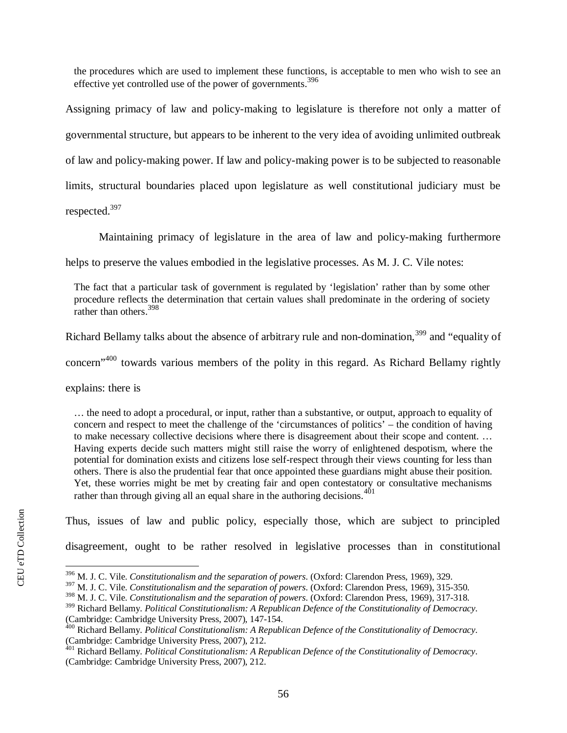the procedures which are used to implement these functions, is acceptable to men who wish to see an effective yet controlled use of the power of governments.<sup>[396](#page-58-0)</sup>

Assigning primacy of law and policy-making to legislature is therefore not only a matter of governmental structure, but appears to be inherent to the very idea of avoiding unlimited outbreak of law and policy-making power. If law and policy-making power is to be subjected to reasonable limits, structural boundaries placed upon legislature as well constitutional judiciary must be respected.[397](#page-58-1)

Maintaining primacy of legislature in the area of law and policy-making furthermore

helps to preserve the values embodied in the legislative processes. As M. J. C. Vile notes:

The fact that a particular task of government is regulated by 'legislation' rather than by some other procedure reflects the determination that certain values shall predominate in the ordering of society rather than others.[398](#page-58-2)

Richard Bellamy talks about the absence of arbitrary rule and non-domination,<sup>[399](#page-58-3)</sup> and "equality of

concern"[400](#page-58-4) towards various members of the polity in this regard. As Richard Bellamy rightly

explains: there is

… the need to adopt a procedural, or input, rather than a substantive, or output, approach to equality of concern and respect to meet the challenge of the 'circumstances of politics' – the condition of having to make necessary collective decisions where there is disagreement about their scope and content. … Having experts decide such matters might still raise the worry of enlightened despotism, where the potential for domination exists and citizens lose self-respect through their views counting for less than others. There is also the prudential fear that once appointed these guardians might abuse their position. Yet, these worries might be met by creating fair and open contestatory or consultative mechanisms rather than through giving all an equal share in the authoring decisions.  $401$ 

Thus, issues of law and public policy, especially those, which are subject to principled

disagreement, ought to be rather resolved in legislative processes than in constitutional

<span id="page-58-0"></span><sup>396</sup> M. J. C. Vile. *Constitutionalism and the separation of powers*. (Oxford: Clarendon Press, 1969), 329.

<span id="page-58-1"></span><sup>397</sup> M. J. C. Vile. *Constitutionalism and the separation of powers*. (Oxford: Clarendon Press, 1969), 315-350.

<span id="page-58-2"></span><sup>398</sup> M. J. C. Vile. *Constitutionalism and the separation of powers*. (Oxford: Clarendon Press, 1969), 317-318.

<span id="page-58-3"></span><sup>399</sup> Richard Bellamy. *Political Constitutionalism: A Republican Defence of the Constitutionality of Democracy*. (Cambridge: Cambridge University Press, 2007), 147-154.

<span id="page-58-4"></span><sup>400</sup> Richard Bellamy. *Political Constitutionalism: A Republican Defence of the Constitutionality of Democracy*. (Cambridge: Cambridge University Press, 2007), 212.

<span id="page-58-5"></span><sup>401</sup> Richard Bellamy. *Political Constitutionalism: A Republican Defence of the Constitutionality of Democracy*. (Cambridge: Cambridge University Press, 2007), 212.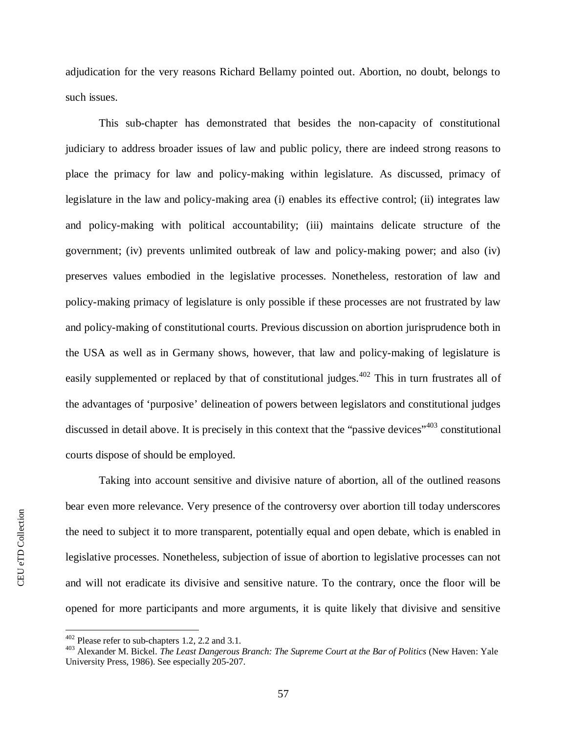adjudication for the very reasons Richard Bellamy pointed out. Abortion, no doubt, belongs to such issues.

This sub-chapter has demonstrated that besides the non-capacity of constitutional judiciary to address broader issues of law and public policy, there are indeed strong reasons to place the primacy for law and policy-making within legislature. As discussed, primacy of legislature in the law and policy-making area (i) enables its effective control; (ii) integrates law and policy-making with political accountability; (iii) maintains delicate structure of the government; (iv) prevents unlimited outbreak of law and policy-making power; and also (iv) preserves values embodied in the legislative processes. Nonetheless, restoration of law and policy-making primacy of legislature is only possible if these processes are not frustrated by law and policy-making of constitutional courts. Previous discussion on abortion jurisprudence both in the USA as well as in Germany shows, however, that law and policy-making of legislature is easily supplemented or replaced by that of constitutional judges.<sup>[402](#page-59-0)</sup> This in turn frustrates all of the advantages of 'purposive' delineation of powers between legislators and constitutional judges discussed in detail above. It is precisely in this context that the "passive devices"<sup>[403](#page-59-1)</sup> constitutional courts dispose of should be employed.

Taking into account sensitive and divisive nature of abortion, all of the outlined reasons bear even more relevance. Very presence of the controversy over abortion till today underscores the need to subject it to more transparent, potentially equal and open debate, which is enabled in legislative processes. Nonetheless, subjection of issue of abortion to legislative processes can not and will not eradicate its divisive and sensitive nature. To the contrary, once the floor will be opened for more participants and more arguments, it is quite likely that divisive and sensitive

<span id="page-59-0"></span><sup>&</sup>lt;sup>402</sup> Please refer to sub-chapters 1.2, 2.2 and 3.1.

<span id="page-59-1"></span><sup>403</sup> Alexander M. Bickel. *The Least Dangerous Branch: The Supreme Court at the Bar of Politics* (New Haven: Yale University Press, 1986). See especially 205-207.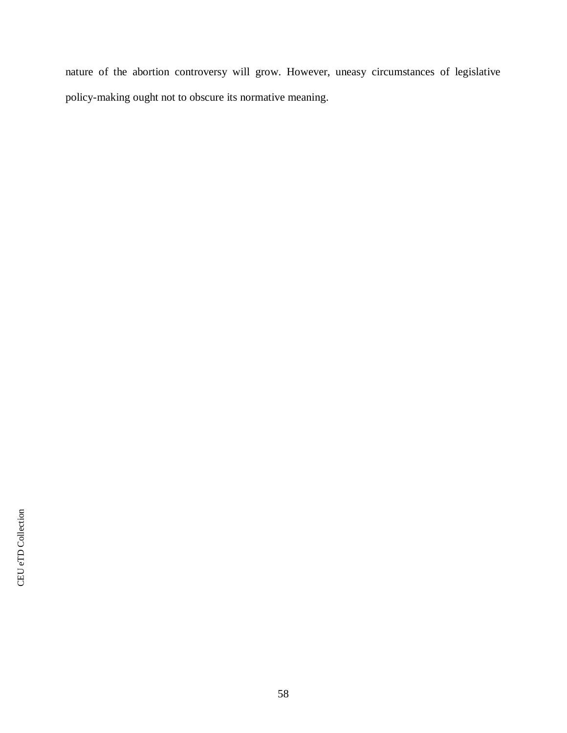nature of the abortion controversy will grow. However, uneasy circumstances of legislative policy-making ought not to obscure its normative meaning.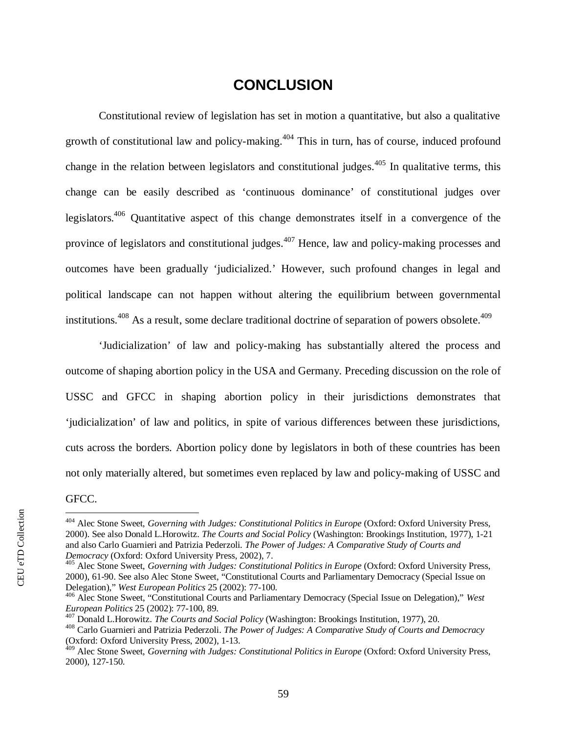# <span id="page-61-0"></span>**CONCLUSION**

Constitutional review of legislation has set in motion a quantitative, but also a qualitative growth of constitutional law and policy-making.<sup>[404](#page-61-1)</sup> This in turn, has of course, induced profound change in the relation between legislators and constitutional judges.<sup>[405](#page-61-2)</sup> In qualitative terms, this change can be easily described as 'continuous dominance' of constitutional judges over legislators.<sup>[406](#page-61-3)</sup> Quantitative aspect of this change demonstrates itself in a convergence of the province of legislators and constitutional judges.<sup>[407](#page-61-4)</sup> Hence, law and policy-making processes and outcomes have been gradually 'judicialized.' However, such profound changes in legal and political landscape can not happen without altering the equilibrium between governmental institutions.<sup>[408](#page-61-5)</sup> As a result, some declare traditional doctrine of separation of powers obsolete.<sup>[409](#page-61-6)</sup>

'Judicialization' of law and policy-making has substantially altered the process and outcome of shaping abortion policy in the USA and Germany. Preceding discussion on the role of USSC and GFCC in shaping abortion policy in their jurisdictions demonstrates that 'judicialization' of law and politics, in spite of various differences between these jurisdictions, cuts across the borders. Abortion policy done by legislators in both of these countries has been not only materially altered, but sometimes even replaced by law and policy-making of USSC and

### GFCC.

<span id="page-61-1"></span><sup>&</sup>lt;sup>404</sup> Alec Stone Sweet, *Governing with Judges: Constitutional Politics in Europe* (Oxford: Oxford University Press, 2000). See also Donald L.Horowitz. *The Courts and Social Policy* (Washington: Brookings Institution, 1977), 1-21 and also Carlo Guarnieri and Patrizia Pederzoli. *The Power of Judges: A Comparative Study of Courts and Democracy* (Oxford: Oxford University Press, 2002), 7.

<span id="page-61-2"></span><sup>&</sup>lt;sup>405</sup> Alec Stone Sweet, *Governing with Judges: Constitutional Politics in Europe* (Oxford: Oxford University Press, 2000), 61-90. See also Alec Stone Sweet, "Constitutional Courts and Parliamentary Democracy (Special Issue on Delegation)," *West European Politics* 25 (2002): 77-100.

<span id="page-61-3"></span><sup>406</sup> Alec Stone Sweet, "Constitutional Courts and Parliamentary Democracy (Special Issue on Delegation)," *West European Politics* 25 (2002): 77-100, 89.

<span id="page-61-4"></span><sup>407</sup> Donald L.Horowitz. *The Courts and Social Policy* (Washington: Brookings Institution, 1977), 20.

<span id="page-61-5"></span><sup>408</sup> Carlo Guarnieri and Patrizia Pederzoli. *The Power of Judges: A Comparative Study of Courts and Democracy* (Oxford: Oxford University Press, 2002), 1-13.

<span id="page-61-6"></span><sup>&</sup>lt;sup>409</sup> Alec Stone Sweet, *Governing with Judges: Constitutional Politics in Europe* (Oxford: Oxford University Press, 2000), 127-150.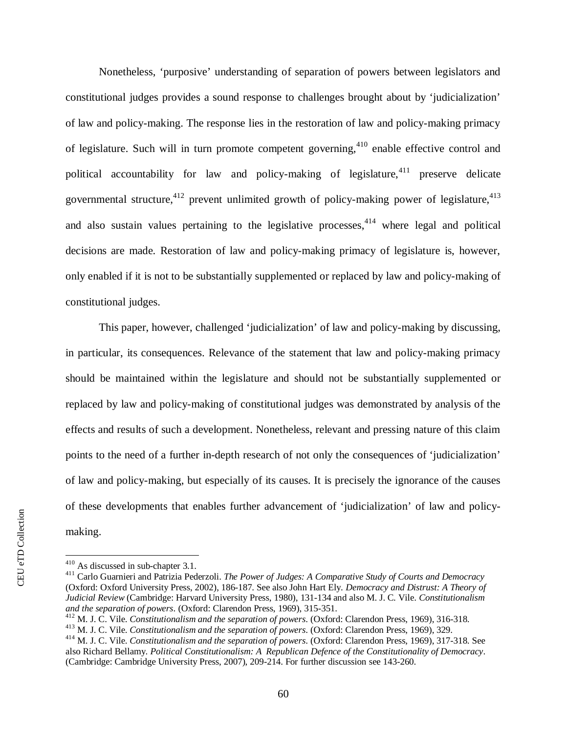Nonetheless, 'purposive' understanding of separation of powers between legislators and constitutional judges provides a sound response to challenges brought about by 'judicialization' of law and policy-making. The response lies in the restoration of law and policy-making primacy of legislature. Such will in turn promote competent governing,<sup>[410](#page-62-0)</sup> enable effective control and political accountability for law and policy-making of legislature,  $411$  preserve delicate governmental structure,<sup>[412](#page-62-2)</sup> prevent unlimited growth of policy-making power of legislature,<sup>[413](#page-62-3)</sup> and also sustain values pertaining to the legislative processes,  $4^{14}$  where legal and political decisions are made. Restoration of law and policy-making primacy of legislature is, however, only enabled if it is not to be substantially supplemented or replaced by law and policy-making of constitutional judges.

This paper, however, challenged 'judicialization' of law and policy-making by discussing, in particular, its consequences. Relevance of the statement that law and policy-making primacy should be maintained within the legislature and should not be substantially supplemented or replaced by law and policy-making of constitutional judges was demonstrated by analysis of the effects and results of such a development. Nonetheless, relevant and pressing nature of this claim points to the need of a further in-depth research of not only the consequences of 'judicialization' of law and policy-making, but especially of its causes. It is precisely the ignorance of the causes of these developments that enables further advancement of 'judicialization' of law and policymaking.

<span id="page-62-0"></span><sup>410</sup> As discussed in sub-chapter 3.1.

<span id="page-62-1"></span><sup>411</sup> Carlo Guarnieri and Patrizia Pederzoli. *The Power of Judges: A Comparative Study of Courts and Democracy* (Oxford: Oxford University Press, 2002), 186-187. See also John Hart Ely. *Democracy and Distrust: A Theory of Judicial Review* (Cambridge: Harvard University Press, 1980), 131-134 and also M. J. C. Vile. *Constitutionalism and the separation of powers*. (Oxford: Clarendon Press, 1969), 315-351.

<span id="page-62-2"></span><sup>412</sup> M. J. C. Vile. *Constitutionalism and the separation of powers*. (Oxford: Clarendon Press, 1969), 316-318.

<span id="page-62-3"></span><sup>413</sup> M. J. C. Vile. *Constitutionalism and the separation of powers*. (Oxford: Clarendon Press, 1969), 329.

<span id="page-62-4"></span><sup>414</sup> M. J. C. Vile. *Constitutionalism and the separation of powers*. (Oxford: Clarendon Press, 1969), 317-318. See also Richard Bellamy. *Political Constitutionalism: A Republican Defence of the Constitutionality of Democracy*. (Cambridge: Cambridge University Press, 2007), 209-214. For further discussion see 143-260.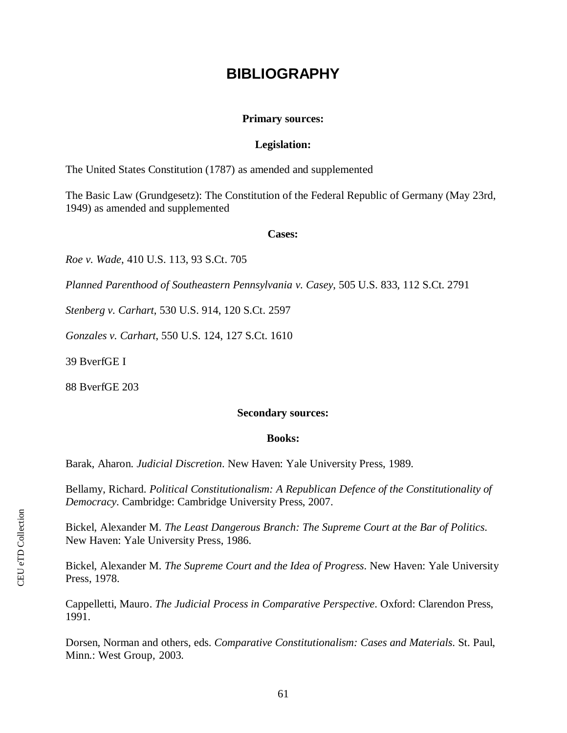# **BIBLIOGRAPHY**

#### **Primary sources:**

#### **Legislation:**

The United States Constitution (1787) as amended and supplemented

The Basic Law (Grundgesetz): The Constitution of the Federal Republic of Germany (May 23rd, 1949) as amended and supplemented

#### **Cases:**

*Roe v. Wade*, 410 U.S. 113, 93 S.Ct. 705

*Planned Parenthood of Southeastern Pennsylvania v. Casey*, 505 U.S. 833, 112 S.Ct. 2791

*Stenberg v. Carhart*, 530 U.S. 914, 120 S.Ct. 2597

*Gonzales v. Carhart*, 550 U.S. 124, 127 S.Ct. 1610

39 BverfGE I

88 BverfGE 203

#### **Secondary sources:**

#### **Books:**

Barak, Aharon. *Judicial Discretion*. New Haven: Yale University Press, 1989.

Bellamy, Richard. *Political Constitutionalism: A Republican Defence of the Constitutionality of Democracy*. Cambridge: Cambridge University Press, 2007.

<span id="page-63-0"></span>Bickel, Alexander M. *The Least Dangerous Branch: The Supreme Court at the Bar of Politics*. New Haven: Yale University Press, 1986.

Bickel, Alexander M. *The Supreme Court and the Idea of Progress*. New Haven: Yale University Press, 1978.

Cappelletti, Mauro. *The Judicial Process in Comparative Perspective*. Oxford: Clarendon Press, 1991.

Dorsen, Norman and others, eds. *Comparative Constitutionalism: Cases and Materials*. St. Paul, Minn.: West Group, 2003.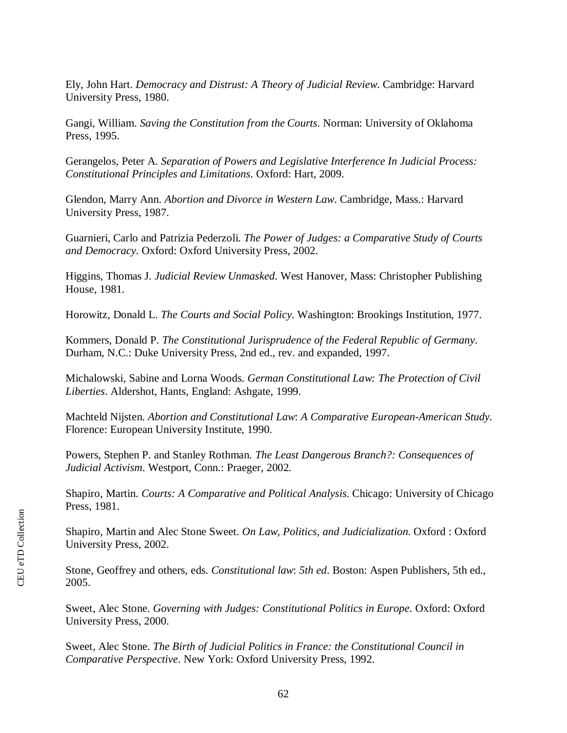Ely, John Hart. *Democracy and Distrust: A Theory of Judicial Review*. Cambridge: Harvard University Press, 1980.

Gangi, William. *Saving the Constitution from the Courts*. Norman: University of Oklahoma Press, 1995.

[Gerangelos, Peter A.](http://goya.ceu.hu/search~S0?/aGerangelos%2C+Peter+A./agerangelos+peter+a/-3,-1,0,B/browse) *Separation of Powers and Legislative Interference In Judicial Process: Constitutional Principles and Limitations*. Oxford: Hart, 2009.

Glendon, Marry Ann. *Abortion and Divorce in Western Law*. Cambridge, Mass.: Harvard University Press, 1987.

Guarnieri, Carlo and Patrizia Pederzoli. *The Power of Judges: a Comparative Study of Courts and Democracy*. Oxford: Oxford University Press, 2002.

Higgins, Thomas J. *Judicial Review Unmasked*. West Hanover, Mass: Christopher Publishing House, 1981.

Horowitz, Donald L. *The Courts and Social Policy*. Washington: Brookings Institution, 1977.

[Kommers, Donald P.](http://goya.ceu.hu/search~S0?/aKommers%2C+Donald+P./akommers+donald+p/-3,-1,0,B/browse) *The Constitutional Jurisprudence of the Federal Republic of Germany*. Durham, N.C.: Duke University Press, 2nd ed., rev. and expanded, 1997.

[Michalowski, S](http://goya.ceu.hu/search~S0?/aMichalowski%2C+Sabine/amichalowski+sabine/-3,-1,0,B/browse)abine and Lorna [Woods.](http://goya.ceu.hu/search~S0?/aWoods%2C+Lorna/awoods+lorna/-3,-1,0,B/browse) *German Constitutional Law: The Protection of Civil Liberties*. Aldershot, Hants, England: Ashgate, 1999.

Machteld Nijsten. *Abortion and Constitutional Law*: *A Comparative European-American Study*. Florence: European University Institute, 1990.

Powers, Stephen P. and Stanley Rothman. *The Least Dangerous Branch?: Consequences of Judicial Activism*. Westport, Conn.: Praeger, 2002.

Shapiro, Martin. *Courts: A Comparative and Political Analysis*. Chicago: University of Chicago Press, 1981.

Shapiro, Martin and Alec Stone Sweet. *On Law, Politics, and Judicialization*. Oxford : Oxford University Press, 2002.

Stone, Geoffrey and others, eds. *Constitutional law*: *5th ed*. Boston: Aspen Publishers, 5th ed., 2005.

Sweet, Alec Stone. *Governing with Judges: Constitutional Politics in Europe*. Oxford: Oxford University Press, 2000.

Sweet, Alec Stone. *The Birth of Judicial Politics in France: the Constitutional Council in Comparative Perspective*. New York: Oxford University Press, 1992.